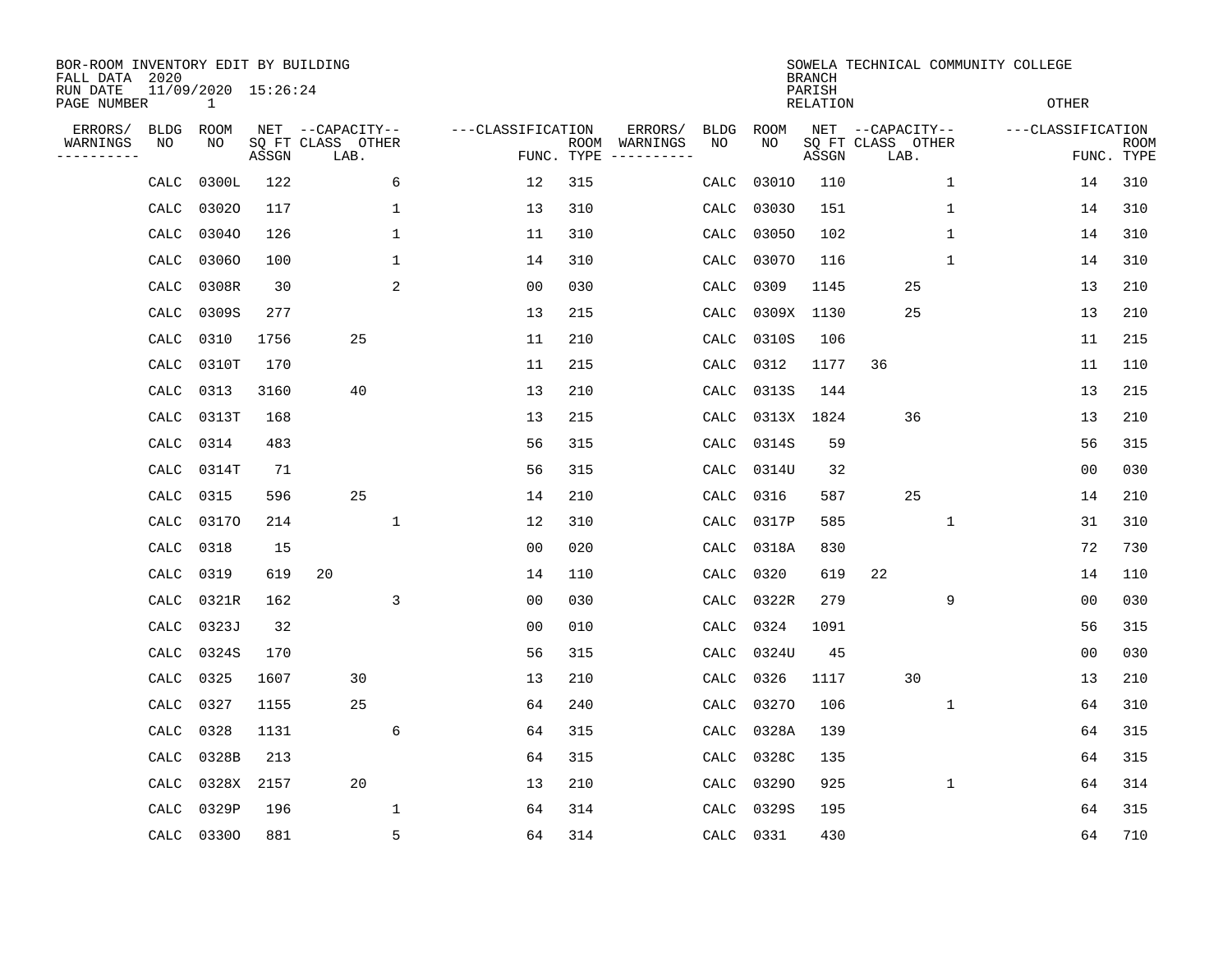| BOR-ROOM INVENTORY EDIT BY BUILDING<br>FALL DATA 2020 |             |                                     |       |                           |              |                   |                    |          |             |             | <b>BRANCH</b>             |                           |              | SOWELA TECHNICAL COMMUNITY COLLEGE |             |
|-------------------------------------------------------|-------------|-------------------------------------|-------|---------------------------|--------------|-------------------|--------------------|----------|-------------|-------------|---------------------------|---------------------------|--------------|------------------------------------|-------------|
| RUN DATE<br>PAGE NUMBER                               |             | 11/09/2020 15:26:24<br>$\mathbf{1}$ |       |                           |              |                   |                    |          |             |             | PARISH<br><b>RELATION</b> |                           |              | <b>OTHER</b>                       |             |
| ERRORS/                                               | <b>BLDG</b> | ROOM                                |       | NET --CAPACITY--          |              | ---CLASSIFICATION |                    | ERRORS/  | <b>BLDG</b> | <b>ROOM</b> |                           | NET --CAPACITY--          |              | ---CLASSIFICATION                  |             |
| WARNINGS<br>----------                                | ΝO          | NO                                  | ASSGN | SQ FT CLASS OTHER<br>LAB. |              |                   | ROOM<br>FUNC. TYPE | WARNINGS | NO          | NO          | ASSGN                     | SQ FT CLASS OTHER<br>LAB. |              | FUNC. TYPE                         | <b>ROOM</b> |
|                                                       | CALC        | 0300L                               | 122   |                           | 6            | 12                | 315                |          | CALC        | 03010       | 110                       |                           | 1            | 14                                 | 310         |
|                                                       | CALC        | 03020                               | 117   |                           | 1            | 13                | 310                |          | CALC        | 03030       | 151                       |                           | 1            | 14                                 | 310         |
|                                                       | CALC        | 03040                               | 126   |                           | $\mathbf{1}$ | 11                | 310                |          | CALC        | 03050       | 102                       |                           | $\mathbf{1}$ | 14                                 | 310         |
|                                                       | CALC        | 03060                               | 100   |                           | $\mathbf{1}$ | 14                | 310                |          | CALC        | 03070       | 116                       |                           | $\mathbf{1}$ | 14                                 | 310         |
|                                                       | CALC        | 0308R                               | 30    |                           | 2            | 00                | 030                |          | CALC        | 0309        | 1145                      | 25                        |              | 13                                 | 210         |
|                                                       | CALC        | 0309S                               | 277   |                           |              | 13                | 215                |          | CALC        | 0309X       | 1130                      | 25                        |              | 13                                 | 210         |
|                                                       | CALC        | 0310                                | 1756  | 25                        |              | 11                | 210                |          | CALC        | 0310S       | 106                       |                           |              | 11                                 | 215         |
|                                                       | CALC        | 0310T                               | 170   |                           |              | 11                | 215                |          | CALC        | 0312        | 1177                      | 36                        |              | 11                                 | 110         |
|                                                       | CALC        | 0313                                | 3160  | 40                        |              | 13                | 210                |          | CALC        | 0313S       | 144                       |                           |              | 13                                 | 215         |
|                                                       | CALC        | 0313T                               | 168   |                           |              | 13                | 215                |          | CALC        | 0313X       | 1824                      | 36                        |              | 13                                 | 210         |
|                                                       | CALC        | 0314                                | 483   |                           |              | 56                | 315                |          | CALC        | 0314S       | 59                        |                           |              | 56                                 | 315         |
|                                                       | CALC        | 0314T                               | 71    |                           |              | 56                | 315                |          | CALC        | 0314U       | 32                        |                           |              | 0 <sub>0</sub>                     | 030         |
|                                                       | CALC        | 0315                                | 596   | 25                        |              | 14                | 210                |          | CALC        | 0316        | 587                       | 25                        |              | 14                                 | 210         |
|                                                       | CALC        | 03170                               | 214   |                           | 1            | 12                | 310                |          | CALC        | 0317P       | 585                       |                           | 1            | 31                                 | 310         |
|                                                       | CALC        | 0318                                | 15    |                           |              | 0 <sub>0</sub>    | 020                |          | CALC        | 0318A       | 830                       |                           |              | 72                                 | 730         |
|                                                       | CALC        | 0319                                | 619   | 20                        |              | 14                | 110                |          | CALC        | 0320        | 619                       | 22                        |              | 14                                 | 110         |
|                                                       | CALC        | 0321R                               | 162   |                           | 3            | 0 <sub>0</sub>    | 030                |          | CALC        | 0322R       | 279                       |                           | 9            | 0 <sub>0</sub>                     | 030         |
|                                                       | CALC        | 0323J                               | 32    |                           |              | 0 <sub>0</sub>    | 010                |          | CALC        | 0324        | 1091                      |                           |              | 56                                 | 315         |
|                                                       | CALC        | 0324S                               | 170   |                           |              | 56                | 315                |          | CALC        | 0324U       | 45                        |                           |              | 0 <sub>0</sub>                     | 030         |
|                                                       | CALC        | 0325                                | 1607  | 30                        |              | 13                | 210                |          | CALC        | 0326        | 1117                      | 30                        |              | 13                                 | 210         |
|                                                       | CALC        | 0327                                | 1155  | 25                        |              | 64                | 240                |          | CALC        | 03270       | 106                       |                           | 1            | 64                                 | 310         |
|                                                       | CALC        | 0328                                | 1131  |                           | 6            | 64                | 315                |          | CALC        | 0328A       | 139                       |                           |              | 64                                 | 315         |
|                                                       | CALC        | 0328B                               | 213   |                           |              | 64                | 315                |          | CALC        | 0328C       | 135                       |                           |              | 64                                 | 315         |
|                                                       | CALC        | 0328X                               | 2157  | 20                        |              | 13                | 210                |          | CALC        | 03290       | 925                       |                           | $\mathbf 1$  | 64                                 | 314         |
|                                                       | CALC        | 0329P                               | 196   |                           | $\mathbf 1$  | 64                | 314                |          | CALC        | 0329S       | 195                       |                           |              | 64                                 | 315         |
|                                                       |             | CALC 03300                          | 881   |                           | 5            | 64                | 314                |          | CALC        | 0331        | 430                       |                           |              | 64                                 | 710         |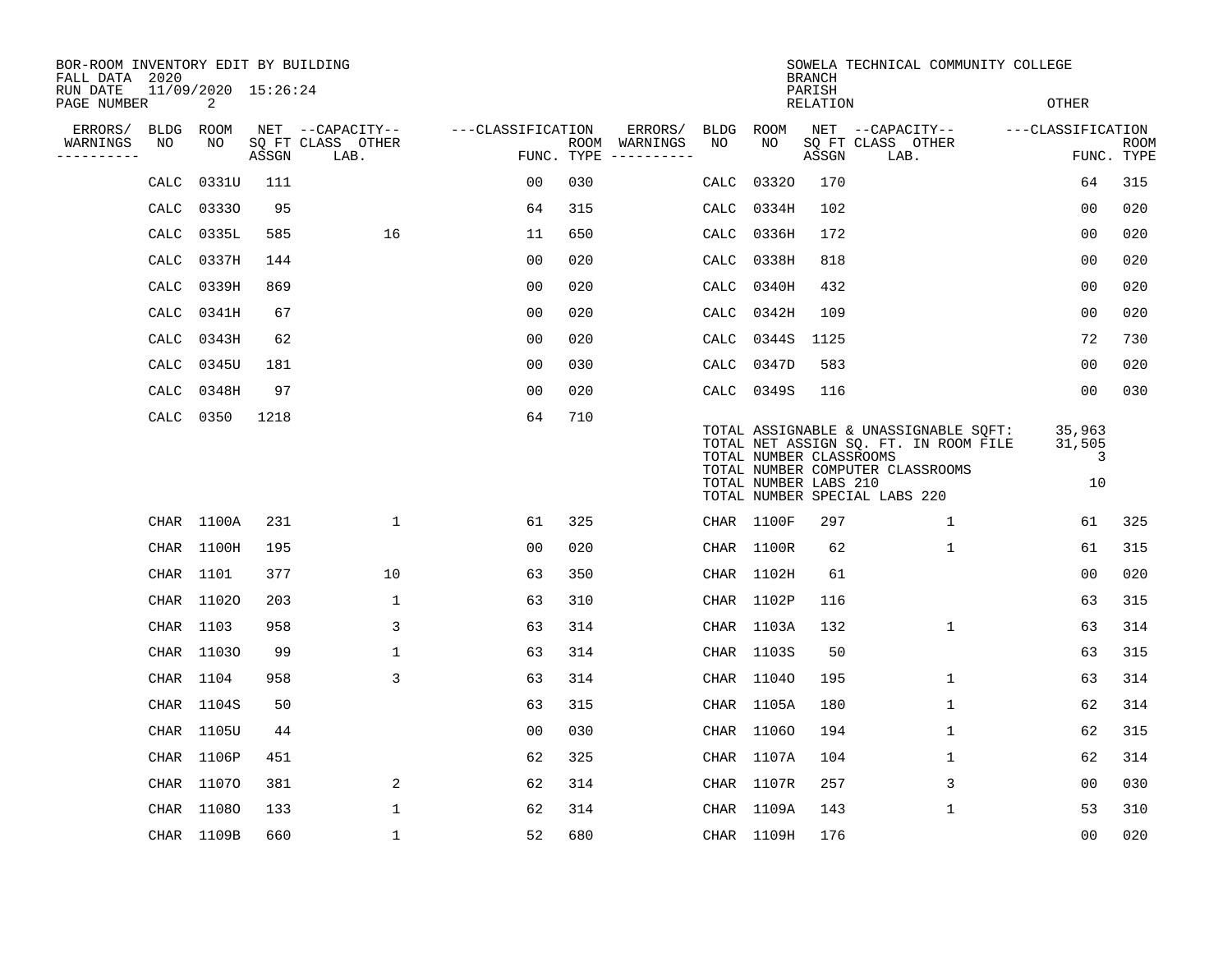| BOR-ROOM INVENTORY EDIT BY BUILDING<br>FALL DATA 2020 |      |                          |       |                           |                   |     |                                      |      |                                                  | <b>BRANCH</b>      | SOWELA TECHNICAL COMMUNITY COLLEGE                                                                                                                  |                             |                           |
|-------------------------------------------------------|------|--------------------------|-------|---------------------------|-------------------|-----|--------------------------------------|------|--------------------------------------------------|--------------------|-----------------------------------------------------------------------------------------------------------------------------------------------------|-----------------------------|---------------------------|
| RUN DATE<br>PAGE NUMBER                               |      | 11/09/2020 15:26:24<br>2 |       |                           |                   |     |                                      |      |                                                  | PARISH<br>RELATION |                                                                                                                                                     | <b>OTHER</b>                |                           |
| ERRORS/                                               | BLDG | ROOM                     |       | NET --CAPACITY--          | ---CLASSIFICATION |     | ERRORS/                              | BLDG | ROOM                                             |                    | NET --CAPACITY--                                                                                                                                    | ---CLASSIFICATION           |                           |
| WARNINGS<br>----------                                | NO   | NO                       | ASSGN | SQ FT CLASS OTHER<br>LAB. |                   |     | ROOM WARNINGS<br>FUNC. TYPE $------$ | NO.  | NO.                                              | ASSGN              | SQ FT CLASS OTHER<br>LAB.                                                                                                                           |                             | <b>ROOM</b><br>FUNC. TYPE |
|                                                       | CALC | 0331U                    | 111   |                           | 0 <sub>0</sub>    | 030 |                                      | CALC | 03320                                            | 170                |                                                                                                                                                     | 64                          | 315                       |
|                                                       | CALC | 03330                    | 95    |                           | 64                | 315 |                                      | CALC | 0334H                                            | 102                |                                                                                                                                                     | 0 <sub>0</sub>              | 020                       |
|                                                       | CALC | 0335L                    | 585   | 16                        | 11                | 650 |                                      | CALC | 0336H                                            | 172                |                                                                                                                                                     | 00                          | 020                       |
|                                                       | CALC | 0337H                    | 144   |                           | 00                | 020 |                                      | CALC | 0338H                                            | 818                |                                                                                                                                                     | 00                          | 020                       |
|                                                       | CALC | 0339H                    | 869   |                           | 00                | 020 |                                      | CALC | 0340H                                            | 432                |                                                                                                                                                     | 0 <sub>0</sub>              | 020                       |
|                                                       | CALC | 0341H                    | 67    |                           | 0 <sub>0</sub>    | 020 |                                      | CALC | 0342H                                            | 109                |                                                                                                                                                     | 00                          | 020                       |
|                                                       | CALC | 0343H                    | 62    |                           | 0 <sub>0</sub>    | 020 |                                      | CALC | 0344S                                            | 1125               |                                                                                                                                                     | 72                          | 730                       |
|                                                       | CALC | 0345U                    | 181   |                           | 0 <sub>0</sub>    | 030 |                                      | CALC | 0347D                                            | 583                |                                                                                                                                                     | 00                          | 020                       |
|                                                       | CALC | 0348H                    | 97    |                           | 0 <sub>0</sub>    | 020 |                                      | CALC | 0349S                                            | 116                |                                                                                                                                                     | 0 <sub>0</sub>              | 030                       |
|                                                       |      | CALC 0350                | 1218  |                           | 64                | 710 |                                      |      | TOTAL NUMBER CLASSROOMS<br>TOTAL NUMBER LABS 210 |                    | TOTAL ASSIGNABLE & UNASSIGNABLE SQFT:<br>TOTAL NET ASSIGN SQ. FT. IN ROOM FILE<br>TOTAL NUMBER COMPUTER CLASSROOMS<br>TOTAL NUMBER SPECIAL LABS 220 | 35,963<br>31,505<br>3<br>10 |                           |
|                                                       |      | CHAR 1100A               | 231   | $\mathbf 1$               | 61                | 325 |                                      |      | CHAR 1100F                                       | 297                | 1                                                                                                                                                   | 61                          | 325                       |
|                                                       |      | CHAR 1100H               | 195   |                           | 00                | 020 |                                      |      | CHAR 1100R                                       | 62                 | 1                                                                                                                                                   | 61                          | 315                       |
|                                                       |      | CHAR 1101                | 377   | 10                        | 63                | 350 |                                      |      | CHAR 1102H                                       | 61                 |                                                                                                                                                     | 00                          | 020                       |
|                                                       |      | CHAR 11020               | 203   | 1                         | 63                | 310 |                                      |      | CHAR 1102P                                       | 116                |                                                                                                                                                     | 63                          | 315                       |
|                                                       |      | CHAR 1103                | 958   | 3                         | 63                | 314 |                                      |      | CHAR 1103A                                       | 132                | 1                                                                                                                                                   | 63                          | 314                       |
|                                                       |      | CHAR 11030               | 99    | $\mathbf{1}$              | 63                | 314 |                                      |      | CHAR 1103S                                       | 50                 |                                                                                                                                                     | 63                          | 315                       |
|                                                       |      | CHAR 1104                | 958   | 3                         | 63                | 314 |                                      |      | CHAR 11040                                       | 195                | $\mathbf{1}$                                                                                                                                        | 63                          | 314                       |
|                                                       |      | CHAR 1104S               | 50    |                           | 63                | 315 |                                      |      | CHAR 1105A                                       | 180                | 1                                                                                                                                                   | 62                          | 314                       |
|                                                       |      | CHAR 1105U               | 44    |                           | 0 <sub>0</sub>    | 030 |                                      |      | CHAR 11060                                       | 194                | 1                                                                                                                                                   | 62                          | 315                       |
|                                                       |      | CHAR 1106P               | 451   |                           | 62                | 325 |                                      |      | CHAR 1107A                                       | 104                | 1                                                                                                                                                   | 62                          | 314                       |
|                                                       |      | CHAR 11070               | 381   | 2                         | 62                | 314 |                                      |      | CHAR 1107R                                       | 257                | 3                                                                                                                                                   | 0 <sub>0</sub>              | 030                       |
|                                                       |      | CHAR 11080               | 133   | $\mathbf{1}$              | 62                | 314 |                                      |      | CHAR 1109A                                       | 143                | 1                                                                                                                                                   | 53                          | 310                       |
|                                                       |      | CHAR 1109B               | 660   | $\mathbf{1}$              | 52                | 680 |                                      |      | CHAR 1109H                                       | 176                |                                                                                                                                                     | 0 <sub>0</sub>              | 020                       |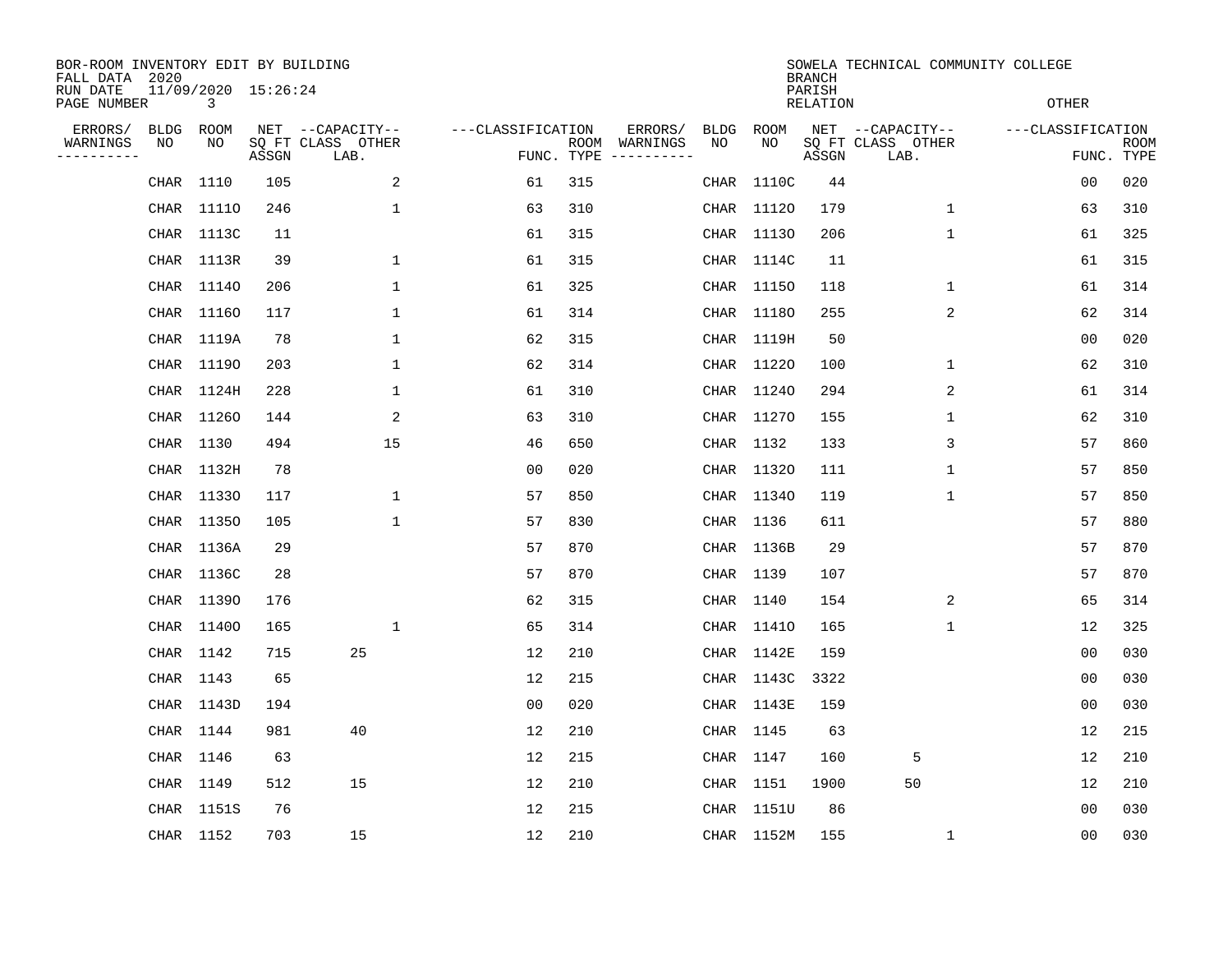| BOR-ROOM INVENTORY EDIT BY BUILDING<br>FALL DATA 2020 |             |                          |       |                           |                   |                    |          |      |            | <b>BRANCH</b>      | SOWELA TECHNICAL COMMUNITY COLLEGE |   |                   |                           |
|-------------------------------------------------------|-------------|--------------------------|-------|---------------------------|-------------------|--------------------|----------|------|------------|--------------------|------------------------------------|---|-------------------|---------------------------|
| RUN DATE<br>PAGE NUMBER                               |             | 11/09/2020 15:26:24<br>3 |       |                           |                   |                    |          |      |            | PARISH<br>RELATION |                                    |   | <b>OTHER</b>      |                           |
| ERRORS/                                               | <b>BLDG</b> | ROOM                     |       | NET --CAPACITY--          | ---CLASSIFICATION |                    | ERRORS/  | BLDG | ROOM       |                    | NET --CAPACITY--                   |   | ---CLASSIFICATION |                           |
| WARNINGS<br>----------                                | NO          | NO                       | ASSGN | SQ FT CLASS OTHER<br>LAB. |                   | ROOM<br>FUNC. TYPE | WARNINGS | NO   | NO         | ASSGN              | SQ FT CLASS OTHER<br>LAB.          |   |                   | <b>ROOM</b><br>FUNC. TYPE |
|                                                       | CHAR        | 1110                     | 105   | 2                         | 61                | 315                |          |      | CHAR 1110C | 44                 |                                    |   | 00                | 020                       |
|                                                       | CHAR        | 11110                    | 246   | 1                         | 63                | 310                |          |      | CHAR 11120 | 179                | 1                                  |   | 63                | 310                       |
|                                                       |             | CHAR 1113C               | 11    |                           | 61                | 315                |          |      | CHAR 11130 | 206                | $\mathbf{1}$                       |   | 61                | 325                       |
|                                                       |             | CHAR 1113R               | 39    | 1                         | 61                | 315                |          |      | CHAR 1114C | 11                 |                                    |   | 61                | 315                       |
|                                                       |             | CHAR 11140               | 206   | $\mathbf{1}$              | 61                | 325                |          |      | CHAR 11150 | 118                |                                    | 1 | 61                | 314                       |
|                                                       |             | CHAR 11160               | 117   | $\mathbf 1$               | 61                | 314                |          |      | CHAR 11180 | 255                |                                    | 2 | 62                | 314                       |
|                                                       |             | CHAR 1119A               | 78    | $\mathbf 1$               | 62                | 315                |          |      | CHAR 1119H | 50                 |                                    |   | 0 <sub>0</sub>    | 020                       |
|                                                       |             | CHAR 11190               | 203   | $\mathbf{1}$              | 62                | 314                |          |      | CHAR 11220 | 100                | 1                                  |   | 62                | 310                       |
|                                                       |             | CHAR 1124H               | 228   | 1                         | 61                | 310                |          |      | CHAR 11240 | 294                |                                    | 2 | 61                | 314                       |
|                                                       |             | CHAR 11260               | 144   | 2                         | 63                | 310                |          |      | CHAR 11270 | 155                | 1                                  |   | 62                | 310                       |
|                                                       |             | CHAR 1130                | 494   | 15                        | 46                | 650                |          |      | CHAR 1132  | 133                | 3                                  |   | 57                | 860                       |
|                                                       |             | CHAR 1132H               | 78    |                           | 0 <sub>0</sub>    | 020                |          |      | CHAR 11320 | 111                | 1                                  |   | 57                | 850                       |
|                                                       |             | CHAR 11330               | 117   | 1                         | 57                | 850                |          |      | CHAR 11340 | 119                | 1                                  |   | 57                | 850                       |
|                                                       |             | CHAR 11350               | 105   | 1                         | 57                | 830                |          |      | CHAR 1136  | 611                |                                    |   | 57                | 880                       |
|                                                       |             | CHAR 1136A               | 29    |                           | 57                | 870                |          |      | CHAR 1136B | 29                 |                                    |   | 57                | 870                       |
|                                                       |             | CHAR 1136C               | 28    |                           | 57                | 870                |          |      | CHAR 1139  | 107                |                                    |   | 57                | 870                       |
|                                                       |             | CHAR 11390               | 176   |                           | 62                | 315                |          |      | CHAR 1140  | 154                |                                    | 2 | 65                | 314                       |
|                                                       |             | CHAR 11400               | 165   | 1                         | 65                | 314                |          |      | CHAR 11410 | 165                | 1                                  |   | 12                | 325                       |
|                                                       |             | CHAR 1142                | 715   | 25                        | 12                | 210                |          |      | CHAR 1142E | 159                |                                    |   | 0 <sub>0</sub>    | 030                       |
|                                                       |             | CHAR 1143                | 65    |                           | 12                | 215                |          |      | CHAR 1143C | 3322               |                                    |   | 0 <sub>0</sub>    | 030                       |
|                                                       |             | CHAR 1143D               | 194   |                           | 0 <sub>0</sub>    | 020                |          |      | CHAR 1143E | 159                |                                    |   | 0 <sub>0</sub>    | 030                       |
|                                                       |             | CHAR 1144                | 981   | 40                        | 12                | 210                |          |      | CHAR 1145  | 63                 |                                    |   | 12                | 215                       |
|                                                       |             | CHAR 1146                | 63    |                           | 12                | 215                |          |      | CHAR 1147  | 160                | 5                                  |   | 12                | 210                       |
|                                                       |             | CHAR 1149                | 512   | 15                        | 12                | 210                |          |      | CHAR 1151  | 1900               | 50                                 |   | 12                | 210                       |
|                                                       |             | CHAR 1151S               | 76    |                           | 12                | 215                |          |      | CHAR 1151U | 86                 |                                    |   | 00                | 030                       |
|                                                       |             | CHAR 1152                | 703   | 15                        | 12                | 210                |          |      | CHAR 1152M | 155                | 1                                  |   | 0 <sub>0</sub>    | 030                       |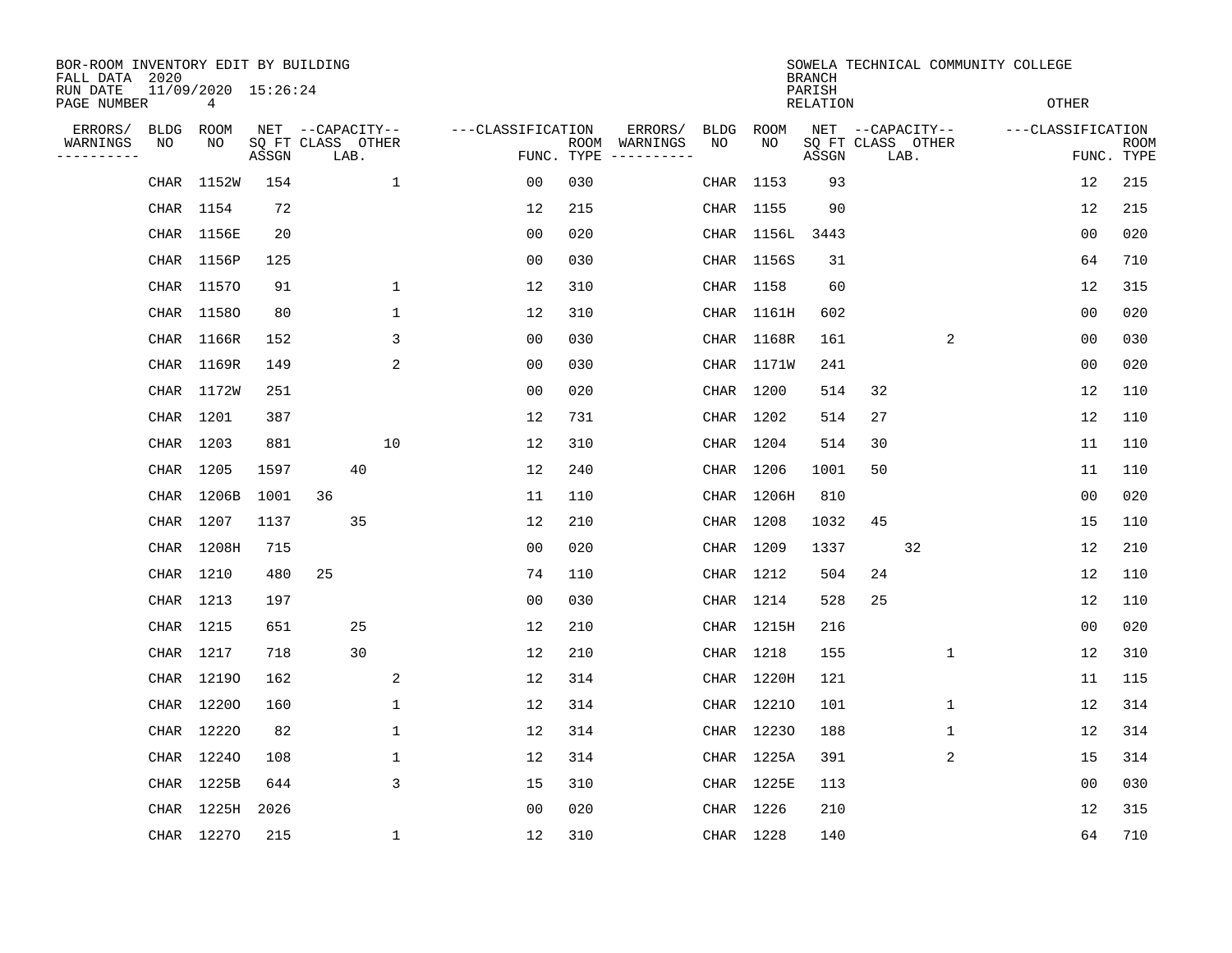| BOR-ROOM INVENTORY EDIT BY BUILDING<br>FALL DATA 2020 |           |                          |                            |                  |      |              |                   |                    |          |             |            | <b>BRANCH</b>              |                  |      |                | SOWELA TECHNICAL COMMUNITY COLLEGE |                |                           |
|-------------------------------------------------------|-----------|--------------------------|----------------------------|------------------|------|--------------|-------------------|--------------------|----------|-------------|------------|----------------------------|------------------|------|----------------|------------------------------------|----------------|---------------------------|
| RUN DATE<br>PAGE NUMBER                               |           | 11/09/2020 15:26:24<br>4 |                            |                  |      |              |                   |                    |          |             |            | PARISH<br><b>RELATION</b>  |                  |      |                | <b>OTHER</b>                       |                |                           |
| ERRORS/                                               | BLDG      | ROOM                     |                            | NET --CAPACITY-- |      |              | ---CLASSIFICATION |                    | ERRORS/  | <b>BLDG</b> | ROOM       |                            | NET --CAPACITY-- |      |                | ---CLASSIFICATION                  |                |                           |
| WARNINGS<br>----------                                | NO        | NO                       | SQ FT CLASS OTHER<br>ASSGN |                  | LAB. |              |                   | ROOM<br>FUNC. TYPE | WARNINGS | NO          | NO         | SQ FT CLASS OTHER<br>ASSGN |                  | LAB. |                |                                    |                | <b>ROOM</b><br>FUNC. TYPE |
|                                                       | CHAR      | 1152W                    | 154                        |                  |      | $\mathbf 1$  | 00                | 030                |          |             | CHAR 1153  | 93                         |                  |      |                |                                    | 12             | 215                       |
|                                                       |           | CHAR 1154                | 72                         |                  |      |              | 12                | 215                |          |             | CHAR 1155  | 90                         |                  |      |                |                                    | 12             | 215                       |
|                                                       |           | CHAR 1156E               | 20                         |                  |      |              | 0 <sub>0</sub>    | 020                |          |             | CHAR 1156L | 3443                       |                  |      |                |                                    | 0 <sub>0</sub> | 020                       |
|                                                       |           | CHAR 1156P               | 125                        |                  |      |              | 0 <sub>0</sub>    | 030                |          |             | CHAR 1156S | 31                         |                  |      |                |                                    | 64             | 710                       |
|                                                       |           | CHAR 11570               | 91                         |                  |      | $\mathbf 1$  | 12                | 310                |          |             | CHAR 1158  | 60                         |                  |      |                |                                    | 12             | 315                       |
|                                                       |           | CHAR 11580               | 80                         |                  |      | 1            | 12                | 310                |          |             | CHAR 1161H | 602                        |                  |      |                |                                    | 0 <sub>0</sub> | 020                       |
|                                                       |           | CHAR 1166R               | 152                        |                  |      | 3            | 0 <sub>0</sub>    | 030                |          |             | CHAR 1168R | 161                        |                  |      | 2              |                                    | 0 <sub>0</sub> | 030                       |
|                                                       |           | CHAR 1169R               | 149                        |                  |      | 2            | 0 <sub>0</sub>    | 030                |          |             | CHAR 1171W | 241                        |                  |      |                |                                    | 0 <sub>0</sub> | 020                       |
|                                                       |           | CHAR 1172W               | 251                        |                  |      |              | 00                | 020                |          |             | CHAR 1200  | 514                        | 32               |      |                |                                    | 12             | 110                       |
|                                                       |           | CHAR 1201                | 387                        |                  |      |              | 12                | 731                |          |             | CHAR 1202  | 514                        | 27               |      |                |                                    | 12             | 110                       |
|                                                       | CHAR 1203 |                          | 881                        |                  |      | 10           | 12                | 310                |          |             | CHAR 1204  | 514                        | 30               |      |                |                                    | 11             | 110                       |
|                                                       | CHAR 1205 |                          | 1597                       |                  | 40   |              | 12                | 240                |          |             | CHAR 1206  | 1001                       | 50               |      |                |                                    | 11             | 110                       |
|                                                       |           | CHAR 1206B               | 1001                       | 36               |      |              | 11                | 110                |          |             | CHAR 1206H | 810                        |                  |      |                |                                    | 0 <sub>0</sub> | 020                       |
|                                                       | CHAR 1207 |                          | 1137                       |                  | 35   |              | 12                | 210                |          |             | CHAR 1208  | 1032                       | 45               |      |                |                                    | 15             | 110                       |
|                                                       |           | CHAR 1208H               | 715                        |                  |      |              | 0 <sub>0</sub>    | 020                |          |             | CHAR 1209  | 1337                       |                  | 32   |                |                                    | 12             | 210                       |
|                                                       |           | CHAR 1210                | 480                        | 25               |      |              | 74                | 110                |          |             | CHAR 1212  | 504                        | 24               |      |                |                                    | 12             | 110                       |
|                                                       | CHAR 1213 |                          | 197                        |                  |      |              | 0 <sub>0</sub>    | 030                |          |             | CHAR 1214  | 528                        | 25               |      |                |                                    | 12             | 110                       |
|                                                       | CHAR 1215 |                          | 651                        |                  | 25   |              | 12                | 210                |          |             | CHAR 1215H | 216                        |                  |      |                |                                    | 0 <sub>0</sub> | 020                       |
|                                                       |           | CHAR 1217                | 718                        |                  | 30   |              | 12                | 210                |          |             | CHAR 1218  | 155                        |                  |      | 1              |                                    | 12             | 310                       |
|                                                       |           | CHAR 12190               | 162                        |                  |      | 2            | 12                | 314                |          |             | CHAR 1220H | 121                        |                  |      |                |                                    | 11             | 115                       |
|                                                       |           | CHAR 12200               | 160                        |                  |      | 1            | 12                | 314                |          |             | CHAR 12210 | 101                        |                  |      | 1              |                                    | 12             | 314                       |
|                                                       |           | CHAR 12220               | 82                         |                  |      | $\mathbf 1$  | 12                | 314                |          |             | CHAR 12230 | 188                        |                  |      | 1              |                                    | 12             | 314                       |
|                                                       |           | CHAR 12240               | 108                        |                  |      | 1            | 12                | 314                |          |             | CHAR 1225A | 391                        |                  |      | $\overline{2}$ |                                    | 15             | 314                       |
|                                                       |           | CHAR 1225B               | 644                        |                  |      | 3            | 15                | 310                |          |             | CHAR 1225E | 113                        |                  |      |                |                                    | 0 <sub>0</sub> | 030                       |
|                                                       | CHAR      | 1225H                    | 2026                       |                  |      |              | 0 <sub>0</sub>    | 020                |          |             | CHAR 1226  | 210                        |                  |      |                |                                    | 12             | 315                       |
|                                                       |           | CHAR 12270               | 215                        |                  |      | $\mathbf{1}$ | 12                | 310                |          |             | CHAR 1228  | 140                        |                  |      |                |                                    | 64             | 710                       |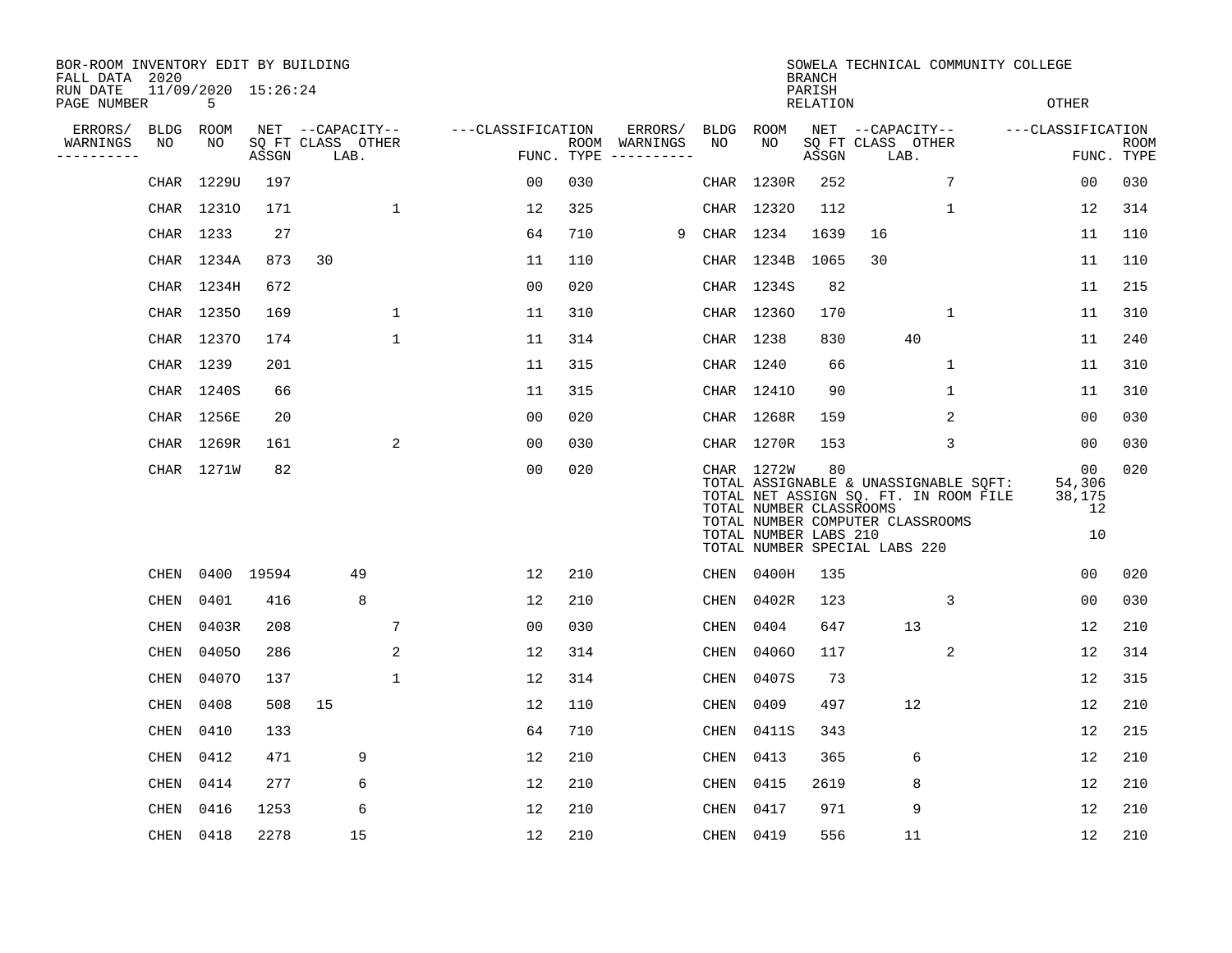| BOR-ROOM INVENTORY EDIT BY BUILDING<br>FALL DATA 2020 |             |                          |       |                           |                   |                |     |                                      |             |                                                                | <b>BRANCH</b>      | SOWELA TECHNICAL COMMUNITY COLLEGE                                                                                                                  |              |                                    |                    |
|-------------------------------------------------------|-------------|--------------------------|-------|---------------------------|-------------------|----------------|-----|--------------------------------------|-------------|----------------------------------------------------------------|--------------------|-----------------------------------------------------------------------------------------------------------------------------------------------------|--------------|------------------------------------|--------------------|
| RUN DATE<br>PAGE NUMBER                               |             | 11/09/2020 15:26:24<br>5 |       |                           |                   |                |     |                                      |             |                                                                | PARISH<br>RELATION |                                                                                                                                                     |              | <b>OTHER</b>                       |                    |
| ERRORS/                                               | <b>BLDG</b> | ROOM                     |       | NET --CAPACITY--          | ---CLASSIFICATION |                |     | ERRORS/                              |             | BLDG ROOM                                                      |                    | NET --CAPACITY--                                                                                                                                    |              | ---CLASSIFICATION                  |                    |
| WARNINGS<br>. _ _ _ _ _ _ _ _ _                       | NO          | NO                       | ASSGN | SQ FT CLASS OTHER<br>LAB. |                   |                |     | ROOM WARNINGS<br>FUNC. TYPE $------$ | NO.         | NO.                                                            | ASSGN              | SQ FT CLASS OTHER<br>LAB.                                                                                                                           |              |                                    | ROOM<br>FUNC. TYPE |
|                                                       |             | CHAR 1229U               | 197   |                           |                   | 00             | 030 |                                      |             | CHAR 1230R                                                     | 252                |                                                                                                                                                     | 7            | 00                                 | 030                |
|                                                       |             | CHAR 12310               | 171   |                           | 1                 | 12             | 325 |                                      |             | CHAR 12320                                                     | 112                |                                                                                                                                                     | 1            | 12                                 | 314                |
|                                                       |             | CHAR 1233                | 27    |                           |                   | 64             | 710 | 9                                    |             | CHAR 1234                                                      | 1639               | 16                                                                                                                                                  |              | 11                                 | 110                |
|                                                       |             | CHAR 1234A               | 873   | 30                        |                   | 11             | 110 |                                      |             | CHAR 1234B                                                     | 1065               | 30                                                                                                                                                  |              | 11                                 | 110                |
|                                                       |             | CHAR 1234H               | 672   |                           |                   | 0 <sup>0</sup> | 020 |                                      |             | CHAR 1234S                                                     | 82                 |                                                                                                                                                     |              | 11                                 | 215                |
|                                                       |             | CHAR 12350               | 169   |                           | 1                 | 11             | 310 |                                      |             | CHAR 12360                                                     | 170                |                                                                                                                                                     | 1            | 11                                 | 310                |
|                                                       |             | CHAR 12370               | 174   |                           | $\mathbf{1}$      | 11             | 314 |                                      |             | CHAR 1238                                                      | 830                | 40                                                                                                                                                  |              | 11                                 | 240                |
|                                                       |             | CHAR 1239                | 201   |                           |                   | 11             | 315 |                                      |             | CHAR 1240                                                      | 66                 |                                                                                                                                                     | $\mathbf{1}$ | 11                                 | 310                |
|                                                       |             | CHAR 1240S               | 66    |                           |                   | 11             | 315 |                                      |             | CHAR 12410                                                     | 90                 |                                                                                                                                                     | $\mathbf 1$  | 11                                 | 310                |
|                                                       |             | CHAR 1256E               | 20    |                           |                   | 0 <sub>0</sub> | 020 |                                      |             | CHAR 1268R                                                     | 159                |                                                                                                                                                     | 2            | 00                                 | 030                |
|                                                       |             | CHAR 1269R               | 161   |                           | 2                 | 00             | 030 |                                      |             | CHAR 1270R                                                     | 153                |                                                                                                                                                     | 3            | 00                                 | 030                |
|                                                       |             | CHAR 1271W               | 82    |                           |                   | 00             | 020 |                                      |             | CHAR 1272W<br>TOTAL NUMBER CLASSROOMS<br>TOTAL NUMBER LABS 210 | 80                 | TOTAL ASSIGNABLE & UNASSIGNABLE SQFT:<br>TOTAL NET ASSIGN SQ. FT. IN ROOM FILE<br>TOTAL NUMBER COMPUTER CLASSROOMS<br>TOTAL NUMBER SPECIAL LABS 220 |              | 00<br>54,306<br>38,175<br>12<br>10 | 020                |
|                                                       | <b>CHEN</b> | 0400 19594               |       | 49                        |                   | 12             | 210 |                                      | CHEN        | 0400H                                                          | 135                |                                                                                                                                                     |              | 00                                 | 020                |
|                                                       | <b>CHEN</b> | 0401                     | 416   | 8                         |                   | 12             | 210 |                                      | CHEN        | 0402R                                                          | 123                |                                                                                                                                                     | 3            | 00                                 | 030                |
|                                                       | <b>CHEN</b> | 0403R                    | 208   |                           | 7                 | 0 <sub>0</sub> | 030 |                                      | <b>CHEN</b> | 0404                                                           | 647                | 13                                                                                                                                                  |              | 12                                 | 210                |
|                                                       | CHEN        | 04050                    | 286   |                           | 2                 | 12             | 314 |                                      | CHEN        | 04060                                                          | 117                |                                                                                                                                                     | 2            | 12                                 | 314                |
|                                                       | CHEN        | 04070                    | 137   |                           | 1                 | 12             | 314 |                                      | CHEN        | 0407S                                                          | 73                 |                                                                                                                                                     |              | 12                                 | 315                |
|                                                       | <b>CHEN</b> | 0408                     | 508   | 15                        |                   | 12             | 110 |                                      | <b>CHEN</b> | 0409                                                           | 497                | 12                                                                                                                                                  |              | 12                                 | 210                |
|                                                       | CHEN        | 0410                     | 133   |                           |                   | 64             | 710 |                                      | CHEN        | 0411S                                                          | 343                |                                                                                                                                                     |              | 12                                 | 215                |
|                                                       | CHEN        | 0412                     | 471   | 9                         |                   | 12             | 210 |                                      | CHEN        | 0413                                                           | 365                | 6                                                                                                                                                   |              | 12                                 | 210                |
|                                                       | CHEN        | 0414                     | 277   | 6                         |                   | 12             | 210 |                                      | CHEN        | 0415                                                           | 2619               | 8                                                                                                                                                   |              | 12                                 | 210                |
|                                                       | <b>CHEN</b> | 0416                     | 1253  | 6                         |                   | 12             | 210 |                                      | CHEN        | 0417                                                           | 971                | 9                                                                                                                                                   |              | 12                                 | 210                |
|                                                       | CHEN        | 0418                     | 2278  | 15                        |                   | 12             | 210 |                                      |             | CHEN 0419                                                      | 556                | 11                                                                                                                                                  |              | 12                                 | 210                |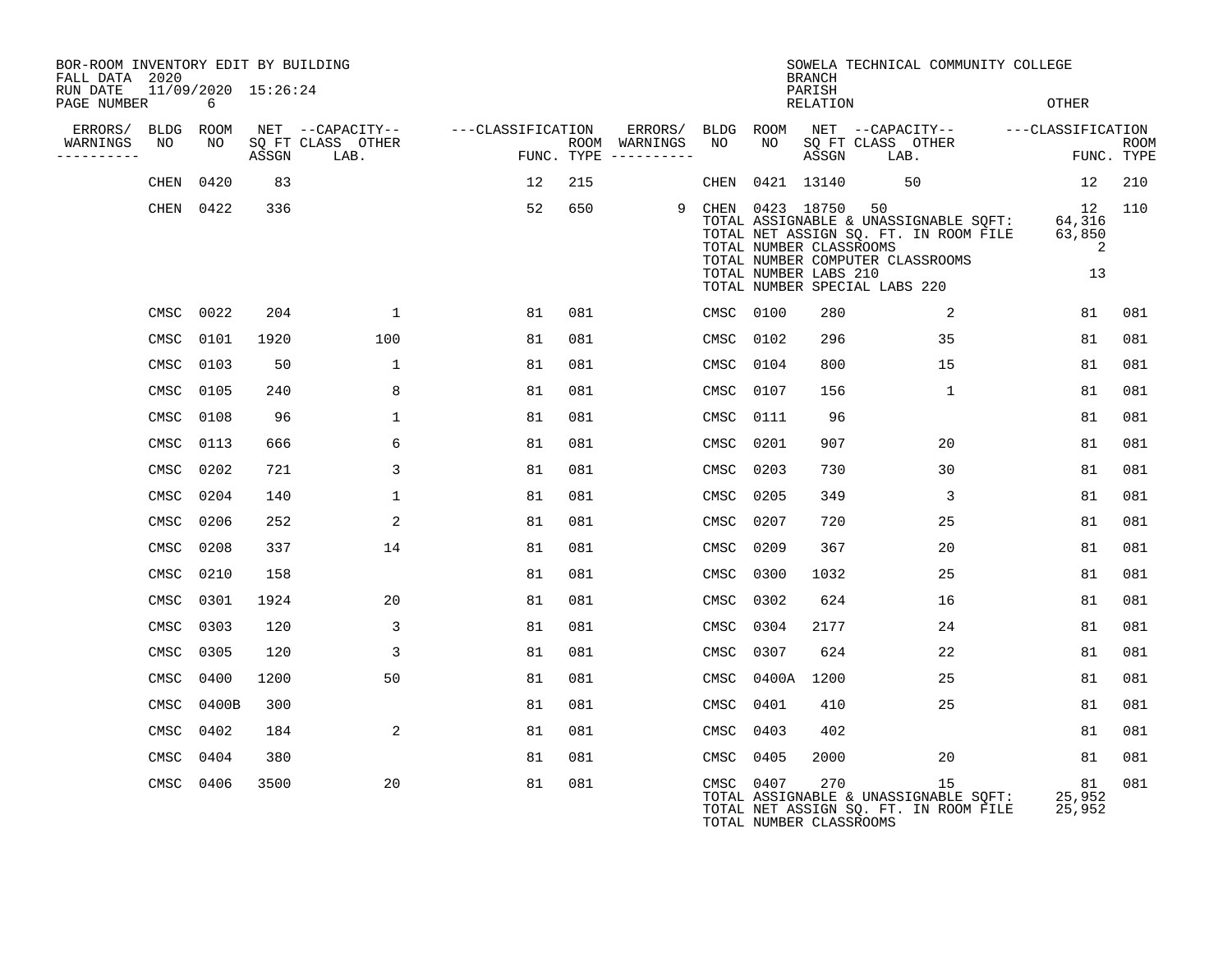| BOR-ROOM INVENTORY EDIT BY BUILDING<br>FALL DATA 2020 |           |                     |                           |                   |     |                                      |      |                                                                        | <b>BRANCH</b>      | SOWELA TECHNICAL COMMUNITY COLLEGE                                                                                                                  |                                   |                           |
|-------------------------------------------------------|-----------|---------------------|---------------------------|-------------------|-----|--------------------------------------|------|------------------------------------------------------------------------|--------------------|-----------------------------------------------------------------------------------------------------------------------------------------------------|-----------------------------------|---------------------------|
| RUN DATE<br>PAGE NUMBER                               | 6         | 11/09/2020 15:26:24 |                           |                   |     |                                      |      |                                                                        | PARISH<br>RELATION |                                                                                                                                                     | OTHER                             |                           |
| ERRORS/                                               | BLDG ROOM |                     | NET --CAPACITY--          | ---CLASSIFICATION |     | ERRORS/                              | BLDG | ROOM                                                                   |                    | NET --CAPACITY--                                                                                                                                    | ---CLASSIFICATION                 |                           |
| WARNINGS<br>NO<br>----------                          | NO        | ASSGN               | SQ FT CLASS OTHER<br>LAB. |                   |     | ROOM WARNINGS<br>FUNC. TYPE $------$ | NO   | NO                                                                     | ASSGN              | SQ FT CLASS OTHER<br>LAB.                                                                                                                           |                                   | <b>ROOM</b><br>FUNC. TYPE |
| CHEN                                                  | 0420      | 83                  |                           | 12                | 215 |                                      | CHEN |                                                                        | 0421 13140         | 50                                                                                                                                                  | 12                                | 210                       |
|                                                       | CHEN 0422 | 336                 |                           | 52                | 650 | 9                                    |      | CHEN 0423 18750 50<br>TOTAL NUMBER CLASSROOMS<br>TOTAL NUMBER LABS 210 |                    | TOTAL ASSIGNABLE & UNASSIGNABLE SQFT:<br>TOTAL NET ASSIGN SQ. FT. IN ROOM FILE<br>TOTAL NUMBER COMPUTER CLASSROOMS<br>TOTAL NUMBER SPECIAL LABS 220 | 12<br>64,316<br>63,850<br>2<br>13 | 110                       |
| CMSC                                                  | 0022      | 204                 | $\mathbf{1}$              | 81                | 081 |                                      |      | CMSC 0100                                                              | 280                | 2                                                                                                                                                   | 81                                | 081                       |
| CMSC                                                  | 0101      | 1920                | 100                       | 81                | 081 |                                      | CMSC | 0102                                                                   | 296                | 35                                                                                                                                                  | 81                                | 081                       |
| CMSC                                                  | 0103      | 50                  | $\mathbf 1$               | 81                | 081 |                                      | CMSC | 0104                                                                   | 800                | 15                                                                                                                                                  | 81                                | 081                       |
| CMSC                                                  | 0105      | 240                 | 8                         | 81                | 081 |                                      | CMSC | 0107                                                                   | 156                | $\mathbf{1}$                                                                                                                                        | 81                                | 081                       |
| CMSC                                                  | 0108      | 96                  | $\mathbf{1}$              | 81                | 081 |                                      | CMSC | 0111                                                                   | 96                 |                                                                                                                                                     | 81                                | 081                       |
| CMSC                                                  | 0113      | 666                 | 6                         | 81                | 081 |                                      | CMSC | 0201                                                                   | 907                | 20                                                                                                                                                  | 81                                | 081                       |
| CMSC                                                  | 0202      | 721                 | 3                         | 81                | 081 |                                      | CMSC | 0203                                                                   | 730                | 30                                                                                                                                                  | 81                                | 081                       |
| CMSC                                                  | 0204      | 140                 | 1                         | 81                | 081 |                                      | CMSC | 0205                                                                   | 349                | 3                                                                                                                                                   | 81                                | 081                       |
| CMSC                                                  | 0206      | 252                 | 2                         | 81                | 081 |                                      | CMSC | 0207                                                                   | 720                | 25                                                                                                                                                  | 81                                | 081                       |
| CMSC                                                  | 0208      | 337                 | 14                        | 81                | 081 |                                      | CMSC | 0209                                                                   | 367                | 20                                                                                                                                                  | 81                                | 081                       |
| CMSC                                                  | 0210      | 158                 |                           | 81                | 081 |                                      | CMSC | 0300                                                                   | 1032               | 25                                                                                                                                                  | 81                                | 081                       |
| CMSC                                                  | 0301      | 1924                | 20                        | 81                | 081 |                                      | CMSC | 0302                                                                   | 624                | 16                                                                                                                                                  | 81                                | 081                       |
| CMSC                                                  | 0303      | 120                 | 3                         | 81                | 081 |                                      | CMSC | 0304                                                                   | 2177               | 24                                                                                                                                                  | 81                                | 081                       |
| CMSC                                                  | 0305      | 120                 | 3                         | 81                | 081 |                                      | CMSC | 0307                                                                   | 624                | 22                                                                                                                                                  | 81                                | 081                       |
| CMSC                                                  | 0400      | 1200                | 50                        | 81                | 081 |                                      | CMSC | 0400A                                                                  | 1200               | 25                                                                                                                                                  | 81                                | 081                       |
| CMSC                                                  | 0400B     | 300                 |                           | 81                | 081 |                                      | CMSC | 0401                                                                   | 410                | 25                                                                                                                                                  | 81                                | 081                       |
| CMSC                                                  | 0402      | 184                 | 2                         | 81                | 081 |                                      | CMSC | 0403                                                                   | 402                |                                                                                                                                                     | 81                                | 081                       |
| CMSC                                                  | 0404      | 380                 |                           | 81                | 081 |                                      | CMSC | 0405                                                                   | 2000               | 20                                                                                                                                                  | 81                                | 081                       |
| CMSC                                                  | 0406      | 3500                | 20                        | 81                | 081 |                                      |      | CMSC 0407<br>TOTAL NUMBER CLASSROOMS                                   | 270                | 15<br>TOTAL ASSIGNABLE & UNASSIGNABLE SQFT:<br>TOTAL NET ASSIGN SQ. FT. IN ROOM FILE                                                                | 81<br>25,952<br>25,952            | 081                       |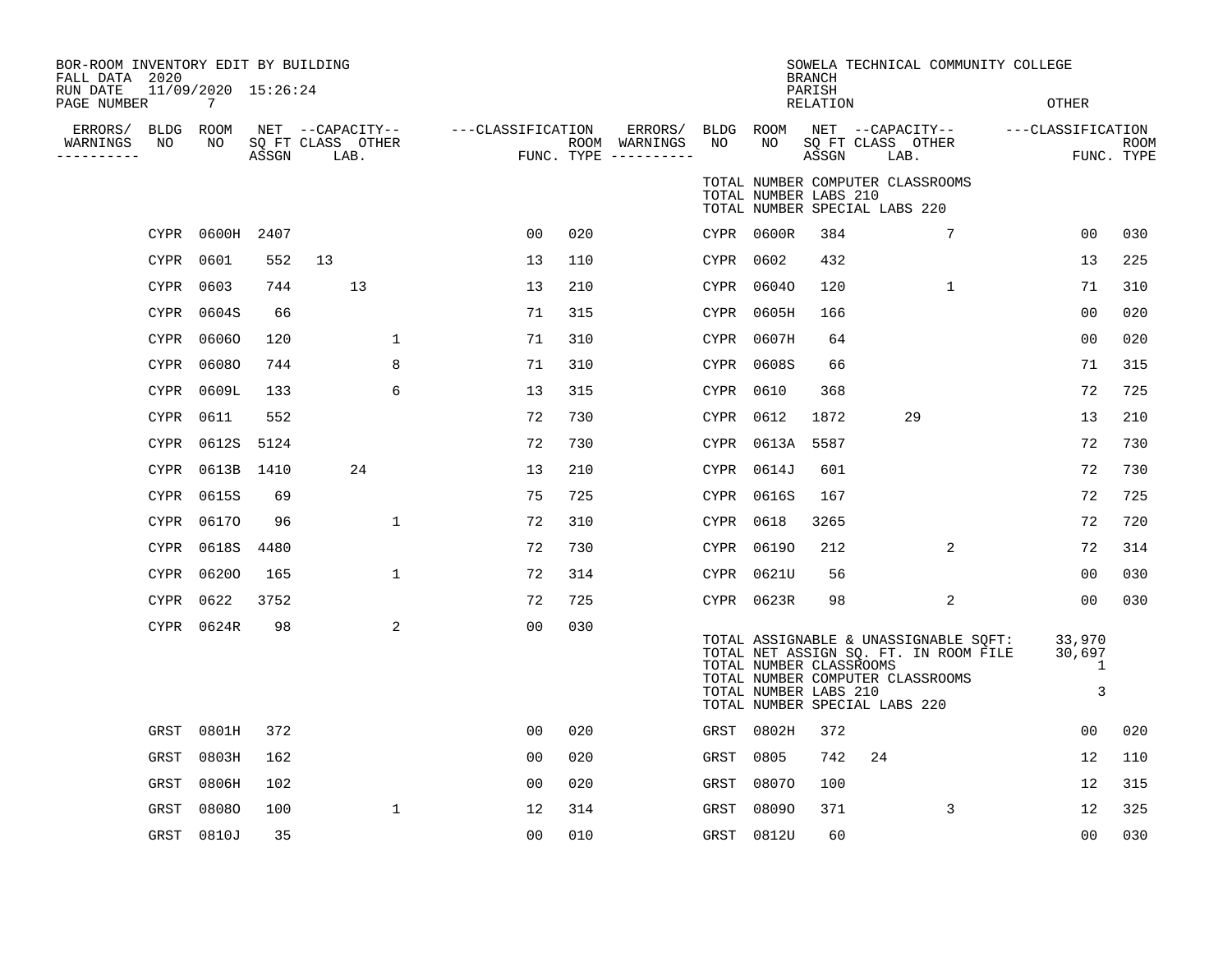| BOR-ROOM INVENTORY EDIT BY BUILDING<br>FALL DATA 2020<br>RUN DATE | 11/09/2020 15:26:24 |            |                                               |                   |     |                                                           |           |                                                  | <b>BRANCH</b><br>PARISH | SOWELA TECHNICAL COMMUNITY COLLEGE                                                                                                                  |                                         |                    |
|-------------------------------------------------------------------|---------------------|------------|-----------------------------------------------|-------------------|-----|-----------------------------------------------------------|-----------|--------------------------------------------------|-------------------------|-----------------------------------------------------------------------------------------------------------------------------------------------------|-----------------------------------------|--------------------|
| PAGE NUMBER                                                       | $7^{\circ}$         |            |                                               |                   |     |                                                           |           |                                                  | RELATION                |                                                                                                                                                     | OTHER                                   |                    |
| ERRORS/<br>NO<br>WARNINGS<br>---------                            | BLDG ROOM<br>NO     | ASSGN      | NET --CAPACITY--<br>SQ FT CLASS OTHER<br>LAB. | ---CLASSIFICATION |     | ERRORS/ BLDG ROOM<br>ROOM WARNINGS<br>FUNC. TYPE $------$ | NO        | NO                                               | ASSGN                   | NET --CAPACITY--<br>SQ FT CLASS OTHER<br>LAB.                                                                                                       | ---CLASSIFICATION                       | ROOM<br>FUNC. TYPE |
|                                                                   |                     |            |                                               |                   |     |                                                           |           | TOTAL NUMBER LABS 210                            |                         | TOTAL NUMBER COMPUTER CLASSROOMS<br>TOTAL NUMBER SPECIAL LABS 220                                                                                   |                                         |                    |
|                                                                   | CYPR 0600H          | 2407       |                                               | 00                | 020 |                                                           |           | CYPR 0600R                                       | 384                     | 7                                                                                                                                                   | 0 <sub>0</sub>                          | 030                |
|                                                                   | 0601<br>CYPR        | 552        | 13                                            | 13                | 110 |                                                           | CYPR 0602 |                                                  | 432                     |                                                                                                                                                     | 13                                      | 225                |
|                                                                   | 0603<br>CYPR        | 744        | 13                                            | 13                | 210 |                                                           |           | CYPR 06040                                       | 120                     | 1                                                                                                                                                   | 71                                      | 310                |
|                                                                   | 0604S<br>CYPR       | 66         |                                               | 71                | 315 |                                                           |           | CYPR 0605H                                       | 166                     |                                                                                                                                                     | 0 <sub>0</sub>                          | 020                |
|                                                                   | CYPR<br>06060       | 120        | $\mathbf{1}$                                  | 71                | 310 |                                                           |           | CYPR 0607H                                       | 64                      |                                                                                                                                                     | 00                                      | 020                |
|                                                                   | CYPR<br>06080       | 744        | 8                                             | 71                | 310 |                                                           |           | CYPR 0608S                                       | 66                      |                                                                                                                                                     | 71                                      | 315                |
|                                                                   | CYPR<br>0609L       | 133        | 6                                             | 13                | 315 |                                                           | CYPR 0610 |                                                  | 368                     |                                                                                                                                                     | 72                                      | 725                |
|                                                                   | CYPR<br>0611        | 552        |                                               | 72                | 730 |                                                           | CYPR 0612 |                                                  | 1872                    | 29                                                                                                                                                  | 13                                      | 210                |
|                                                                   | CYPR<br>0612S       | 5124       |                                               | 72                | 730 |                                                           |           | CYPR 0613A                                       | 5587                    |                                                                                                                                                     | 72                                      | 730                |
|                                                                   | CYPR                | 0613B 1410 | 24                                            | 13                | 210 |                                                           |           | CYPR 0614J                                       | 601                     |                                                                                                                                                     | 72                                      | 730                |
|                                                                   | 0615S<br>CYPR       | 69         |                                               | 75                | 725 |                                                           |           | CYPR 0616S                                       | 167                     |                                                                                                                                                     | 72                                      | 725                |
|                                                                   | CYPR<br>06170       | 96         | 1                                             | 72                | 310 |                                                           | CYPR 0618 |                                                  | 3265                    |                                                                                                                                                     | 72                                      | 720                |
|                                                                   | CYPR<br>0618S       | 4480       |                                               | 72                | 730 |                                                           |           | CYPR 06190                                       | 212                     | 2                                                                                                                                                   | 72                                      | 314                |
|                                                                   | CYPR 06200          | 165        | $\mathbf{1}$                                  | 72                | 314 |                                                           |           | CYPR 0621U                                       | 56                      |                                                                                                                                                     | 00                                      | 030                |
|                                                                   | 0622<br>CYPR        | 3752       |                                               | 72                | 725 |                                                           |           | CYPR 0623R                                       | 98                      | 2                                                                                                                                                   | 00                                      | 030                |
|                                                                   | CYPR 0624R          | 98         | 2                                             | 0 <sub>0</sub>    | 030 |                                                           |           | TOTAL NUMBER CLASSROOMS<br>TOTAL NUMBER LABS 210 |                         | TOTAL ASSIGNABLE & UNASSIGNABLE SQFT:<br>TOTAL NET ASSIGN SQ. FT. IN ROOM FILE<br>TOTAL NUMBER COMPUTER CLASSROOMS<br>TOTAL NUMBER SPECIAL LABS 220 | 33,970<br>30,697<br>$\overline{1}$<br>3 |                    |
|                                                                   | 0801H<br>GRST       | 372        |                                               | 00                | 020 |                                                           |           | GRST 0802H                                       | 372                     |                                                                                                                                                     | 00                                      | 020                |
| GRST                                                              | 0803H               | 162        |                                               | 00                | 020 |                                                           | GRST      | 0805                                             | 742                     | 24                                                                                                                                                  | 12                                      | 110                |
| GRST                                                              | 0806H               | 102        |                                               | 0 <sub>0</sub>    | 020 |                                                           | GRST      | 08070                                            | 100                     |                                                                                                                                                     | 12                                      | 315                |
| <b>GRST</b>                                                       | 08080               | 100        | $\mathbf{1}$                                  | 12                | 314 |                                                           | GRST      | 08090                                            | 371                     | 3                                                                                                                                                   | 12                                      | 325                |
|                                                                   | GRST<br>0810J       | 35         |                                               | 0 <sub>0</sub>    | 010 |                                                           |           | GRST 0812U                                       | 60                      |                                                                                                                                                     | 0 <sub>0</sub>                          | 030                |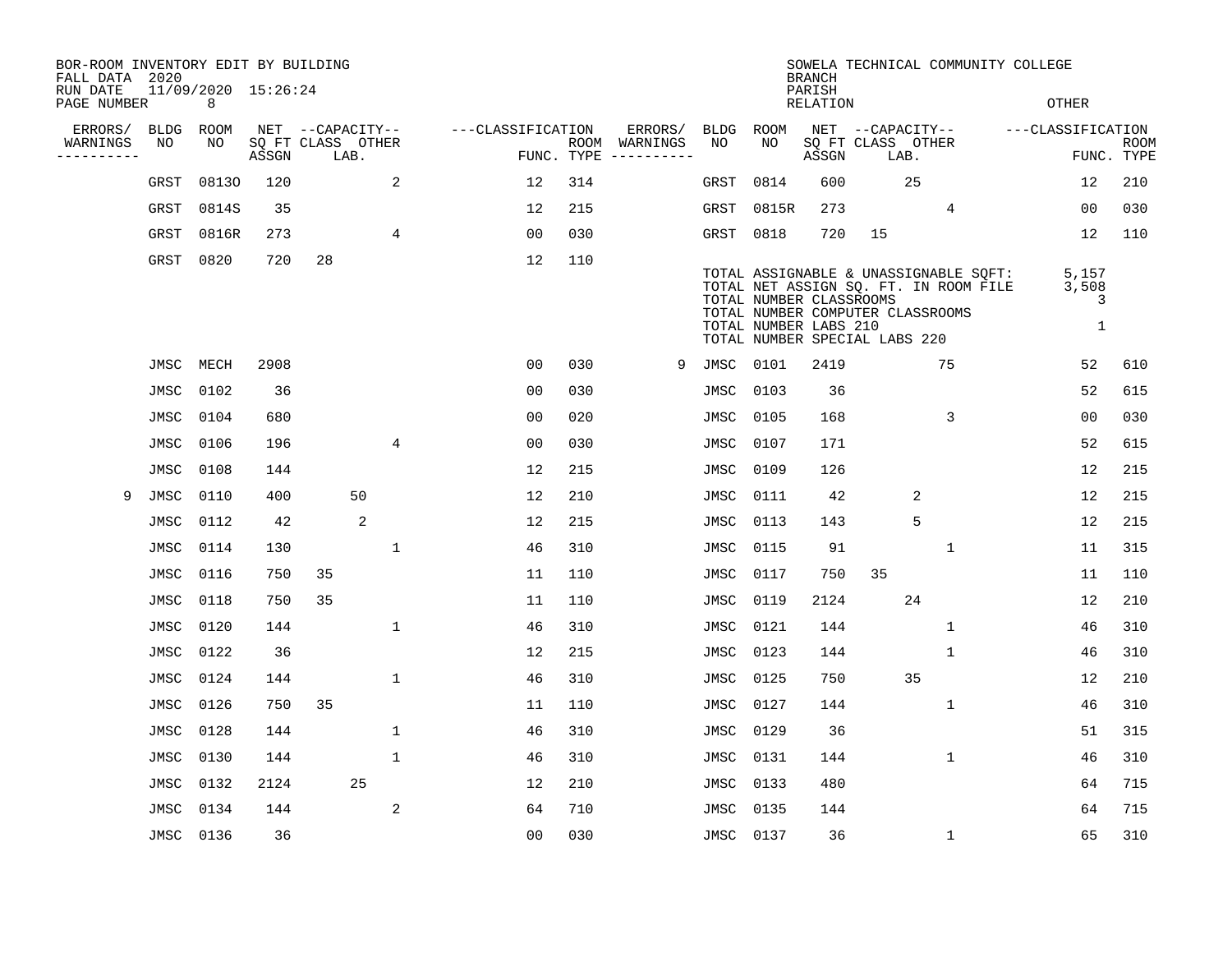| BOR-ROOM INVENTORY EDIT BY BUILDING<br>FALL DATA 2020 |             |                          |       |                   |      |             |                   |            |                              |           |                                                  | <b>BRANCH</b>      | SOWELA TECHNICAL COMMUNITY COLLEGE                                                                                                                  |              |                          |                    |
|-------------------------------------------------------|-------------|--------------------------|-------|-------------------|------|-------------|-------------------|------------|------------------------------|-----------|--------------------------------------------------|--------------------|-----------------------------------------------------------------------------------------------------------------------------------------------------|--------------|--------------------------|--------------------|
| RUN DATE<br>PAGE NUMBER                               |             | 11/09/2020 15:26:24<br>8 |       |                   |      |             |                   |            |                              |           |                                                  | PARISH<br>RELATION |                                                                                                                                                     |              | OTHER                    |                    |
| ERRORS/                                               | <b>BLDG</b> | ROOM                     |       | NET --CAPACITY--  |      |             | ---CLASSIFICATION |            | ERRORS/                      |           | BLDG ROOM                                        |                    | NET --CAPACITY--                                                                                                                                    |              | ---CLASSIFICATION        |                    |
| WARNINGS<br>$- - - - - - -$                           | NO          | NO                       | ASSGN | SQ FT CLASS OTHER | LAB. |             |                   | FUNC. TYPE | ROOM WARNINGS<br>----------- | NO        | NO                                               | ASSGN              | SQ FT CLASS OTHER<br>LAB.                                                                                                                           |              |                          | ROOM<br>FUNC. TYPE |
|                                                       | GRST        | 08130                    | 120   |                   |      | 2           | 12                | 314        |                              | GRST      | 0814                                             | 600                | 25                                                                                                                                                  |              | 12                       | 210                |
|                                                       | GRST        | 0814S                    | 35    |                   |      |             | 12                | 215        |                              | GRST      | 0815R                                            | 273                |                                                                                                                                                     | 4            | 00                       | 030                |
|                                                       | GRST        | 0816R                    | 273   |                   |      | 4           | 00                | 030        |                              | GRST      | 0818                                             | 720                | 15                                                                                                                                                  |              | 12                       | 110                |
|                                                       | GRST        | 0820                     | 720   | 28                |      |             | 12                | 110        |                              |           | TOTAL NUMBER CLASSROOMS<br>TOTAL NUMBER LABS 210 |                    | TOTAL ASSIGNABLE & UNASSIGNABLE SQFT:<br>TOTAL NET ASSIGN SQ. FT. IN ROOM FILE<br>TOTAL NUMBER COMPUTER CLASSROOMS<br>TOTAL NUMBER SPECIAL LABS 220 |              | 5,157<br>3,508<br>3<br>1 |                    |
|                                                       | JMSC        | MECH                     | 2908  |                   |      |             | 0 <sub>0</sub>    | 030        | 9                            | JMSC      | 0101                                             | 2419               |                                                                                                                                                     | 75           | 52                       | 610                |
|                                                       | JMSC        | 0102                     | 36    |                   |      |             | 0 <sub>0</sub>    | 030        |                              | JMSC      | 0103                                             | 36                 |                                                                                                                                                     |              | 52                       | 615                |
|                                                       | JMSC        | 0104                     | 680   |                   |      |             | 0 <sub>0</sub>    | 020        |                              | JMSC      | 0105                                             | 168                |                                                                                                                                                     | 3            | 0 <sub>0</sub>           | 030                |
|                                                       | JMSC        | 0106                     | 196   |                   |      | 4           | 0 <sub>0</sub>    | 030        |                              | JMSC      | 0107                                             | 171                |                                                                                                                                                     |              | 52                       | 615                |
|                                                       | JMSC        | 0108                     | 144   |                   |      |             | 12                | 215        |                              | JMSC      | 0109                                             | 126                |                                                                                                                                                     |              | 12                       | 215                |
| 9                                                     | JMSC        | 0110                     | 400   |                   | 50   |             | 12                | 210        |                              | JMSC      | 0111                                             | 42                 |                                                                                                                                                     | 2            | 12                       | 215                |
|                                                       | JMSC        | 0112                     | 42    |                   | 2    |             | 12                | 215        |                              | JMSC      | 0113                                             | 143                |                                                                                                                                                     | 5            | 12                       | 215                |
|                                                       | JMSC        | 0114                     | 130   |                   |      | 1           | 46                | 310        |                              | JMSC      | 0115                                             | 91                 |                                                                                                                                                     | $\mathbf 1$  | 11                       | 315                |
|                                                       | JMSC        | 0116                     | 750   | 35                |      |             | 11                | 110        |                              | JMSC      | 0117                                             | 750                | 35                                                                                                                                                  |              | 11                       | 110                |
|                                                       | JMSC        | 0118                     | 750   | 35                |      |             | 11                | 110        |                              | JMSC      | 0119                                             | 2124               | 24                                                                                                                                                  |              | 12                       | 210                |
|                                                       | JMSC        | 0120                     | 144   |                   |      | 1           | 46                | 310        |                              | JMSC      | 0121                                             | 144                |                                                                                                                                                     | 1            | 46                       | 310                |
|                                                       | JMSC        | 0122                     | 36    |                   |      |             | 12                | 215        |                              | JMSC      | 0123                                             | 144                |                                                                                                                                                     | $\mathbf 1$  | 46                       | 310                |
|                                                       | JMSC        | 0124                     | 144   |                   |      | $\mathbf 1$ | 46                | 310        |                              | JMSC      | 0125                                             | 750                | 35                                                                                                                                                  |              | 12                       | 210                |
|                                                       | JMSC        | 0126                     | 750   | 35                |      |             | 11                | 110        |                              | JMSC      | 0127                                             | 144                |                                                                                                                                                     | $\mathbf 1$  | 46                       | 310                |
|                                                       | JMSC        | 0128                     | 144   |                   |      | $\mathbf 1$ | 46                | 310        |                              | JMSC      | 0129                                             | 36                 |                                                                                                                                                     |              | 51                       | 315                |
|                                                       | JMSC        | 0130                     | 144   |                   |      | 1           | 46                | 310        |                              | JMSC      | 0131                                             | 144                |                                                                                                                                                     | 1            | 46                       | 310                |
|                                                       | JMSC        | 0132                     | 2124  |                   | 25   |             | 12                | 210        |                              | JMSC      | 0133                                             | 480                |                                                                                                                                                     |              | 64                       | 715                |
|                                                       | JMSC        | 0134                     | 144   |                   |      | 2           | 64                | 710        |                              | JMSC      | 0135                                             | 144                |                                                                                                                                                     |              | 64                       | 715                |
|                                                       | JMSC 0136   |                          | 36    |                   |      |             | 0 <sub>0</sub>    | 030        |                              | JMSC 0137 |                                                  | 36                 |                                                                                                                                                     | $\mathbf{1}$ | 65                       | 310                |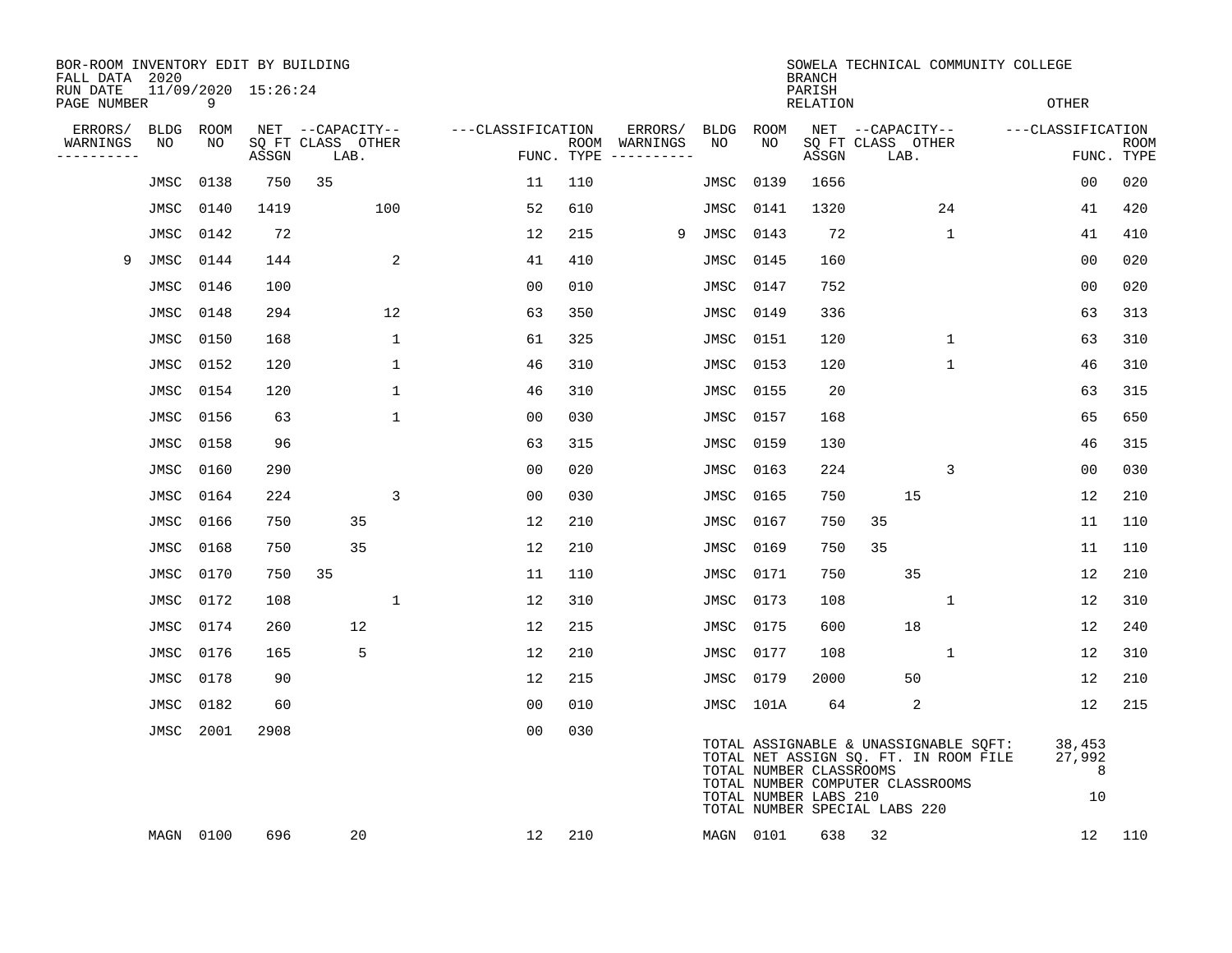| BOR-ROOM INVENTORY EDIT BY BUILDING<br>FALL DATA 2020 |      |           |                     |                           |              |                   |     |                                      |             |             | <b>BRANCH</b>                                    |                                                                                                                                                     |              | SOWELA TECHNICAL COMMUNITY COLLEGE |                             |             |
|-------------------------------------------------------|------|-----------|---------------------|---------------------------|--------------|-------------------|-----|--------------------------------------|-------------|-------------|--------------------------------------------------|-----------------------------------------------------------------------------------------------------------------------------------------------------|--------------|------------------------------------|-----------------------------|-------------|
| RUN DATE<br>PAGE NUMBER                               |      | 9         | 11/09/2020 15:26:24 |                           |              |                   |     |                                      |             |             | PARISH<br><b>RELATION</b>                        |                                                                                                                                                     |              |                                    | <b>OTHER</b>                |             |
| ERRORS/                                               | BLDG | ROOM      |                     | NET --CAPACITY--          |              | ---CLASSIFICATION |     | ERRORS/                              | <b>BLDG</b> | <b>ROOM</b> |                                                  | NET --CAPACITY--                                                                                                                                    |              | ---CLASSIFICATION                  |                             |             |
| WARNINGS<br>----------                                | NO   | NO        | ASSGN               | SQ FT CLASS OTHER<br>LAB. |              |                   |     | ROOM WARNINGS<br>FUNC. TYPE $------$ | NO          | NO          | ASSGN                                            | SQ FT CLASS OTHER<br>LAB.                                                                                                                           |              |                                    | FUNC. TYPE                  | <b>ROOM</b> |
|                                                       | JMSC | 0138      | 750                 | 35                        |              | 11                | 110 |                                      | JMSC        | 0139        | 1656                                             |                                                                                                                                                     |              |                                    | 00                          | 020         |
|                                                       | JMSC | 0140      | 1419                | 100                       |              | 52                | 610 |                                      | JMSC        | 0141        | 1320                                             |                                                                                                                                                     | 24           |                                    | 41                          | 420         |
|                                                       | JMSC | 0142      | 72                  |                           |              | 12                | 215 | 9                                    | JMSC        | 0143        | 72                                               |                                                                                                                                                     | $\mathbf 1$  |                                    | 41                          | 410         |
| 9                                                     | JMSC | 0144      | 144                 |                           | 2            | 41                | 410 |                                      | JMSC        | 0145        | 160                                              |                                                                                                                                                     |              |                                    | 00                          | 020         |
|                                                       | JMSC | 0146      | 100                 |                           |              | 0 <sub>0</sub>    | 010 |                                      | JMSC        | 0147        | 752                                              |                                                                                                                                                     |              |                                    | 0 <sub>0</sub>              | 020         |
|                                                       | JMSC | 0148      | 294                 |                           | 12           | 63                | 350 |                                      | JMSC        | 0149        | 336                                              |                                                                                                                                                     |              |                                    | 63                          | 313         |
|                                                       | JMSC | 0150      | 168                 |                           | $\mathbf{1}$ | 61                | 325 |                                      | JMSC        | 0151        | 120                                              |                                                                                                                                                     | 1            |                                    | 63                          | 310         |
|                                                       | JMSC | 0152      | 120                 |                           | $\mathbf 1$  | 46                | 310 |                                      | JMSC        | 0153        | 120                                              |                                                                                                                                                     | $\mathbf{1}$ |                                    | 46                          | 310         |
|                                                       | JMSC | 0154      | 120                 |                           | 1            | 46                | 310 |                                      | JMSC        | 0155        | 20                                               |                                                                                                                                                     |              |                                    | 63                          | 315         |
|                                                       | JMSC | 0156      | 63                  |                           | $\mathbf{1}$ | 0 <sub>0</sub>    | 030 |                                      | JMSC        | 0157        | 168                                              |                                                                                                                                                     |              |                                    | 65                          | 650         |
|                                                       | JMSC | 0158      | 96                  |                           |              | 63                | 315 |                                      | JMSC        | 0159        | 130                                              |                                                                                                                                                     |              |                                    | 46                          | 315         |
|                                                       | JMSC | 0160      | 290                 |                           |              | 0 <sub>0</sub>    | 020 |                                      | <b>JMSC</b> | 0163        | 224                                              |                                                                                                                                                     | 3            |                                    | 0 <sub>0</sub>              | 030         |
|                                                       | JMSC | 0164      | 224                 |                           | 3            | 00                | 030 |                                      | JMSC        | 0165        | 750                                              | 15                                                                                                                                                  |              |                                    | 12                          | 210         |
|                                                       | JMSC | 0166      | 750                 | 35                        |              | 12                | 210 |                                      | JMSC        | 0167        | 750                                              | 35                                                                                                                                                  |              |                                    | 11                          | 110         |
|                                                       | JMSC | 0168      | 750                 | 35                        |              | 12                | 210 |                                      | JMSC        | 0169        | 750                                              | 35                                                                                                                                                  |              |                                    | 11                          | 110         |
|                                                       | JMSC | 0170      | 750                 | 35                        |              | 11                | 110 |                                      | JMSC        | 0171        | 750                                              | 35                                                                                                                                                  |              |                                    | 12                          | 210         |
|                                                       | JMSC | 0172      | 108                 |                           | $\mathbf{1}$ | 12                | 310 |                                      | JMSC        | 0173        | 108                                              |                                                                                                                                                     | 1            |                                    | 12                          | 310         |
|                                                       | JMSC | 0174      | 260                 | 12                        |              | 12                | 215 |                                      | JMSC        | 0175        | 600                                              | 18                                                                                                                                                  |              |                                    | 12                          | 240         |
|                                                       | JMSC | 0176      | 165                 | 5                         |              | 12                | 210 |                                      | JMSC        | 0177        | 108                                              |                                                                                                                                                     | 1            |                                    | 12                          | 310         |
|                                                       | JMSC | 0178      | 90                  |                           |              | 12                | 215 |                                      | JMSC        | 0179        | 2000                                             | 50                                                                                                                                                  |              |                                    | 12                          | 210         |
|                                                       | JMSC | 0182      | 60                  |                           |              | 0 <sub>0</sub>    | 010 |                                      |             | JMSC 101A   | 64                                               | 2                                                                                                                                                   |              |                                    | 12                          | 215         |
|                                                       | JMSC | 2001      | 2908                |                           |              | 0 <sub>0</sub>    | 030 |                                      |             |             | TOTAL NUMBER CLASSROOMS<br>TOTAL NUMBER LABS 210 | TOTAL ASSIGNABLE & UNASSIGNABLE SQFT:<br>TOTAL NET ASSIGN SQ. FT. IN ROOM FILE<br>TOTAL NUMBER COMPUTER CLASSROOMS<br>TOTAL NUMBER SPECIAL LABS 220 |              |                                    | 38,453<br>27,992<br>8<br>10 |             |
|                                                       |      | MAGN 0100 | 696                 | 20                        |              | 12                | 210 |                                      |             | MAGN 0101   | 638                                              | 32                                                                                                                                                  |              |                                    | 12                          | 110         |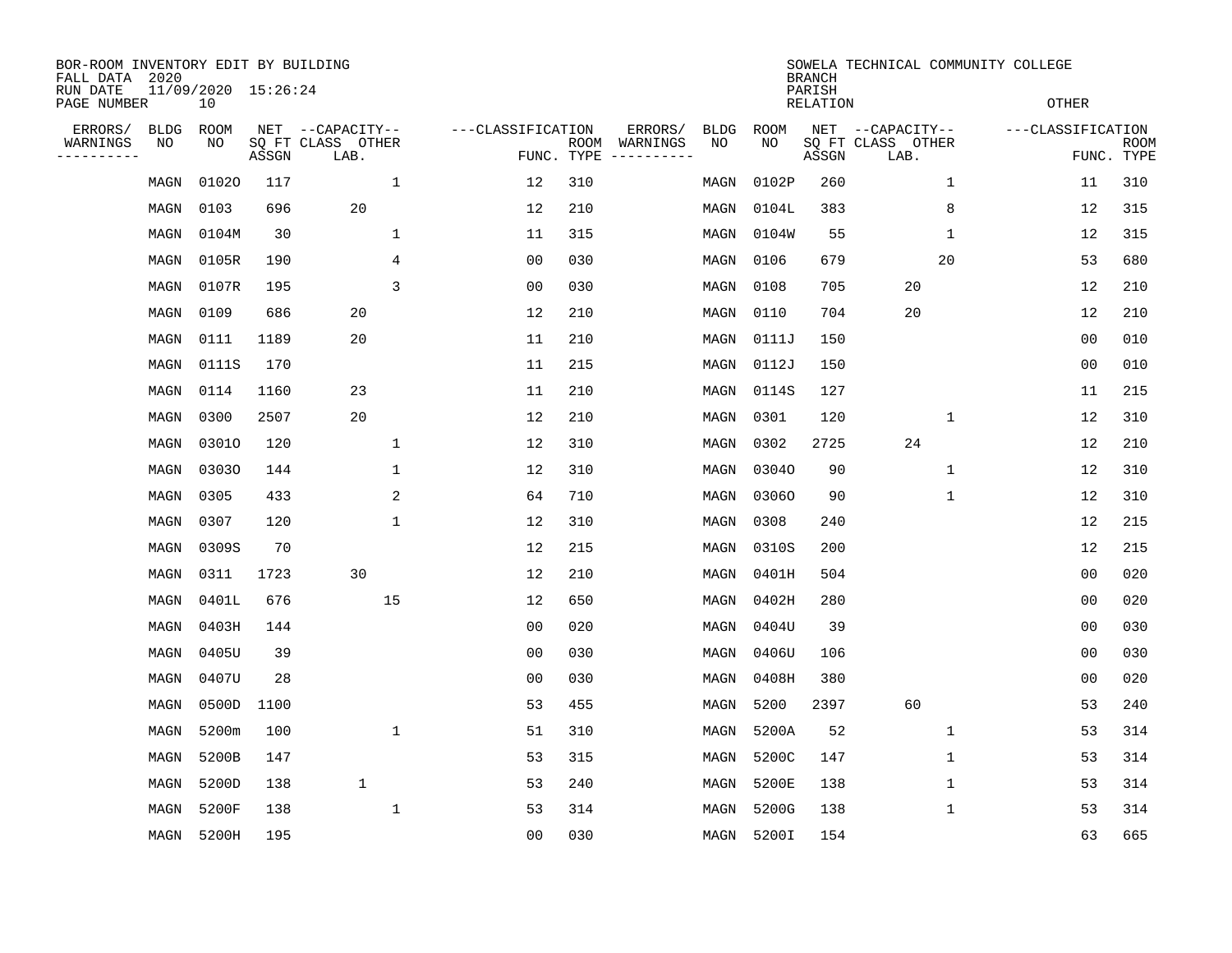| BOR-ROOM INVENTORY EDIT BY BUILDING<br>FALL DATA 2020 |      |                           |       |                           |                   |                    |          |             |             | <b>BRANCH</b>             |                           |              | SOWELA TECHNICAL COMMUNITY COLLEGE |                           |
|-------------------------------------------------------|------|---------------------------|-------|---------------------------|-------------------|--------------------|----------|-------------|-------------|---------------------------|---------------------------|--------------|------------------------------------|---------------------------|
| RUN DATE<br>PAGE NUMBER                               |      | 11/09/2020 15:26:24<br>10 |       |                           |                   |                    |          |             |             | PARISH<br><b>RELATION</b> |                           |              | <b>OTHER</b>                       |                           |
| ERRORS/                                               | BLDG | <b>ROOM</b>               |       | NET --CAPACITY--          | ---CLASSIFICATION |                    | ERRORS/  | <b>BLDG</b> | <b>ROOM</b> |                           | NET --CAPACITY--          |              | ---CLASSIFICATION                  |                           |
| WARNINGS<br>----------                                | NO   | NO                        | ASSGN | SQ FT CLASS OTHER<br>LAB. |                   | ROOM<br>FUNC. TYPE | WARNINGS | NO          | NO          | ASSGN                     | SQ FT CLASS OTHER<br>LAB. |              |                                    | <b>ROOM</b><br>FUNC. TYPE |
|                                                       | MAGN | 01020                     | 117   | 1                         | 12                | 310                |          | MAGN        | 0102P       | 260                       |                           | $\mathbf 1$  | 11                                 | 310                       |
|                                                       | MAGN | 0103                      | 696   | 20                        | 12                | 210                |          | MAGN        | 0104L       | 383                       |                           | 8            | 12                                 | 315                       |
|                                                       | MAGN | 0104M                     | 30    | $\mathbf 1$               | 11                | 315                |          | MAGN        | 0104W       | 55                        |                           | 1            | 12                                 | 315                       |
|                                                       | MAGN | 0105R                     | 190   | 4                         | 0 <sub>0</sub>    | 030                |          | MAGN        | 0106        | 679                       |                           | 20           | 53                                 | 680                       |
|                                                       | MAGN | 0107R                     | 195   | 3                         | 0 <sub>0</sub>    | 030                |          | MAGN        | 0108        | 705                       | 20                        |              | 12                                 | 210                       |
|                                                       | MAGN | 0109                      | 686   | 20                        | 12                | 210                |          | MAGN        | 0110        | 704                       | 20                        |              | 12                                 | 210                       |
|                                                       | MAGN | 0111                      | 1189  | 20                        | 11                | 210                |          | MAGN        | 0111J       | 150                       |                           |              | 0 <sub>0</sub>                     | 010                       |
|                                                       | MAGN | 0111S                     | 170   |                           | 11                | 215                |          | MAGN        | 0112J       | 150                       |                           |              | 0 <sub>0</sub>                     | 010                       |
|                                                       | MAGN | 0114                      | 1160  | 23                        | 11                | 210                |          | MAGN        | 0114S       | 127                       |                           |              | 11                                 | 215                       |
|                                                       | MAGN | 0300                      | 2507  | 20                        | 12                | 210                |          | MAGN        | 0301        | 120                       |                           | 1            | 12                                 | 310                       |
|                                                       | MAGN | 03010                     | 120   | 1                         | 12                | 310                |          | MAGN        | 0302        | 2725                      | 24                        |              | 12                                 | 210                       |
|                                                       | MAGN | 03030                     | 144   | $\mathbf 1$               | 12                | 310                |          | MAGN        | 03040       | 90                        |                           | $\mathbf{1}$ | 12                                 | 310                       |
|                                                       | MAGN | 0305                      | 433   | 2                         | 64                | 710                |          | MAGN        | 03060       | 90                        |                           | 1            | 12                                 | 310                       |
|                                                       | MAGN | 0307                      | 120   | 1                         | 12                | 310                |          | MAGN        | 0308        | 240                       |                           |              | 12                                 | 215                       |
|                                                       | MAGN | 0309S                     | 70    |                           | 12                | 215                |          | MAGN        | 0310S       | 200                       |                           |              | 12                                 | 215                       |
|                                                       | MAGN | 0311                      | 1723  | 30                        | 12                | 210                |          | MAGN        | 0401H       | 504                       |                           |              | 0 <sub>0</sub>                     | 020                       |
|                                                       | MAGN | 0401L                     | 676   | 15                        | 12                | 650                |          | MAGN        | 0402H       | 280                       |                           |              | 0 <sub>0</sub>                     | 020                       |
|                                                       | MAGN | 0403H                     | 144   |                           | 0 <sub>0</sub>    | 020                |          | MAGN        | 0404U       | 39                        |                           |              | 0 <sub>0</sub>                     | 030                       |
|                                                       | MAGN | 0405U                     | 39    |                           | 0 <sub>0</sub>    | 030                |          | MAGN        | 0406U       | 106                       |                           |              | 0 <sub>0</sub>                     | 030                       |
|                                                       | MAGN | 0407U                     | 28    |                           | 0 <sub>0</sub>    | 030                |          | MAGN        | 0408H       | 380                       |                           |              | 0 <sub>0</sub>                     | 020                       |
|                                                       | MAGN | 0500D                     | 1100  |                           | 53                | 455                |          | MAGN        | 5200        | 2397                      | 60                        |              | 53                                 | 240                       |
|                                                       | MAGN | 5200m                     | 100   | 1                         | 51                | 310                |          | MAGN        | 5200A       | 52                        |                           | 1            | 53                                 | 314                       |
|                                                       | MAGN | 5200B                     | 147   |                           | 53                | 315                |          | MAGN        | 5200C       | 147                       |                           | 1            | 53                                 | 314                       |
|                                                       | MAGN | 5200D                     | 138   | $\mathbf 1$               | 53                | 240                |          | MAGN        | 5200E       | 138                       |                           | $\mathbf 1$  | 53                                 | 314                       |
|                                                       | MAGN | 5200F                     | 138   | $\mathbf 1$               | 53                | 314                |          | MAGN        | 5200G       | 138                       |                           | 1            | 53                                 | 314                       |
|                                                       | MAGN | 5200H                     | 195   |                           | 0 <sub>0</sub>    | 030                |          | MAGN        | 5200I       | 154                       |                           |              | 63                                 | 665                       |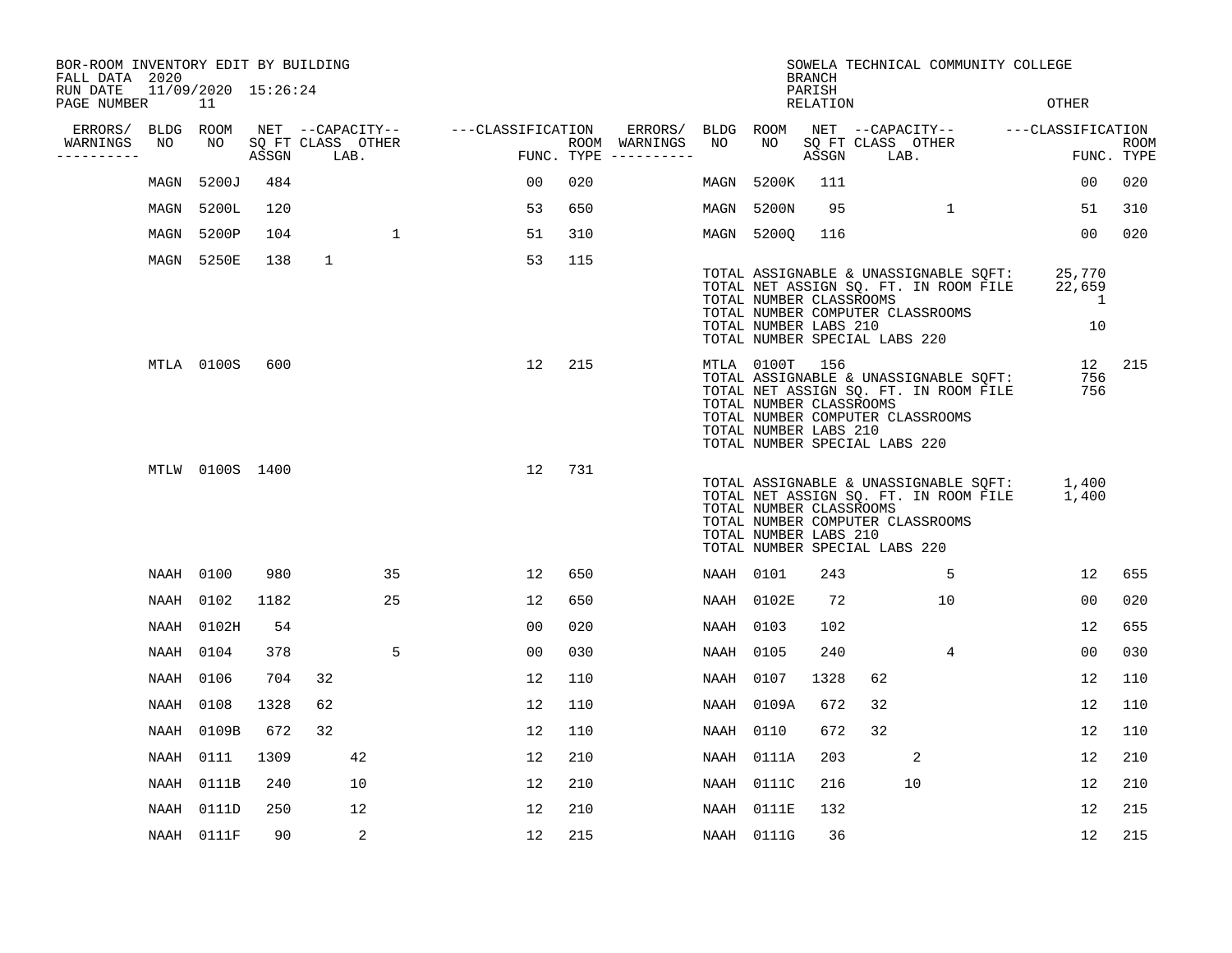| BOR-ROOM INVENTORY EDIT BY BUILDING<br>FALL DATA 2020 |           |                           |       |              |                           |                                    |                |     |                                      |           |                                                                                                                                         | <b>BRANCH</b>      |    |                           | SOWELA TECHNICAL COMMUNITY COLLEGE                                             |                                          |                           |
|-------------------------------------------------------|-----------|---------------------------|-------|--------------|---------------------------|------------------------------------|----------------|-----|--------------------------------------|-----------|-----------------------------------------------------------------------------------------------------------------------------------------|--------------------|----|---------------------------|--------------------------------------------------------------------------------|------------------------------------------|---------------------------|
| RUN DATE<br>PAGE NUMBER                               |           | 11/09/2020 15:26:24<br>11 |       |              |                           |                                    |                |     |                                      |           |                                                                                                                                         | PARISH<br>RELATION |    |                           |                                                                                | OTHER                                    |                           |
| ERRORS/                                               | BLDG ROOM |                           |       |              |                           | NET --CAPACITY-- ---CLASSIFICATION |                |     | ERRORS/ BLDG ROOM                    |           |                                                                                                                                         |                    |    |                           |                                                                                | NET --CAPACITY-- - ---CLASSIFICATION     |                           |
| WARNINGS<br>----------                                | NO        | NO                        | ASSGN |              | SQ FT CLASS OTHER<br>LAB. |                                    |                |     | ROOM WARNINGS<br>FUNC. TYPE $------$ | NO        | NO                                                                                                                                      | ASSGN              |    | SQ FT CLASS OTHER<br>LAB. |                                                                                |                                          | <b>ROOM</b><br>FUNC. TYPE |
|                                                       | MAGN      | 5200J                     | 484   |              |                           |                                    | 00             | 020 |                                      | MAGN      | 5200K                                                                                                                                   | 111                |    |                           |                                                                                | 00                                       | 020                       |
|                                                       | MAGN      | 5200L                     | 120   |              |                           |                                    | 53             | 650 |                                      | MAGN      | 5200N                                                                                                                                   | 95                 |    | 1                         |                                                                                | 51                                       | 310                       |
|                                                       | MAGN      | 5200P                     | 104   |              | $\mathbf{1}$              |                                    | 51             | 310 |                                      |           | MAGN 5200Q                                                                                                                              | 116                |    |                           |                                                                                | 00                                       | 020                       |
|                                                       | MAGN      | 5250E                     | 138   | $\mathbf{1}$ |                           |                                    | 53             | 115 |                                      |           | TOTAL NUMBER CLASSROOMS<br>TOTAL NUMBER COMPUTER CLASSROOMS<br>TOTAL NUMBER LABS 210<br>TOTAL NUMBER SPECIAL LABS 220                   |                    |    |                           | TOTAL ASSIGNABLE & UNASSIGNABLE SQFT:<br>TOTAL NET ASSIGN SQ. FT. IN ROOM FILE | 25,770<br>22,659<br>$\overline{1}$<br>10 |                           |
|                                                       |           | MTLA 0100S                | 600   |              |                           |                                    | 12             | 215 |                                      |           | MTLA 0100T 156<br>TOTAL NUMBER CLASSROOMS<br>TOTAL NUMBER COMPUTER CLASSROOMS<br>TOTAL NUMBER LABS 210<br>TOTAL NUMBER SPECIAL LABS 220 |                    |    |                           | TOTAL ASSIGNABLE & UNASSIGNABLE SOFT:<br>TOTAL NET ASSIGN SQ. FT. IN ROOM FILE | 12<br>756<br>756                         | 215                       |
|                                                       |           | MTLW 0100S 1400           |       |              |                           |                                    | 12             | 731 |                                      |           | TOTAL NUMBER CLASSROOMS<br>TOTAL NUMBER COMPUTER CLASSROOMS<br>TOTAL NUMBER LABS 210<br>TOTAL NUMBER SPECIAL LABS 220                   |                    |    |                           | TOTAL ASSIGNABLE & UNASSIGNABLE SQFT:<br>TOTAL NET ASSIGN SQ. FT. IN ROOM FILE | 1,400<br>1,400                           |                           |
|                                                       | NAAH 0100 |                           | 980   |              | 35                        |                                    | 12             | 650 |                                      | NAAH 0101 |                                                                                                                                         | 243                |    | 5                         |                                                                                | $12 \overline{ }$                        | 655                       |
|                                                       | NAAH      | 0102                      | 1182  |              | 25                        |                                    | 12             | 650 |                                      |           | NAAH 0102E                                                                                                                              | 72                 |    | 10                        |                                                                                | 00                                       | 020                       |
|                                                       | NAAH      | 0102H                     | 54    |              |                           |                                    | 00             | 020 |                                      | NAAH 0103 |                                                                                                                                         | 102                |    |                           |                                                                                | 12                                       | 655                       |
|                                                       | NAAH      | 0104                      | 378   |              | 5                         |                                    | 0 <sup>0</sup> | 030 |                                      | NAAH 0105 |                                                                                                                                         | 240                |    | 4                         |                                                                                | 00                                       | 030                       |
|                                                       | NAAH      | 0106                      | 704   | 32           |                           |                                    | 12             | 110 |                                      | NAAH 0107 |                                                                                                                                         | 1328               | 62 |                           |                                                                                | 12                                       | 110                       |
|                                                       | NAAH      | 0108                      | 1328  | 62           |                           |                                    | 12             | 110 |                                      |           | NAAH 0109A                                                                                                                              | 672                | 32 |                           |                                                                                | 12                                       | 110                       |
|                                                       | NAAH      | 0109B                     | 672   | 32           |                           |                                    | 12             | 110 |                                      | NAAH      | 0110                                                                                                                                    | 672                | 32 |                           |                                                                                | 12                                       | 110                       |
|                                                       | NAAH      | 0111                      | 1309  |              | 42                        |                                    | 12             | 210 |                                      |           | NAAH 0111A                                                                                                                              | 203                |    | 2                         |                                                                                | 12                                       | 210                       |
|                                                       | NAAH      | 0111B                     | 240   |              | 10                        |                                    | 12             | 210 |                                      |           | NAAH 0111C                                                                                                                              | 216                |    | 10                        |                                                                                | 12                                       | 210                       |
|                                                       | NAAH      | 0111D                     | 250   |              | 12                        |                                    | 12             | 210 |                                      |           | NAAH 0111E                                                                                                                              | 132                |    |                           |                                                                                | 12                                       | 215                       |
|                                                       |           | NAAH 0111F                | 90    |              | 2                         |                                    | 12             | 215 |                                      |           | NAAH 0111G                                                                                                                              | 36                 |    |                           |                                                                                | 12                                       | 215                       |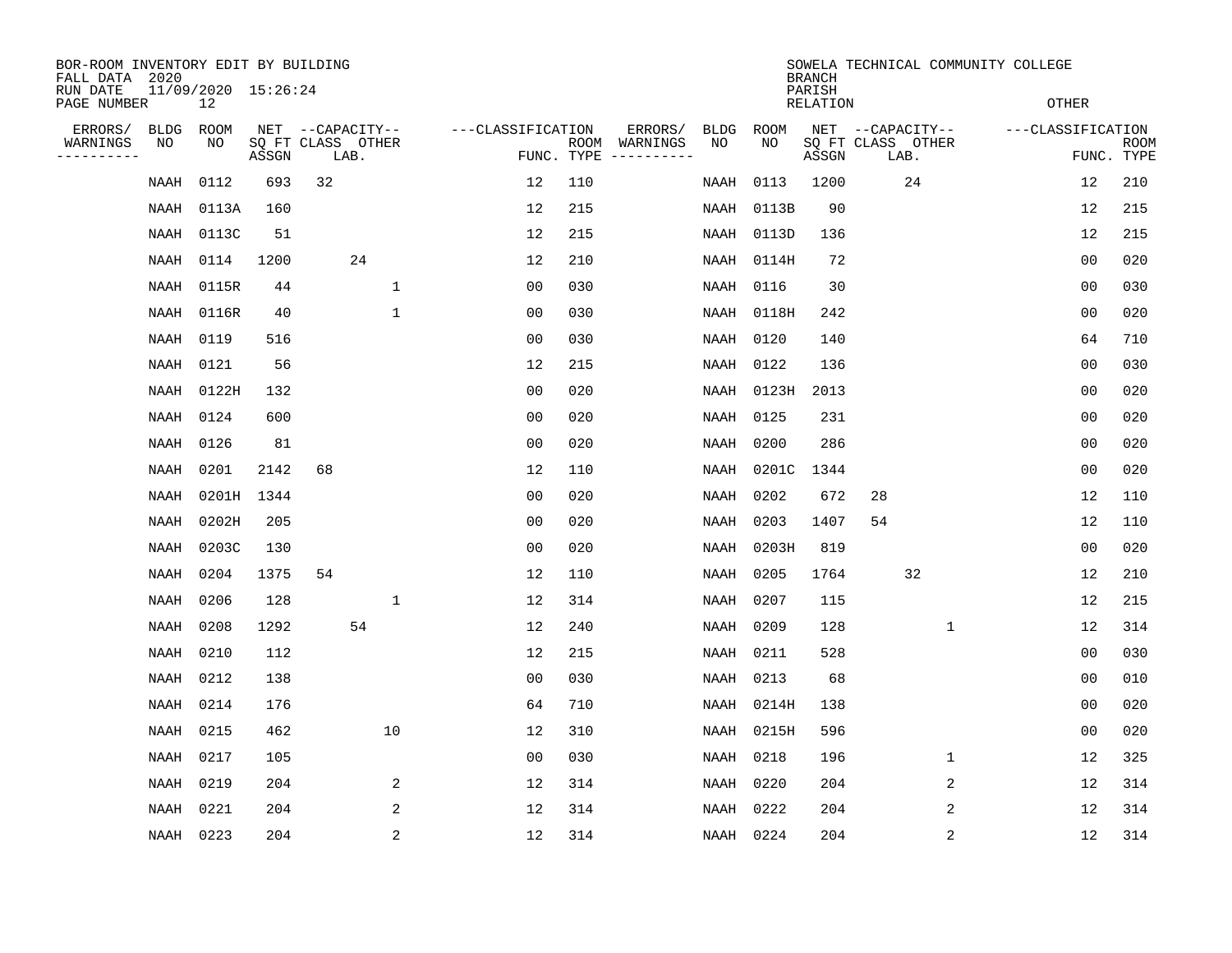| BOR-ROOM INVENTORY EDIT BY BUILDING<br>FALL DATA 2020 |             |                           |                            |                  |      |              |                   |                |     |                                      |             |       | <b>BRANCH</b>      |    |                           |              | SOWELA TECHNICAL COMMUNITY COLLEGE |                           |
|-------------------------------------------------------|-------------|---------------------------|----------------------------|------------------|------|--------------|-------------------|----------------|-----|--------------------------------------|-------------|-------|--------------------|----|---------------------------|--------------|------------------------------------|---------------------------|
| RUN DATE<br>PAGE NUMBER                               |             | 11/09/2020 15:26:24<br>12 |                            |                  |      |              |                   |                |     |                                      |             |       | PARISH<br>RELATION |    |                           |              | <b>OTHER</b>                       |                           |
| ERRORS/                                               | <b>BLDG</b> | ROOM                      |                            | NET --CAPACITY-- |      |              | ---CLASSIFICATION |                |     | ERRORS/                              | <b>BLDG</b> | ROOM  |                    |    | NET --CAPACITY--          |              | ---CLASSIFICATION                  |                           |
| WARNINGS<br>----------                                | NO          | NO                        | SQ FT CLASS OTHER<br>ASSGN |                  | LAB. |              |                   |                |     | ROOM WARNINGS<br>FUNC. TYPE $------$ | NO          | NO    | ASSGN              |    | SQ FT CLASS OTHER<br>LAB. |              |                                    | <b>ROOM</b><br>FUNC. TYPE |
|                                                       | NAAH        | 0112                      | 693                        | 32               |      |              |                   | 12             | 110 |                                      | NAAH        | 0113  | 1200               |    | 24                        |              | 12                                 | 210                       |
|                                                       | NAAH        | 0113A                     | 160                        |                  |      |              |                   | 12             | 215 |                                      | NAAH        | 0113B | 90                 |    |                           |              | 12                                 | 215                       |
|                                                       | NAAH        | 0113C                     | 51                         |                  |      |              |                   | 12             | 215 |                                      | NAAH        | 0113D | 136                |    |                           |              | 12                                 | 215                       |
|                                                       | NAAH        | 0114                      | 1200                       |                  | 24   |              |                   | 12             | 210 |                                      | NAAH        | 0114H | 72                 |    |                           |              | 0 <sub>0</sub>                     | 020                       |
|                                                       | NAAH        | 0115R                     | 44                         |                  |      | $\mathbf{1}$ |                   | 0 <sub>0</sub> | 030 |                                      | NAAH        | 0116  | 30                 |    |                           |              | 0 <sub>0</sub>                     | 030                       |
|                                                       |             | NAAH 0116R                | 40                         |                  |      | 1            |                   | 00             | 030 |                                      | NAAH        | 0118H | 242                |    |                           |              | 0 <sub>0</sub>                     | 020                       |
|                                                       | NAAH        | 0119                      | 516                        |                  |      |              |                   | 0 <sub>0</sub> | 030 |                                      | NAAH        | 0120  | 140                |    |                           |              | 64                                 | 710                       |
|                                                       | NAAH        | 0121                      | 56                         |                  |      |              |                   | 12             | 215 |                                      | NAAH        | 0122  | 136                |    |                           |              | 0 <sub>0</sub>                     | 030                       |
|                                                       | NAAH        | 0122H                     | 132                        |                  |      |              |                   | 0 <sub>0</sub> | 020 |                                      | NAAH        | 0123H | 2013               |    |                           |              | 00                                 | 020                       |
|                                                       | NAAH        | 0124                      | 600                        |                  |      |              |                   | 00             | 020 |                                      | NAAH        | 0125  | 231                |    |                           |              | 0 <sub>0</sub>                     | 020                       |
|                                                       | NAAH        | 0126                      | 81                         |                  |      |              |                   | 0 <sub>0</sub> | 020 |                                      | NAAH        | 0200  | 286                |    |                           |              | 0 <sub>0</sub>                     | 020                       |
|                                                       | NAAH        | 0201                      | 2142                       | 68               |      |              |                   | 12             | 110 |                                      | NAAH        | 0201C | 1344               |    |                           |              | 0 <sub>0</sub>                     | 020                       |
|                                                       | NAAH        | 0201H 1344                |                            |                  |      |              |                   | 0 <sub>0</sub> | 020 |                                      | NAAH        | 0202  | 672                | 28 |                           |              | 12                                 | 110                       |
|                                                       | NAAH        | 0202H                     | 205                        |                  |      |              |                   | 0 <sub>0</sub> | 020 |                                      | NAAH        | 0203  | 1407               | 54 |                           |              | 12                                 | 110                       |
|                                                       | NAAH        | 0203C                     | 130                        |                  |      |              |                   | 0 <sub>0</sub> | 020 |                                      | NAAH        | 0203H | 819                |    |                           |              | 0 <sub>0</sub>                     | 020                       |
|                                                       | NAAH        | 0204                      | 1375                       | 54               |      |              |                   | 12             | 110 |                                      | NAAH        | 0205  | 1764               |    | 32                        |              | 12                                 | 210                       |
|                                                       | NAAH        | 0206                      | 128                        |                  |      | 1            |                   | 12             | 314 |                                      | NAAH        | 0207  | 115                |    |                           |              | 12                                 | 215                       |
|                                                       | NAAH        | 0208                      | 1292                       |                  | 54   |              |                   | 12             | 240 |                                      | NAAH        | 0209  | 128                |    |                           | $\mathbf 1$  | 12                                 | 314                       |
|                                                       | NAAH        | 0210                      | 112                        |                  |      |              |                   | 12             | 215 |                                      | NAAH        | 0211  | 528                |    |                           |              | 0 <sub>0</sub>                     | 030                       |
|                                                       | NAAH        | 0212                      | 138                        |                  |      |              |                   | 0 <sub>0</sub> | 030 |                                      | NAAH        | 0213  | 68                 |    |                           |              | 0 <sub>0</sub>                     | 010                       |
|                                                       | NAAH        | 0214                      | 176                        |                  |      |              |                   | 64             | 710 |                                      | NAAH        | 0214H | 138                |    |                           |              | 0 <sub>0</sub>                     | 020                       |
|                                                       | NAAH        | 0215                      | 462                        |                  |      | 10           |                   | 12             | 310 |                                      | NAAH        | 0215H | 596                |    |                           |              | 0 <sub>0</sub>                     | 020                       |
|                                                       | NAAH        | 0217                      | 105                        |                  |      |              |                   | 0 <sub>0</sub> | 030 |                                      | NAAH        | 0218  | 196                |    |                           | $\mathbf{1}$ | 12                                 | 325                       |
|                                                       | NAAH        | 0219                      | 204                        |                  |      | 2            |                   | 12             | 314 |                                      | NAAH        | 0220  | 204                |    |                           | 2            | 12                                 | 314                       |
|                                                       | NAAH        | 0221                      | 204                        |                  |      | 2            |                   | 12             | 314 |                                      | NAAH        | 0222  | 204                |    |                           | 2            | 12                                 | 314                       |
|                                                       | NAAH 0223   |                           | 204                        |                  |      | 2            |                   | 12             | 314 |                                      | NAAH 0224   |       | 204                |    |                           | 2            | 12                                 | 314                       |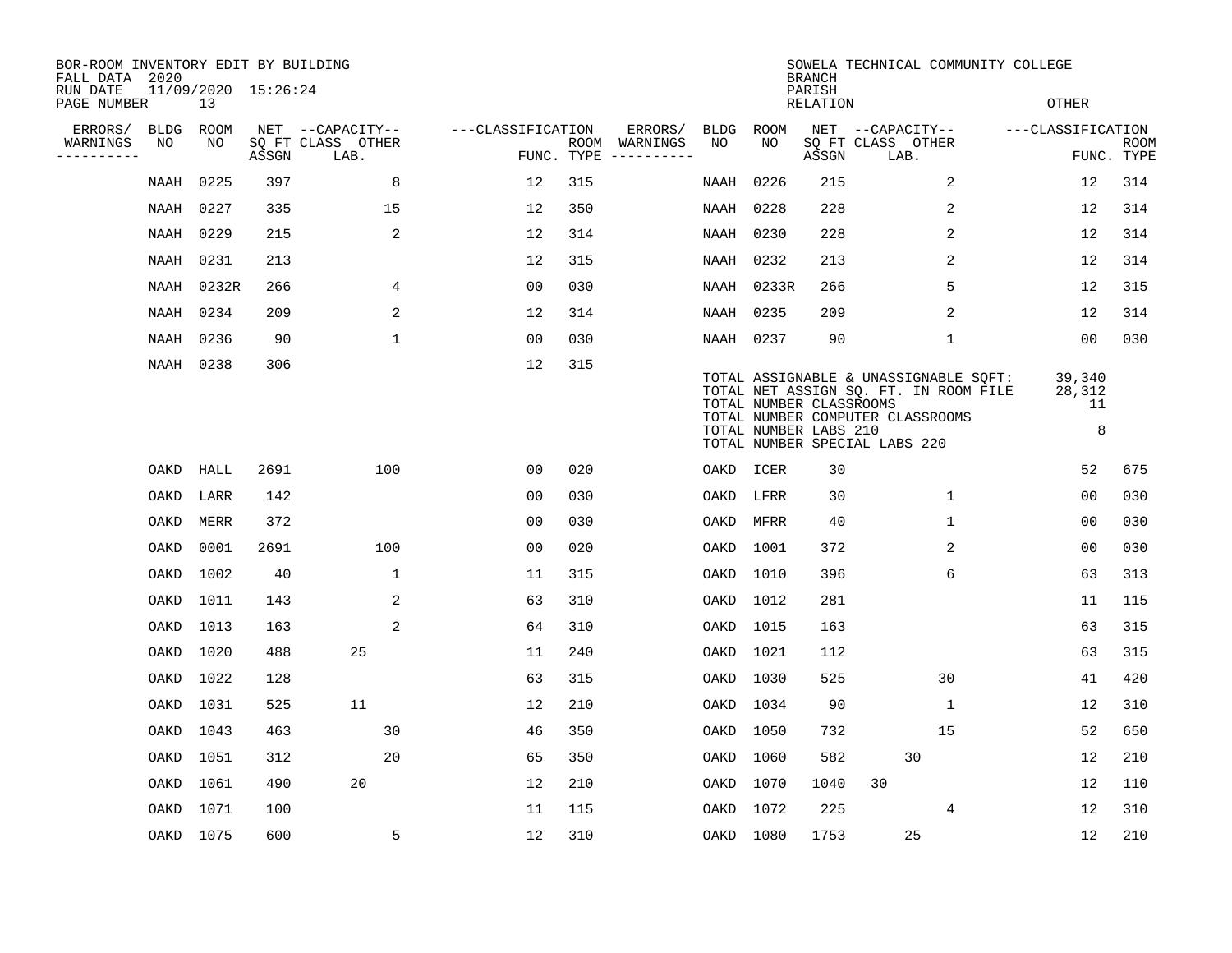| BOR-ROOM INVENTORY EDIT BY BUILDING<br>FALL DATA 2020 |      |                           |       |                           |                   |     |                                      |           |            | <b>BRANCH</b>                                    | SOWELA TECHNICAL COMMUNITY COLLEGE                                                                                                                  |                             |                           |
|-------------------------------------------------------|------|---------------------------|-------|---------------------------|-------------------|-----|--------------------------------------|-----------|------------|--------------------------------------------------|-----------------------------------------------------------------------------------------------------------------------------------------------------|-----------------------------|---------------------------|
| RUN DATE<br>PAGE NUMBER                               |      | 11/09/2020 15:26:24<br>13 |       |                           |                   |     |                                      |           |            | PARISH<br>RELATION                               |                                                                                                                                                     | <b>OTHER</b>                |                           |
| ERRORS/                                               | BLDG | ROOM                      |       | NET --CAPACITY--          | ---CLASSIFICATION |     | ERRORS/                              | BLDG      | ROOM       |                                                  | NET --CAPACITY--                                                                                                                                    | ---CLASSIFICATION           |                           |
| WARNINGS<br>---------                                 | NO   | NO                        | ASSGN | SQ FT CLASS OTHER<br>LAB. |                   |     | ROOM WARNINGS<br>FUNC. TYPE $------$ | NO.       | NO.        | ASSGN                                            | SQ FT CLASS OTHER<br>LAB.                                                                                                                           |                             | <b>ROOM</b><br>FUNC. TYPE |
|                                                       | NAAH | 0225                      | 397   | 8                         | 12                | 315 |                                      | NAAH      | 0226       | 215                                              | 2                                                                                                                                                   | 12                          | 314                       |
|                                                       | NAAH | 0227                      | 335   | 15                        | 12                | 350 |                                      | NAAH      | 0228       | 228                                              | 2                                                                                                                                                   | 12                          | 314                       |
|                                                       | NAAH | 0229                      | 215   | 2                         | 12                | 314 |                                      | NAAH      | 0230       | 228                                              | 2                                                                                                                                                   | 12                          | 314                       |
|                                                       | NAAH | 0231                      | 213   |                           | 12                | 315 |                                      | NAAH      | 0232       | 213                                              | 2                                                                                                                                                   | 12                          | 314                       |
|                                                       | NAAH | 0232R                     | 266   | 4                         | 0 <sub>0</sub>    | 030 |                                      |           | NAAH 0233R | 266                                              | 5                                                                                                                                                   | 12                          | 315                       |
|                                                       | NAAH | 0234                      | 209   | 2                         | 12                | 314 |                                      |           | NAAH 0235  | 209                                              | 2                                                                                                                                                   | 12                          | 314                       |
|                                                       | NAAH | 0236                      | 90    | $\mathbf 1$               | 0 <sub>0</sub>    | 030 |                                      | NAAH 0237 |            | 90                                               | $\mathbf{1}$                                                                                                                                        | 00                          | 030                       |
|                                                       |      | NAAH 0238                 | 306   |                           | 12                | 315 |                                      |           |            | TOTAL NUMBER CLASSROOMS<br>TOTAL NUMBER LABS 210 | TOTAL ASSIGNABLE & UNASSIGNABLE SQFT:<br>TOTAL NET ASSIGN SQ. FT. IN ROOM FILE<br>TOTAL NUMBER COMPUTER CLASSROOMS<br>TOTAL NUMBER SPECIAL LABS 220 | 39,340<br>28,312<br>11<br>8 |                           |
|                                                       | OAKD | HALL                      | 2691  | 100                       | 0 <sub>0</sub>    | 020 |                                      |           | OAKD ICER  | 30                                               |                                                                                                                                                     | 52                          | 675                       |
|                                                       | OAKD | LARR                      | 142   |                           | 0 <sub>0</sub>    | 030 |                                      |           | OAKD LFRR  | 30                                               | $\mathbf{1}$                                                                                                                                        | 0 <sub>0</sub>              | 030                       |
|                                                       | OAKD | MERR                      | 372   |                           | 0 <sub>0</sub>    | 030 |                                      |           | OAKD MFRR  | 40                                               | $\mathbf{1}$                                                                                                                                        | 00                          | 030                       |
|                                                       | OAKD | 0001                      | 2691  | 100                       | 00                | 020 |                                      | OAKD      | 1001       | 372                                              | 2                                                                                                                                                   | 00                          | 030                       |
|                                                       | OAKD | 1002                      | 40    | 1                         | 11                | 315 |                                      | OAKD      | 1010       | 396                                              | 6                                                                                                                                                   | 63                          | 313                       |
|                                                       | OAKD | 1011                      | 143   | 2                         | 63                | 310 |                                      | OAKD      | 1012       | 281                                              |                                                                                                                                                     | 11                          | 115                       |
|                                                       | OAKD | 1013                      | 163   | 2                         | 64                | 310 |                                      | OAKD      | 1015       | 163                                              |                                                                                                                                                     | 63                          | 315                       |
|                                                       | OAKD | 1020                      | 488   | 25                        | 11                | 240 |                                      |           | OAKD 1021  | 112                                              |                                                                                                                                                     | 63                          | 315                       |
|                                                       | OAKD | 1022                      | 128   |                           | 63                | 315 |                                      | OAKD      | 1030       | 525                                              | 30                                                                                                                                                  | 41                          | 420                       |
|                                                       | OAKD | 1031                      | 525   | 11                        | 12                | 210 |                                      |           | OAKD 1034  | 90                                               | 1                                                                                                                                                   | 12                          | 310                       |
|                                                       | OAKD | 1043                      | 463   | 30                        | 46                | 350 |                                      | OAKD      | 1050       | 732                                              | 15                                                                                                                                                  | 52                          | 650                       |
|                                                       | OAKD | 1051                      | 312   | 20                        | 65                | 350 |                                      |           | OAKD 1060  | 582                                              | 30                                                                                                                                                  | 12                          | 210                       |
|                                                       | OAKD | 1061                      | 490   | 20                        | 12                | 210 |                                      |           | OAKD 1070  | 1040                                             | 30                                                                                                                                                  | 12                          | 110                       |
|                                                       | OAKD | 1071                      | 100   |                           | 11                | 115 |                                      |           | OAKD 1072  | 225                                              | 4                                                                                                                                                   | 12                          | 310                       |
|                                                       |      | OAKD 1075                 | 600   | 5                         | 12                | 310 |                                      |           | OAKD 1080  | 1753                                             | 25                                                                                                                                                  | 12                          | 210                       |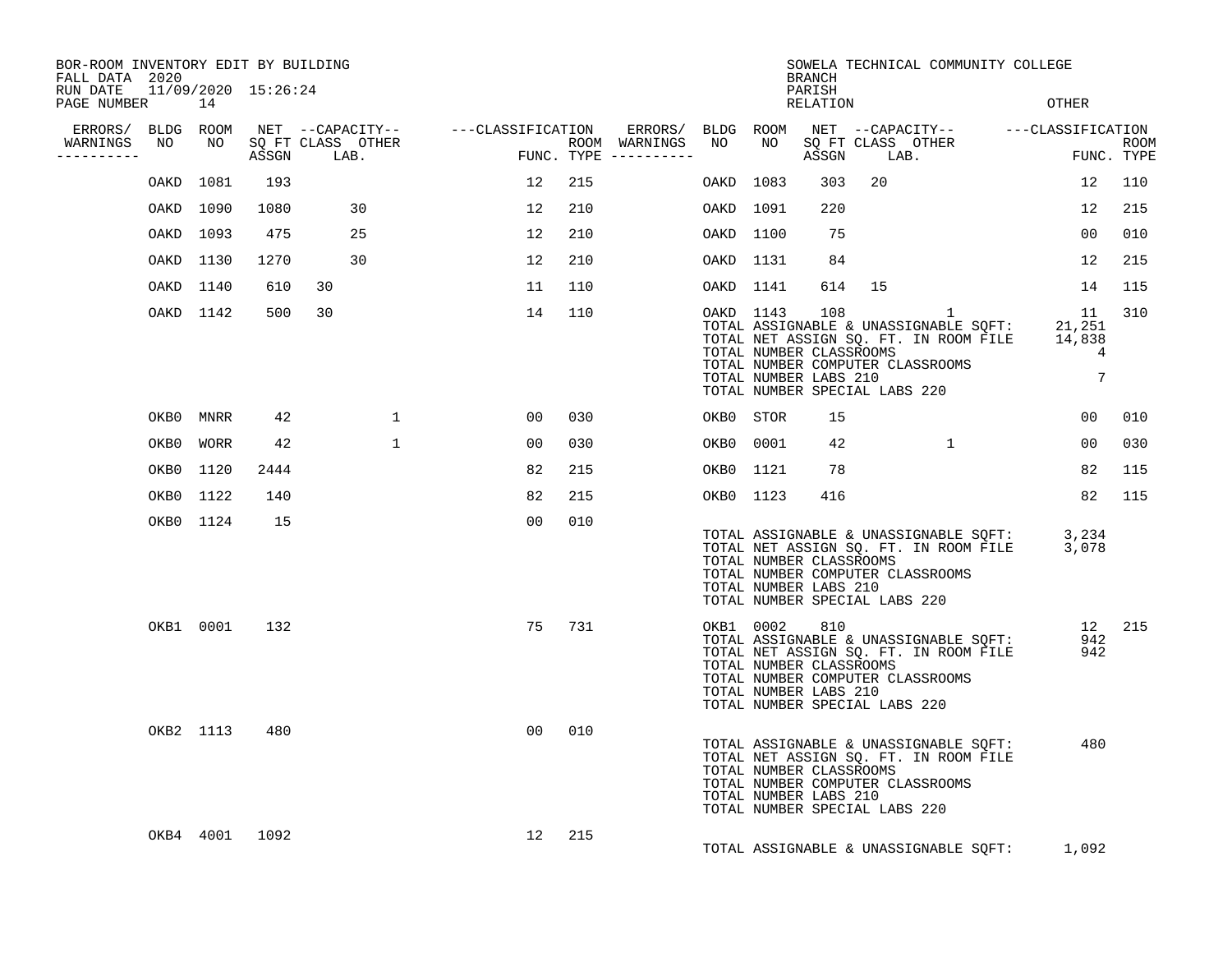| BOR-ROOM INVENTORY EDIT BY BUILDING<br>FALL DATA 2020 |      |           |       |                           |                                    |      |                                                           |           |           | <b>BRANCH</b>                                           | SOWELA TECHNICAL COMMUNITY COLLEGE                                                                                                                              |                                  |                           |
|-------------------------------------------------------|------|-----------|-------|---------------------------|------------------------------------|------|-----------------------------------------------------------|-----------|-----------|---------------------------------------------------------|-----------------------------------------------------------------------------------------------------------------------------------------------------------------|----------------------------------|---------------------------|
| RUN DATE 11/09/2020 15:26:24<br>PAGE NUMBER           |      | 14        |       |                           |                                    |      |                                                           |           |           | PARISH<br>RELATION                                      |                                                                                                                                                                 | <b>OTHER</b>                     |                           |
| ERRORS/ BLDG ROOM<br>WARNINGS<br>---------            | NO   | NO        | ASSGN | SQ FT CLASS OTHER<br>LAB. | NET --CAPACITY-- ---CLASSIFICATION |      | ERRORS/ BLDG ROOM<br>ROOM WARNINGS<br>FUNC. TYPE $------$ | NO        | NO        | ASSGN                                                   | NET --CAPACITY-- ---CLASSIFICATION<br>SQ FT CLASS OTHER<br>LAB.                                                                                                 |                                  | <b>ROOM</b><br>FUNC. TYPE |
|                                                       | OAKD | 1081      | 193   |                           | 12                                 | 215  |                                                           | OAKD 1083 |           | 303                                                     | 20                                                                                                                                                              | 12                               | 110                       |
|                                                       |      | OAKD 1090 | 1080  | 30                        | 12                                 | 210  |                                                           | OAKD 1091 |           | 220                                                     |                                                                                                                                                                 | 12                               | 215                       |
|                                                       | OAKD | 1093      | 475   | 25                        | 12                                 | 210  |                                                           | OAKD 1100 |           | 75                                                      |                                                                                                                                                                 | $00 \,$                          | 010                       |
|                                                       |      | OAKD 1130 | 1270  | 30                        | 12                                 | 210  |                                                           | OAKD 1131 |           | 84                                                      |                                                                                                                                                                 | 12                               | 215                       |
|                                                       |      | OAKD 1140 | 610   | 30                        | 11                                 | 110  |                                                           | OAKD 1141 |           | 614                                                     | 15                                                                                                                                                              | 14                               | 115                       |
|                                                       |      | OAKD 1142 | 500   | 30                        | 14                                 | 110  |                                                           |           | OAKD 1143 | 108<br>TOTAL NUMBER CLASSROOMS<br>TOTAL NUMBER LABS 210 | 1<br>TOTAL ASSIGNABLE & UNASSIGNABLE SQFT:<br>TOTAL NET ASSIGN SQ. FT. IN ROOM FILE<br>TOTAL NUMBER COMPUTER CLASSROOMS<br>TOTAL NUMBER SPECIAL LABS 220        | 11<br>21,251<br>14,838<br>4<br>7 | 310                       |
|                                                       |      | OKB0 MNRR | 42    | $\mathbf{1}$              | 0 <sub>0</sub>                     | 0.30 |                                                           |           | OKB0 STOR | 15                                                      |                                                                                                                                                                 | 0 <sub>0</sub>                   | 010                       |
|                                                       | OKB0 | WORR      | 42    | $\mathbf{1}$              | 00                                 | 030  |                                                           |           | OKB0 0001 | 42                                                      | $\mathbf{1}$                                                                                                                                                    | $00 \,$                          | 030                       |
|                                                       | OKB0 | 1120      | 2444  |                           | 82                                 | 215  |                                                           |           | OKB0 1121 | 78                                                      |                                                                                                                                                                 | 82                               | 115                       |
|                                                       |      | OKB0 1122 | 140   |                           | 82                                 | 215  |                                                           |           | OKB0 1123 | 416                                                     |                                                                                                                                                                 | 82                               | 115                       |
|                                                       |      | OKB0 1124 | 15    |                           | 00                                 | 010  |                                                           |           |           | TOTAL NUMBER CLASSROOMS<br>TOTAL NUMBER LABS 210        | TOTAL ASSIGNABLE & UNASSIGNABLE SQFT: 3,234<br>TOTAL NET ASSIGN SQ. FT. IN ROOM FILE 3,078<br>TOTAL NUMBER COMPUTER CLASSROOMS<br>TOTAL NUMBER SPECIAL LABS 220 |                                  |                           |
|                                                       |      | OKB1 0001 | 132   |                           | 75                                 | 731  |                                                           |           | OKB1 0002 | 810<br>TOTAL NUMBER CLASSROOMS<br>TOTAL NUMBER LABS 210 | TOTAL ASSIGNABLE & UNASSIGNABLE SQFT:<br>TOTAL NET ASSIGN SQ. FT. IN ROOM FILE<br>TOTAL NUMBER COMPUTER CLASSROOMS<br>TOTAL NUMBER SPECIAL LABS 220             | 942<br>942                       | 12 215                    |
|                                                       |      | OKB2 1113 | 480   |                           | 00                                 | 010  |                                                           |           |           | TOTAL NUMBER CLASSROOMS<br>TOTAL NUMBER LABS 210        | TOTAL ASSIGNABLE & UNASSIGNABLE SQFT:<br>TOTAL NET ASSIGN SQ. FT. IN ROOM FILE<br>TOTAL NUMBER COMPUTER CLASSROOMS<br>TOTAL NUMBER SPECIAL LABS 220             | 480                              |                           |
|                                                       |      | OKB4 4001 | 1092  |                           | 12 <sup>°</sup>                    | 215  |                                                           |           |           |                                                         | TOTAL ASSIGNABLE & UNASSIGNABLE SQFT:                                                                                                                           | 1,092                            |                           |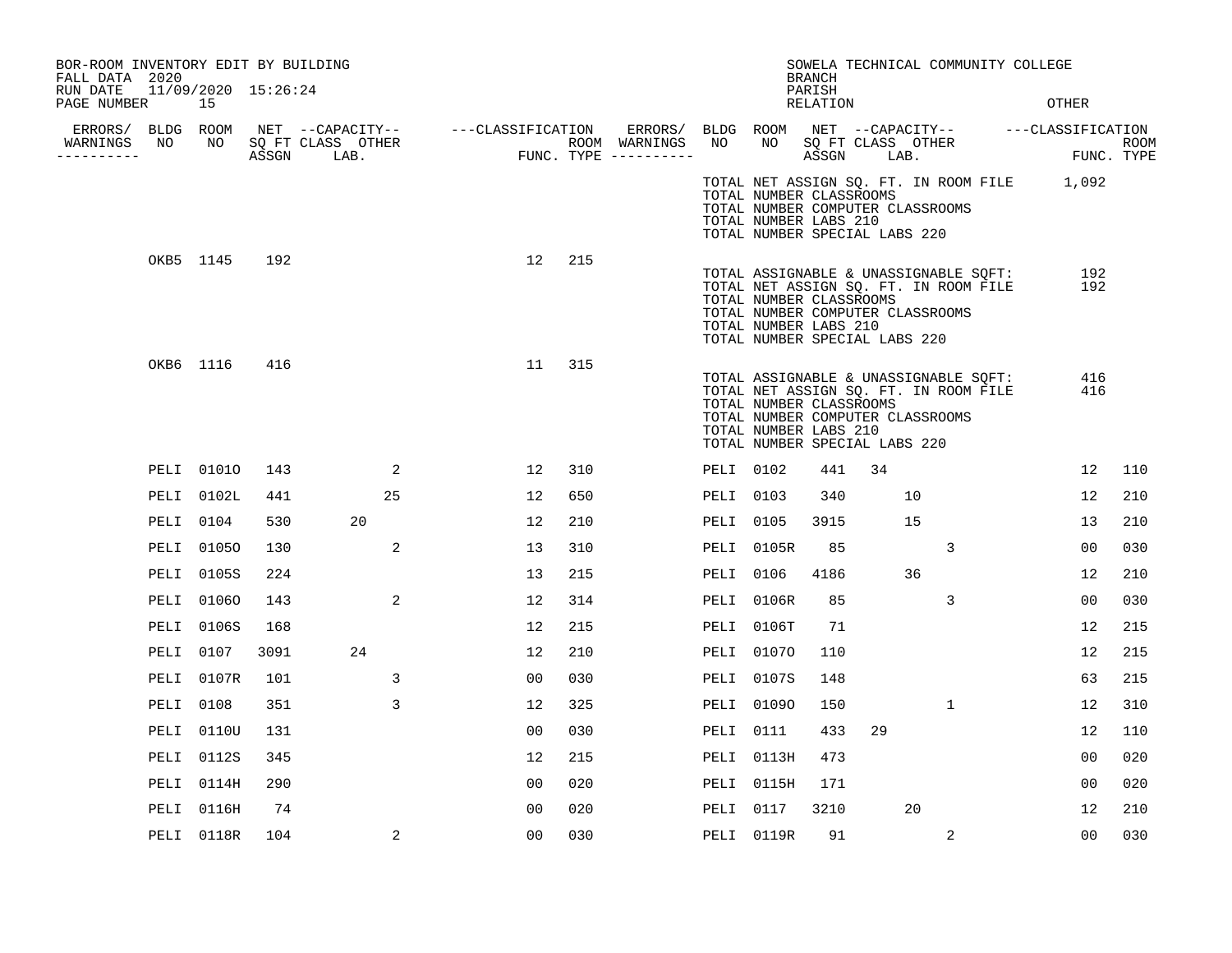| BOR-ROOM INVENTORY EDIT BY BUILDING<br>FALL DATA 2020 |           |                           |      |                                    |                                                       |                |     |           |                                                                                                                       | <b>BRANCH</b>             |            |    | SOWELA TECHNICAL COMMUNITY COLLEGE                                             |                                                        |     |
|-------------------------------------------------------|-----------|---------------------------|------|------------------------------------|-------------------------------------------------------|----------------|-----|-----------|-----------------------------------------------------------------------------------------------------------------------|---------------------------|------------|----|--------------------------------------------------------------------------------|--------------------------------------------------------|-----|
| RUN DATE<br>PAGE NUMBER                               |           | 11/09/2020 15:26:24<br>15 |      |                                    |                                                       |                |     |           |                                                                                                                       | PARISH<br><b>RELATION</b> |            |    |                                                                                | OTHER                                                  |     |
|                                                       |           |                           |      |                                    | ERRORS/ BLDG ROOM NET --CAPACITY-- ----CLASSIFICATION |                |     |           |                                                                                                                       |                           |            |    |                                                                                | ERRORS/ BLDG ROOM NET --CAPACITY-- - ---CLASSIFICATION |     |
| WARNINGS<br>----------                                | NO        |                           |      | NO SQ FT CLASS OTHER<br>ASSGN LAB. | ROOM WARNINGS<br>FUNC. TYPE ---------                 |                |     | NO        | NO SQ FT CLASS OTHER                                                                                                  |                           | ASSGN LAB. |    |                                                                                | ROOM<br>FUNC. TYPE                                     |     |
|                                                       |           |                           |      |                                    |                                                       |                |     |           | TOTAL NUMBER CLASSROOMS<br>TOTAL NUMBER COMPUTER CLASSROOMS<br>TOTAL NUMBER LABS 210<br>TOTAL NUMBER SPECIAL LABS 220 |                           |            |    |                                                                                | TOTAL NET ASSIGN SQ. FT. IN ROOM FILE 1,092            |     |
|                                                       | OKB5 1145 |                           | 192  |                                    |                                                       | 12             | 215 |           | TOTAL NUMBER CLASSROOMS<br>TOTAL NUMBER COMPUTER CLASSROOMS<br>TOTAL NUMBER LABS 210<br>TOTAL NUMBER SPECIAL LABS 220 |                           |            |    | TOTAL ASSIGNABLE & UNASSIGNABLE SQFT:<br>TOTAL NET ASSIGN SQ. FT. IN ROOM FILE | 192<br>192                                             |     |
|                                                       | OKB6 1116 |                           | 416  |                                    |                                                       | 11             | 315 |           | TOTAL NUMBER CLASSROOMS<br>TOTAL NUMBER COMPUTER CLASSROOMS<br>TOTAL NUMBER LABS 210<br>TOTAL NUMBER SPECIAL LABS 220 |                           |            |    | TOTAL ASSIGNABLE & UNASSIGNABLE SQFT:<br>TOTAL NET ASSIGN SQ. FT. IN ROOM FILE | 416<br>416                                             |     |
|                                                       |           | PELI 01010                | 143  | 2                                  |                                                       | 12             | 310 | PELI 0102 |                                                                                                                       | 441                       | 34         |    |                                                                                | 12                                                     | 110 |
|                                                       |           | PELI 0102L                | 441  | 25                                 |                                                       | 12             | 650 | PELI 0103 |                                                                                                                       | 340                       |            | 10 |                                                                                | 12                                                     | 210 |
|                                                       | PELI 0104 |                           | 530  | 20                                 |                                                       | 12             | 210 | PELI 0105 |                                                                                                                       | 3915                      |            | 15 |                                                                                | 13                                                     | 210 |
|                                                       |           | PELI 01050                | 130  | 2                                  |                                                       | 13             | 310 |           | PELI 0105R                                                                                                            | 85                        |            |    | 3                                                                              | 0 <sub>0</sub>                                         | 030 |
|                                                       |           | PELI 0105S                | 224  |                                    |                                                       | 13             | 215 | PELI 0106 |                                                                                                                       | 4186                      |            | 36 |                                                                                | 12                                                     | 210 |
|                                                       |           | PELI 01060                | 143  | 2                                  |                                                       | 12             | 314 |           | PELI 0106R                                                                                                            | 85                        |            |    | 3                                                                              | 00                                                     | 030 |
|                                                       |           | <b>PELI 0106S</b>         | 168  |                                    |                                                       | 12             | 215 |           | PELI 0106T                                                                                                            | 71                        |            |    |                                                                                | 12                                                     | 215 |
|                                                       | PELI 0107 |                           | 3091 | 24                                 |                                                       | 12             | 210 |           | PELI 01070                                                                                                            | 110                       |            |    |                                                                                | 12                                                     | 215 |
|                                                       |           | PELI 0107R                | 101  | 3                                  |                                                       | 00             | 030 |           | PELI 0107S                                                                                                            | 148                       |            |    |                                                                                | 63                                                     | 215 |
|                                                       | PELI 0108 |                           | 351  | 3                                  |                                                       | 12             | 325 |           | PELI 01090                                                                                                            | 150                       |            |    | $\mathbf{1}$                                                                   | 12                                                     | 310 |
|                                                       |           | PELI 0110U                | 131  |                                    |                                                       | 0 <sub>0</sub> | 030 | PELI 0111 |                                                                                                                       | 433                       | 29         |    |                                                                                | 12                                                     | 110 |
|                                                       |           | PELI 0112S                | 345  |                                    |                                                       | 12             | 215 |           | PELI 0113H                                                                                                            | 473                       |            |    |                                                                                | 00                                                     | 020 |
|                                                       |           | PELI 0114H                | 290  |                                    |                                                       | 0 <sub>0</sub> | 020 |           | PELI 0115H                                                                                                            | 171                       |            |    |                                                                                | 00                                                     | 020 |
|                                                       |           | PELI 0116H                | 74   |                                    |                                                       | 0 <sub>0</sub> | 020 | PELI 0117 |                                                                                                                       | 3210                      |            | 20 |                                                                                | 12                                                     | 210 |
|                                                       |           | PELI 0118R                | 104  | 2                                  |                                                       | 0 <sub>0</sub> | 030 |           | PELI 0119R                                                                                                            | 91                        |            |    | 2                                                                              | 0 <sub>0</sub>                                         | 030 |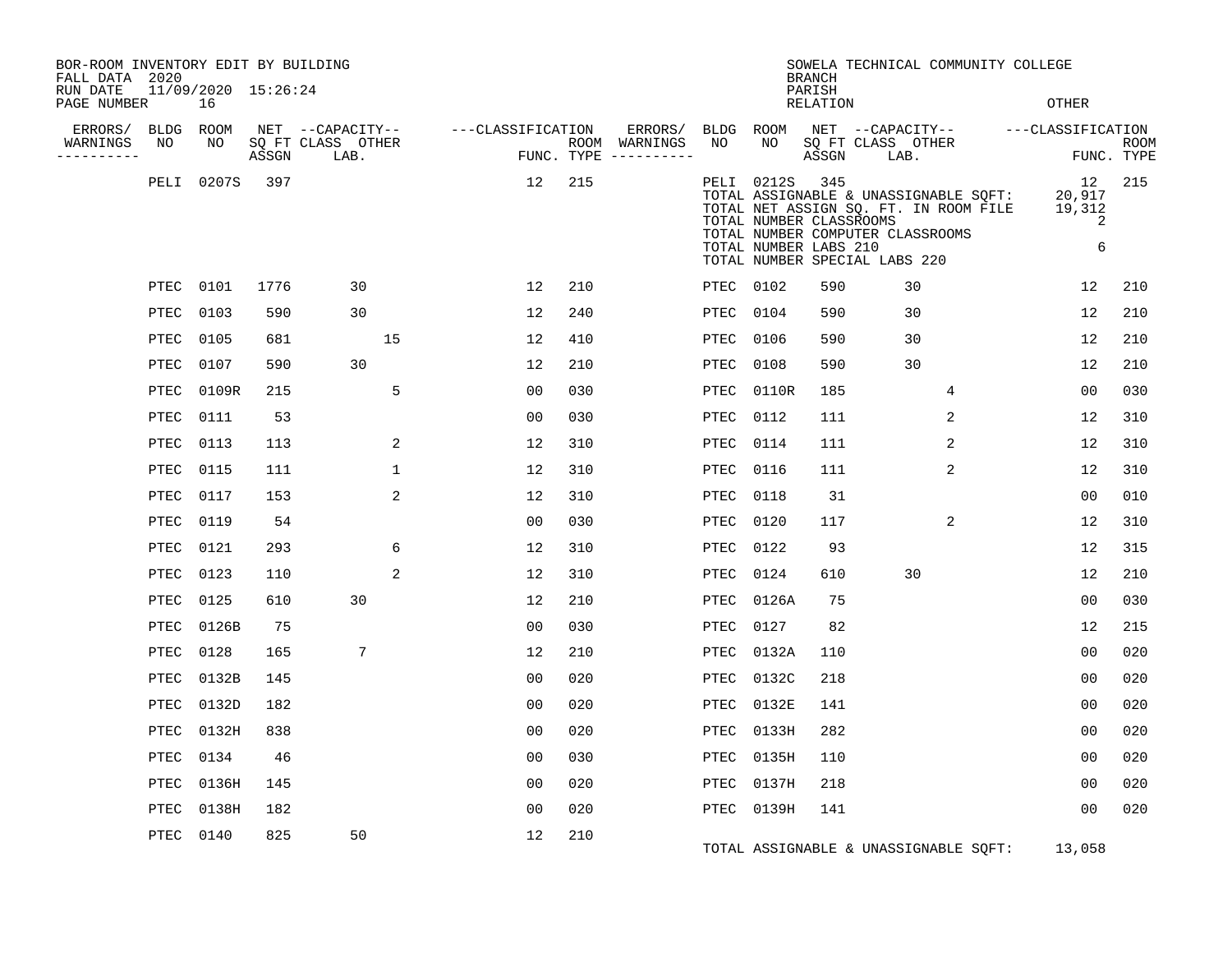| BOR-ROOM INVENTORY EDIT BY BUILDING<br>FALL DATA 2020 |            |                           |       |                           |                                    |     |                                                   |                 |            | <b>BRANCH</b>                                           | SOWELA TECHNICAL COMMUNITY COLLEGE                                                                                                                  |                                  |                           |
|-------------------------------------------------------|------------|---------------------------|-------|---------------------------|------------------------------------|-----|---------------------------------------------------|-----------------|------------|---------------------------------------------------------|-----------------------------------------------------------------------------------------------------------------------------------------------------|----------------------------------|---------------------------|
| RUN DATE<br>PAGE NUMBER                               |            | 11/09/2020 15:26:24<br>16 |       |                           |                                    |     |                                                   |                 |            | PARISH<br><b>RELATION</b>                               |                                                                                                                                                     | OTHER                            |                           |
| ERRORS/<br>WARNINGS<br>---------                      | BLDG<br>NO | ROOM<br>NO                | ASSGN | SQ FT CLASS OTHER<br>LAB. | NET --CAPACITY-- ---CLASSIFICATION |     | ERRORS/<br>ROOM WARNINGS<br>FUNC. TYPE ---------- | BLDG ROOM<br>NO | NO         | ASSGN                                                   | NET --CAPACITY-- - ---CLASSIFICATION<br>SQ FT CLASS OTHER<br>LAB.                                                                                   |                                  | <b>ROOM</b><br>FUNC. TYPE |
|                                                       | PELI       | 0207S                     | 397   |                           | 12                                 | 215 |                                                   |                 | PELI 0212S | 345<br>TOTAL NUMBER CLASSROOMS<br>TOTAL NUMBER LABS 210 | TOTAL ASSIGNABLE & UNASSIGNABLE SQFT:<br>TOTAL NET ASSIGN SQ. FT. IN ROOM FILE<br>TOTAL NUMBER COMPUTER CLASSROOMS<br>TOTAL NUMBER SPECIAL LABS 220 | 12<br>20,917<br>19,312<br>2<br>6 | 215                       |
|                                                       |            | PTEC 0101                 | 1776  | 30                        | 12                                 | 210 |                                                   | PTEC 0102       |            | 590                                                     | 30                                                                                                                                                  | 12                               | 210                       |
|                                                       | PTEC       | 0103                      | 590   | 30                        | 12                                 | 240 |                                                   | PTEC            | 0104       | 590                                                     | 30                                                                                                                                                  | 12                               | 210                       |
|                                                       | PTEC       | 0105                      | 681   | 15                        | 12                                 | 410 |                                                   | PTEC            | 0106       | 590                                                     | 30                                                                                                                                                  | 12                               | 210                       |
|                                                       | PTEC       | 0107                      | 590   | 30                        | 12                                 | 210 |                                                   | PTEC            | 0108       | 590                                                     | 30                                                                                                                                                  | 12                               | 210                       |
|                                                       | PTEC       | 0109R                     | 215   | 5                         | 0 <sub>0</sub>                     | 030 |                                                   | PTEC            | 0110R      | 185                                                     | 4                                                                                                                                                   | 0 <sub>0</sub>                   | 030                       |
|                                                       | PTEC       | 0111                      | 53    |                           | 0 <sub>0</sub>                     | 030 |                                                   | PTEC            | 0112       | 111                                                     | $\overline{2}$                                                                                                                                      | 12                               | 310                       |
|                                                       | PTEC       | 0113                      | 113   | 2                         | 12                                 | 310 |                                                   | PTEC            | 0114       | 111                                                     | 2                                                                                                                                                   | 12                               | 310                       |
|                                                       | PTEC       | 0115                      | 111   | $\mathbf 1$               | 12                                 | 310 |                                                   | PTEC            | 0116       | 111                                                     | 2                                                                                                                                                   | 12                               | 310                       |
|                                                       | PTEC       | 0117                      | 153   | 2                         | 12                                 | 310 |                                                   | PTEC            | 0118       | 31                                                      |                                                                                                                                                     | 00                               | 010                       |
|                                                       | PTEC       | 0119                      | 54    |                           | 0 <sub>0</sub>                     | 030 |                                                   | PTEC            | 0120       | 117                                                     | 2                                                                                                                                                   | 12                               | 310                       |
|                                                       | PTEC       | 0121                      | 293   | 6                         | 12                                 | 310 |                                                   | PTEC            | 0122       | 93                                                      |                                                                                                                                                     | 12                               | 315                       |
|                                                       | PTEC       | 0123                      | 110   | $\overline{2}$            | 12                                 | 310 |                                                   | PTEC            | 0124       | 610                                                     | 30                                                                                                                                                  | 12                               | 210                       |
|                                                       | PTEC       | 0125                      | 610   | 30                        | 12                                 | 210 |                                                   | PTEC            | 0126A      | 75                                                      |                                                                                                                                                     | 00                               | 030                       |
|                                                       | PTEC       | 0126B                     | 75    |                           | 0 <sub>0</sub>                     | 030 |                                                   | PTEC            | 0127       | 82                                                      |                                                                                                                                                     | 12                               | 215                       |
|                                                       | PTEC       | 0128                      | 165   | 7                         | 12                                 | 210 |                                                   | PTEC            | 0132A      | 110                                                     |                                                                                                                                                     | 0 <sub>0</sub>                   | 020                       |
|                                                       | PTEC       | 0132B                     | 145   |                           | 0 <sub>0</sub>                     | 020 |                                                   | PTEC            | 0132C      | 218                                                     |                                                                                                                                                     | 0 <sub>0</sub>                   | 020                       |
|                                                       | PTEC       | 0132D                     | 182   |                           | 0 <sub>0</sub>                     | 020 |                                                   | PTEC            | 0132E      | 141                                                     |                                                                                                                                                     | 00                               | 020                       |
|                                                       | PTEC       | 0132H                     | 838   |                           | 0 <sub>0</sub>                     | 020 |                                                   | PTEC            | 0133H      | 282                                                     |                                                                                                                                                     | 00                               | 020                       |
|                                                       | PTEC       | 0134                      | 46    |                           | 0 <sub>0</sub>                     | 030 |                                                   | PTEC            | 0135H      | 110                                                     |                                                                                                                                                     | 0 <sub>0</sub>                   | 020                       |
|                                                       | PTEC       | 0136H                     | 145   |                           | 0 <sub>0</sub>                     | 020 |                                                   | PTEC            | 0137H      | 218                                                     |                                                                                                                                                     | 0 <sub>0</sub>                   | 020                       |
|                                                       | PTEC       | 0138H                     | 182   |                           | 0 <sub>0</sub>                     | 020 |                                                   |                 | PTEC 0139H | 141                                                     |                                                                                                                                                     | 00                               | 020                       |
|                                                       | PTEC       | 0140                      | 825   | 50                        | 12                                 | 210 |                                                   |                 |            |                                                         | TOTAL ASSIGNABLE & UNASSIGNABLE SQFT:                                                                                                               | 13,058                           |                           |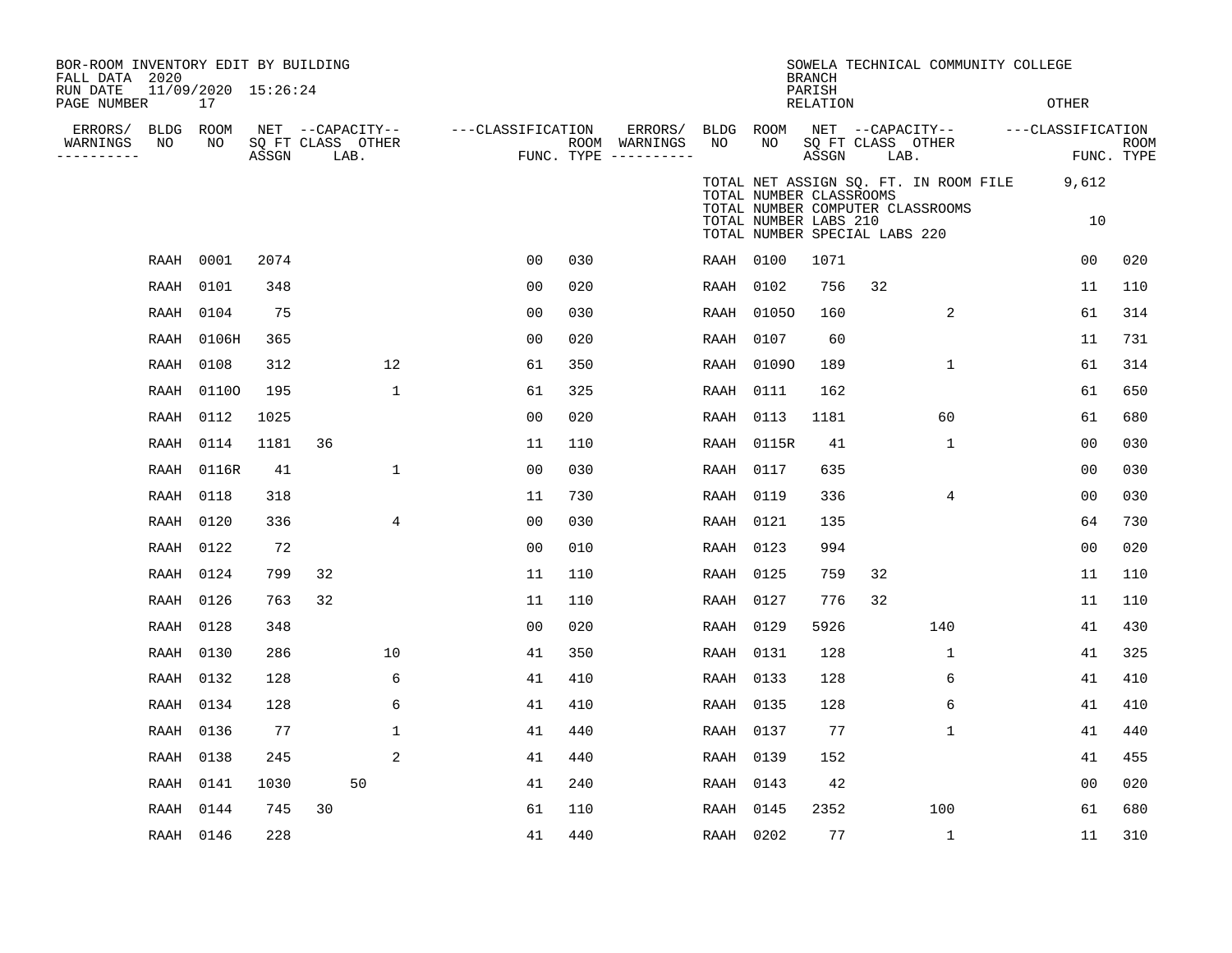| BOR-ROOM INVENTORY EDIT BY BUILDING<br>FALL DATA 2020 |           |                           |       |                           |             |                   |     |                                        |           |                                                                                   | <b>BRANCH</b>             |      | SOWELA TECHNICAL COMMUNITY COLLEGE    |                                    |                           |
|-------------------------------------------------------|-----------|---------------------------|-------|---------------------------|-------------|-------------------|-----|----------------------------------------|-----------|-----------------------------------------------------------------------------------|---------------------------|------|---------------------------------------|------------------------------------|---------------------------|
| RUN DATE<br>PAGE NUMBER                               |           | 11/09/2020 15:26:24<br>17 |       |                           |             |                   |     |                                        |           |                                                                                   | PARISH<br><b>RELATION</b> |      |                                       | OTHER                              |                           |
| ERRORS/                                               | BLDG      | ROOM                      |       | NET --CAPACITY--          |             | ---CLASSIFICATION |     | ERRORS/                                | BLDG ROOM |                                                                                   |                           |      |                                       | NET --CAPACITY-- ---CLASSIFICATION |                           |
| WARNINGS<br>----------                                | NO        | NO                        | ASSGN | SQ FT CLASS OTHER<br>LAB. |             |                   |     | ROOM WARNINGS<br>FUNC. TYPE ---------- | NO        | NO                                                                                | ASSGN                     | LAB. | SQ FT CLASS OTHER                     |                                    | <b>ROOM</b><br>FUNC. TYPE |
|                                                       |           |                           |       |                           |             |                   |     |                                        |           |                                                                                   |                           |      | TOTAL NET ASSIGN SQ. FT. IN ROOM FILE | 9,612                              |                           |
|                                                       |           |                           |       |                           |             |                   |     |                                        |           | TOTAL NUMBER CLASSROOMS<br>TOTAL NUMBER LABS 210<br>TOTAL NUMBER SPECIAL LABS 220 |                           |      | TOTAL NUMBER COMPUTER CLASSROOMS      | 10                                 |                           |
|                                                       | RAAH      | 0001                      | 2074  |                           |             | 00                | 030 |                                        | RAAH 0100 |                                                                                   | 1071                      |      |                                       | 0 <sub>0</sub>                     | 020                       |
|                                                       | RAAH      | 0101                      | 348   |                           |             | 00                | 020 |                                        | RAAH 0102 |                                                                                   | 756                       | 32   |                                       | 11                                 | 110                       |
|                                                       | RAAH      | 0104                      | 75    |                           |             | 0 <sub>0</sub>    | 030 |                                        |           | RAAH 01050                                                                        | 160                       |      | 2                                     | 61                                 | 314                       |
|                                                       | RAAH      | 0106H                     | 365   |                           |             | 0 <sub>0</sub>    | 020 |                                        | RAAH 0107 |                                                                                   | 60                        |      |                                       | 11                                 | 731                       |
|                                                       | RAAH      | 0108                      | 312   |                           | 12          | 61                | 350 |                                        |           | RAAH 01090                                                                        | 189                       |      | $\mathbf 1$                           | 61                                 | 314                       |
|                                                       | RAAH      | 01100                     | 195   |                           | $\mathbf 1$ | 61                | 325 |                                        | RAAH      | 0111                                                                              | 162                       |      |                                       | 61                                 | 650                       |
|                                                       | RAAH      | 0112                      | 1025  |                           |             | 0 <sub>0</sub>    | 020 |                                        | RAAH 0113 |                                                                                   | 1181                      |      | 60                                    | 61                                 | 680                       |
|                                                       | RAAH      | 0114                      | 1181  | 36                        |             | 11                | 110 |                                        |           | RAAH 0115R                                                                        | 41                        |      | $\mathbf 1$                           | 00                                 | 030                       |
|                                                       | RAAH      | 0116R                     | 41    |                           | $\mathbf 1$ | 00                | 030 |                                        | RAAH      | 0117                                                                              | 635                       |      |                                       | 0 <sub>0</sub>                     | 030                       |
|                                                       | RAAH      | 0118                      | 318   |                           |             | 11                | 730 |                                        | RAAH      | 0119                                                                              | 336                       |      | 4                                     | 0 <sub>0</sub>                     | 030                       |
|                                                       | RAAH      | 0120                      | 336   |                           | 4           | 0 <sub>0</sub>    | 030 |                                        | RAAH 0121 |                                                                                   | 135                       |      |                                       | 64                                 | 730                       |
|                                                       | RAAH      | 0122                      | 72    |                           |             | 0 <sub>0</sub>    | 010 |                                        | RAAH 0123 |                                                                                   | 994                       |      |                                       | 0 <sub>0</sub>                     | 020                       |
|                                                       | RAAH      | 0124                      | 799   | 32                        |             | 11                | 110 |                                        | RAAH 0125 |                                                                                   | 759                       | 32   |                                       | 11                                 | 110                       |
|                                                       | RAAH      | 0126                      | 763   | 32                        |             | 11                | 110 |                                        | RAAH 0127 |                                                                                   | 776                       | 32   |                                       | 11                                 | 110                       |
|                                                       | RAAH      | 0128                      | 348   |                           |             | 00                | 020 |                                        | RAAH 0129 |                                                                                   | 5926                      |      | 140                                   | 41                                 | 430                       |
|                                                       | RAAH      | 0130                      | 286   |                           | 10          | 41                | 350 |                                        | RAAH 0131 |                                                                                   | 128                       |      | $\mathbf{1}$                          | 41                                 | 325                       |
|                                                       | RAAH      | 0132                      | 128   |                           | 6           | 41                | 410 |                                        | RAAH 0133 |                                                                                   | 128                       |      | 6                                     | 41                                 | 410                       |
|                                                       | RAAH      | 0134                      | 128   |                           | 6           | 41                | 410 |                                        | RAAH 0135 |                                                                                   | 128                       |      | 6                                     | 41                                 | 410                       |
|                                                       | RAAH      | 0136                      | 77    |                           | $\mathbf 1$ | 41                | 440 |                                        | RAAH 0137 |                                                                                   | 77                        |      | $\mathbf{1}$                          | 41                                 | 440                       |
|                                                       | RAAH      | 0138                      | 245   |                           | 2           | 41                | 440 |                                        | RAAH 0139 |                                                                                   | 152                       |      |                                       | 41                                 | 455                       |
|                                                       | RAAH      | 0141                      | 1030  | 50                        |             | 41                | 240 |                                        | RAAH 0143 |                                                                                   | 42                        |      |                                       | 00                                 | 020                       |
|                                                       | RAAH      | 0144                      | 745   | 30                        |             | 61                | 110 |                                        | RAAH 0145 |                                                                                   | 2352                      |      | 100                                   | 61                                 | 680                       |
|                                                       | RAAH 0146 |                           | 228   |                           |             | 41                | 440 |                                        | RAAH 0202 |                                                                                   | 77                        |      | $\mathbf{1}$                          | 11                                 | 310                       |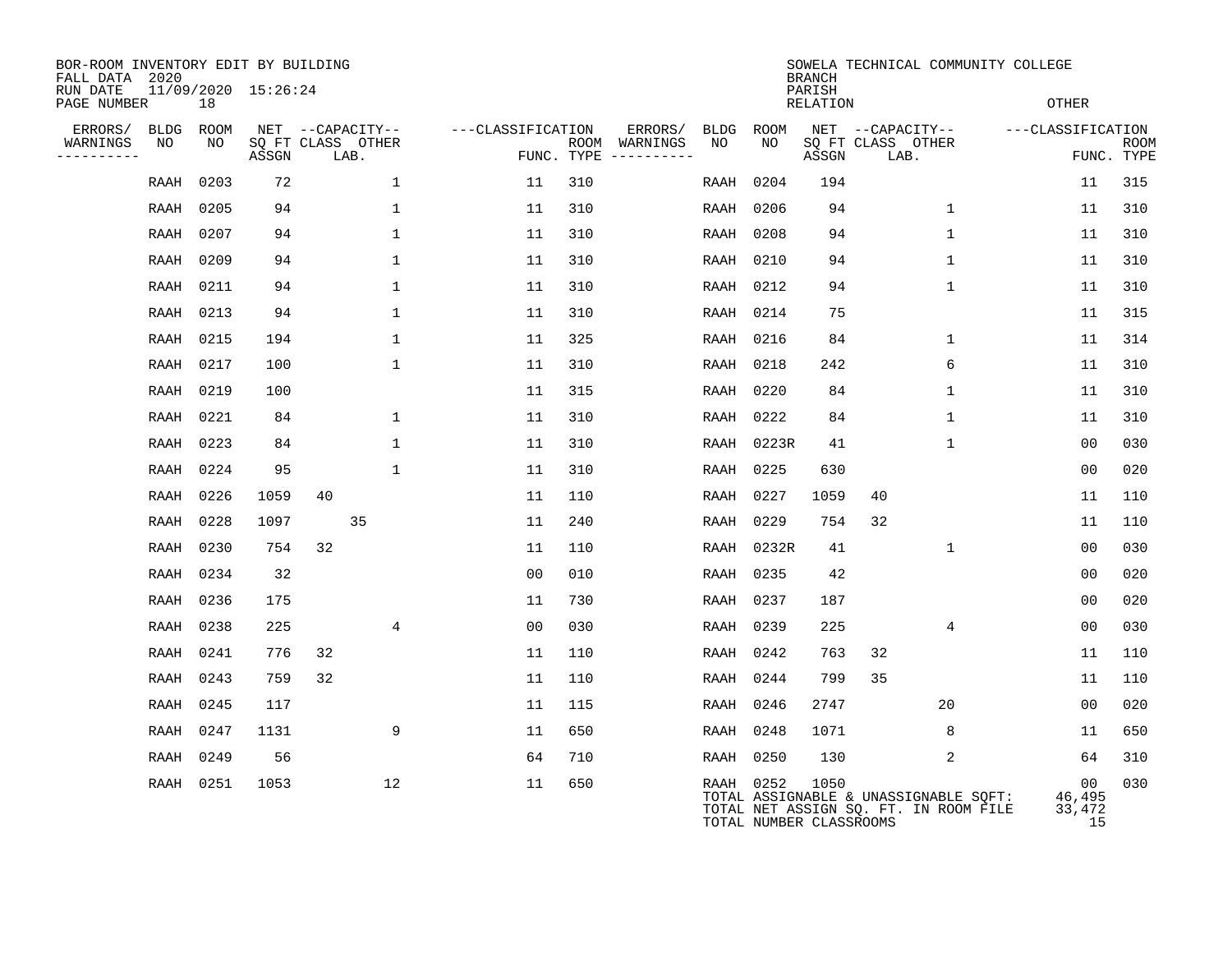| BOR-ROOM INVENTORY EDIT BY BUILDING<br>FALL DATA 2020 |           |                     |    |                           |                   |            |                              |      |                                      | <b>BRANCH</b>             | SOWELA TECHNICAL COMMUNITY COLLEGE                                             |                              |                           |
|-------------------------------------------------------|-----------|---------------------|----|---------------------------|-------------------|------------|------------------------------|------|--------------------------------------|---------------------------|--------------------------------------------------------------------------------|------------------------------|---------------------------|
| RUN DATE<br>PAGE NUMBER                               | 18        | 11/09/2020 15:26:24 |    |                           |                   |            |                              |      |                                      | PARISH<br><b>RELATION</b> |                                                                                | <b>OTHER</b>                 |                           |
| ERRORS/<br>BLDG                                       | ROOM      |                     |    | NET --CAPACITY--          | ---CLASSIFICATION |            | ERRORS/                      | BLDG | ROOM                                 |                           | NET --CAPACITY--                                                               | ---CLASSIFICATION            |                           |
| WARNINGS<br>NO<br>----------                          | NO.       | ASSGN               |    | SQ FT CLASS OTHER<br>LAB. |                   | FUNC. TYPE | ROOM WARNINGS<br>----------- | NO   | NO.                                  | ASSGN                     | SQ FT CLASS OTHER<br>LAB.                                                      |                              | <b>ROOM</b><br>FUNC. TYPE |
| RAAH                                                  | 0203      | 72                  |    | $\mathbf 1$               | 11                | 310        |                              | RAAH | 0204                                 | 194                       |                                                                                | 11                           | 315                       |
| RAAH                                                  | 0205      | 94                  |    | $\mathbf{1}$              | 11                | 310        |                              | RAAH | 0206                                 | 94                        | $\mathbf{1}$                                                                   | 11                           | 310                       |
|                                                       | RAAH 0207 | 94                  |    | 1                         | 11                | 310        |                              | RAAH | 0208                                 | 94                        | $\mathbf{1}$                                                                   | 11                           | 310                       |
| RAAH                                                  | 0209      | 94                  |    | 1                         | 11                | 310        |                              | RAAH | 0210                                 | 94                        | 1                                                                              | 11                           | 310                       |
|                                                       | RAAH 0211 | 94                  |    | $\mathbf{1}$              | 11                | 310        |                              | RAAH | 0212                                 | 94                        | $\mathbf 1$                                                                    | 11                           | 310                       |
|                                                       | RAAH 0213 | 94                  |    | $\mathbf{1}$              | 11                | 310        |                              | RAAH | 0214                                 | 75                        |                                                                                | 11                           | 315                       |
|                                                       | RAAH 0215 | 194                 |    | $\mathbf{1}$              | 11                | 325        |                              | RAAH | 0216                                 | 84                        | $\mathbf{1}$                                                                   | 11                           | 314                       |
| RAAH                                                  | 0217      | 100                 |    | $\mathbf{1}$              | 11                | 310        |                              | RAAH | 0218                                 | 242                       | 6                                                                              | 11                           | 310                       |
|                                                       | RAAH 0219 | 100                 |    |                           | 11                | 315        |                              | RAAH | 0220                                 | 84                        | $\mathbf{1}$                                                                   | 11                           | 310                       |
| RAAH                                                  | 0221      | 84                  |    | $\mathbf 1$               | 11                | 310        |                              | RAAH | 0222                                 | 84                        | $\mathbf{1}$                                                                   | 11                           | 310                       |
| RAAH                                                  | 0223      | 84                  |    | $\mathbf{1}$              | 11                | 310        |                              | RAAH | 0223R                                | 41                        | $\mathbf 1$                                                                    | 0 <sub>0</sub>               | 030                       |
| RAAH                                                  | 0224      | 95                  |    | $\mathbf{1}$              | 11                | 310        |                              | RAAH | 0225                                 | 630                       |                                                                                | 0 <sub>0</sub>               | 020                       |
| RAAH                                                  | 0226      | 1059                | 40 |                           | 11                | 110        |                              | RAAH | 0227                                 | 1059                      | 40                                                                             | 11                           | 110                       |
| RAAH                                                  | 0228      | 1097                |    | 35                        | 11                | 240        |                              | RAAH | 0229                                 | 754                       | 32                                                                             | 11                           | 110                       |
| RAAH                                                  | 0230      | 754                 | 32 |                           | 11                | 110        |                              | RAAH | 0232R                                | 41                        | $\mathbf 1$                                                                    | 0 <sub>0</sub>               | 030                       |
| RAAH                                                  | 0234      | 32                  |    |                           | 0 <sub>0</sub>    | 010        |                              | RAAH | 0235                                 | 42                        |                                                                                | 0 <sub>0</sub>               | 020                       |
|                                                       | RAAH 0236 | 175                 |    |                           | 11                | 730        |                              | RAAH | 0237                                 | 187                       |                                                                                | 0 <sub>0</sub>               | 020                       |
|                                                       | RAAH 0238 | 225                 |    | 4                         | 0 <sub>0</sub>    | 030        |                              | RAAH | 0239                                 | 225                       | 4                                                                              | 0 <sub>0</sub>               | 030                       |
| RAAH                                                  | 0241      | 776                 | 32 |                           | 11                | 110        |                              | RAAH | 0242                                 | 763                       | 32                                                                             | 11                           | 110                       |
|                                                       | RAAH 0243 | 759                 | 32 |                           | 11                | 110        |                              | RAAH | 0244                                 | 799                       | 35                                                                             | 11                           | 110                       |
| RAAH                                                  | 0245      | 117                 |    |                           | 11                | 115        |                              | RAAH | 0246                                 | 2747                      | 20                                                                             | 00                           | 020                       |
|                                                       | RAAH 0247 | 1131                |    | 9                         | 11                | 650        |                              | RAAH | 0248                                 | 1071                      | 8                                                                              | 11                           | 650                       |
| RAAH                                                  | 0249      | 56                  |    |                           | 64                | 710        |                              | RAAH | 0250                                 | 130                       | 2                                                                              | 64                           | 310                       |
|                                                       | RAAH 0251 | 1053                |    | 12                        | 11                | 650        |                              |      | RAAH 0252<br>TOTAL NUMBER CLASSROOMS | 1050                      | TOTAL ASSIGNABLE & UNASSIGNABLE SQFT:<br>TOTAL NET ASSIGN SQ. FT. IN ROOM FILE | 00<br>46,495<br>33,472<br>15 | 030                       |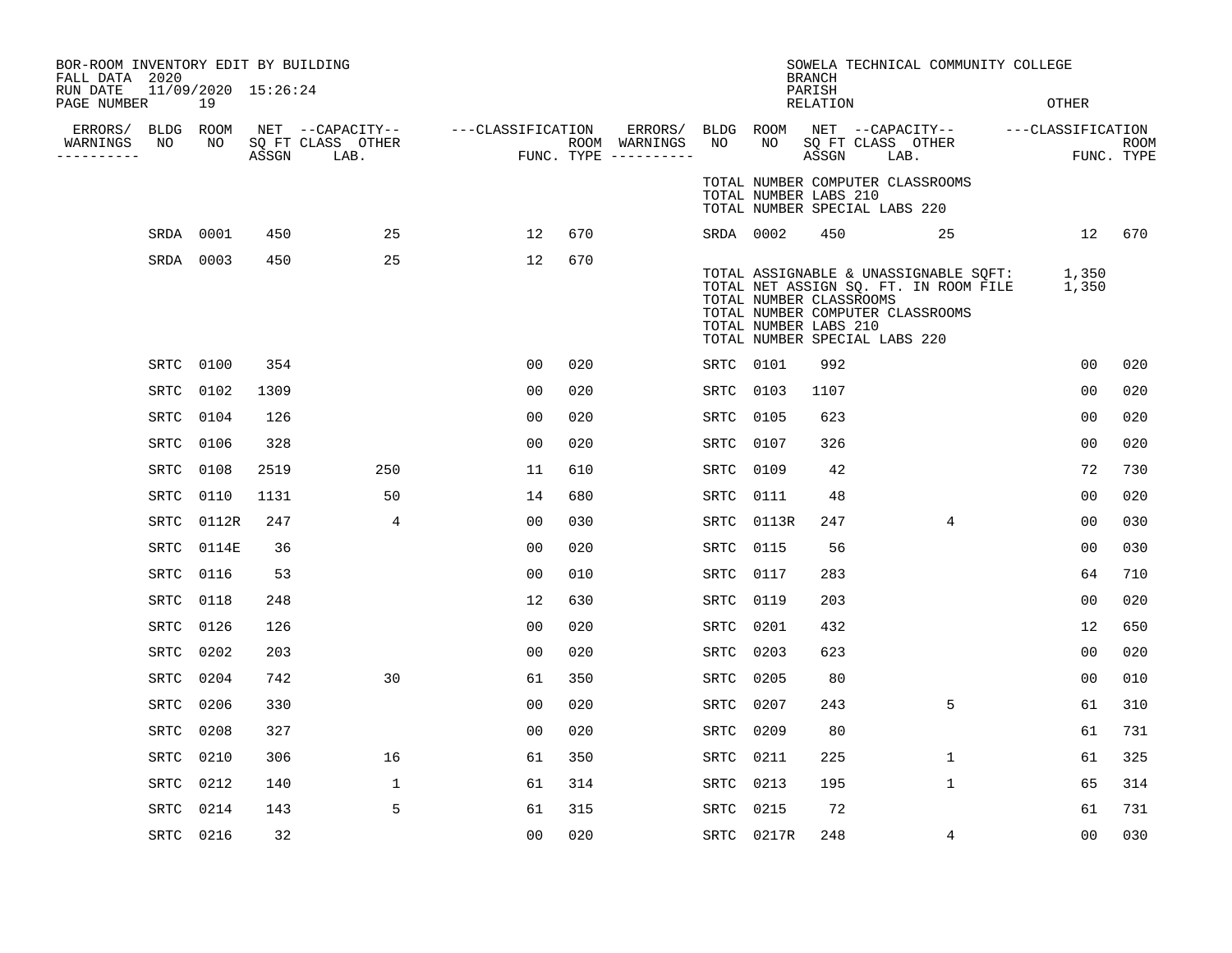| BOR-ROOM INVENTORY EDIT BY BUILDING<br>FALL DATA 2020 |                           |      |                                 |                                    |     |                                                 |                 |            | <b>BRANCH</b>                                    | SOWELA TECHNICAL COMMUNITY COLLEGE                                                                                                                        |                |                           |
|-------------------------------------------------------|---------------------------|------|---------------------------------|------------------------------------|-----|-------------------------------------------------|-----------------|------------|--------------------------------------------------|-----------------------------------------------------------------------------------------------------------------------------------------------------------|----------------|---------------------------|
| RUN DATE<br>PAGE NUMBER                               | 11/09/2020 15:26:24<br>19 |      |                                 |                                    |     |                                                 |                 |            | PARISH<br>RELATION                               |                                                                                                                                                           | OTHER          |                           |
| ERRORS/<br>WARNINGS<br>NO<br>----------               | BLDG ROOM<br>NO           |      | SQ FT CLASS OTHER<br>ASSGN LAB. | NET --CAPACITY-- ---CLASSIFICATION |     | ERRORS/<br>ROOM WARNINGS<br>FUNC. TYPE $------$ | BLDG ROOM<br>NO | NO         | ASSGN                                            | NET --CAPACITY-- ---CLASSIFICATION<br>SQ FT CLASS OTHER<br>LAB.                                                                                           |                | <b>ROOM</b><br>FUNC. TYPE |
|                                                       |                           |      |                                 |                                    |     |                                                 |                 |            | TOTAL NUMBER LABS 210                            | TOTAL NUMBER COMPUTER CLASSROOMS<br>TOTAL NUMBER SPECIAL LABS 220                                                                                         |                |                           |
|                                                       | SRDA 0001                 | 450  | 25                              | 12                                 | 670 |                                                 | SRDA 0002       |            | 450                                              | 25                                                                                                                                                        |                | 12 670                    |
|                                                       | SRDA 0003                 | 450  | 25                              | 12                                 | 670 |                                                 |                 |            | TOTAL NUMBER CLASSROOMS<br>TOTAL NUMBER LABS 210 | TOTAL ASSIGNABLE & UNASSIGNABLE SOFT: 1,350<br>TOTAL NET ASSIGN SQ. FT. IN ROOM FILE<br>TOTAL NUMBER COMPUTER CLASSROOMS<br>TOTAL NUMBER SPECIAL LABS 220 | 1,350          |                           |
|                                                       | SRTC 0100                 | 354  |                                 | 00                                 | 020 |                                                 | SRTC 0101       |            | 992                                              |                                                                                                                                                           | 0 <sub>0</sub> | 020                       |
| SRTC                                                  | 0102                      | 1309 |                                 | 0 <sub>0</sub>                     | 020 |                                                 | SRTC 0103       |            | 1107                                             |                                                                                                                                                           | 0 <sub>0</sub> | 020                       |
| SRTC                                                  | 0104                      | 126  |                                 | 0 <sub>0</sub>                     | 020 |                                                 | SRTC 0105       |            | 623                                              |                                                                                                                                                           | 0 <sub>0</sub> | 020                       |
| SRTC                                                  | 0106                      | 328  |                                 | 00                                 | 020 |                                                 | SRTC 0107       |            | 326                                              |                                                                                                                                                           | 0 <sub>0</sub> | 020                       |
| SRTC                                                  | 0108                      | 2519 | 250                             | 11                                 | 610 |                                                 | SRTC 0109       |            | 42                                               |                                                                                                                                                           | 72             | 730                       |
| SRTC                                                  | 0110                      | 1131 | 50                              | 14                                 | 680 |                                                 | SRTC 0111       |            | 48                                               |                                                                                                                                                           | 0 <sub>0</sub> | 020                       |
| SRTC                                                  | 0112R                     | 247  | 4                               | 00                                 | 030 |                                                 |                 | SRTC 0113R | 247                                              | 4                                                                                                                                                         | 0 <sub>0</sub> | 030                       |
| SRTC                                                  | 0114E                     | 36   |                                 | 0 <sup>0</sup>                     | 020 |                                                 | SRTC 0115       |            | 56                                               |                                                                                                                                                           | 00             | 030                       |
|                                                       | SRTC 0116                 | 53   |                                 | 0 <sub>0</sub>                     | 010 |                                                 | SRTC 0117       |            | 283                                              |                                                                                                                                                           | 64             | 710                       |
| SRTC                                                  | 0118                      | 248  |                                 | 12                                 | 630 |                                                 | SRTC 0119       |            | 203                                              |                                                                                                                                                           | 00             | 020                       |
|                                                       | SRTC 0126                 | 126  |                                 | 0 <sup>0</sup>                     | 020 |                                                 | SRTC 0201       |            | 432                                              |                                                                                                                                                           | 12             | 650                       |
|                                                       | SRTC 0202                 | 203  |                                 | 0 <sub>0</sub>                     | 020 |                                                 | SRTC 0203       |            | 623                                              |                                                                                                                                                           | 0 <sub>0</sub> | 020                       |
|                                                       | SRTC 0204                 | 742  | 30                              | 61                                 | 350 |                                                 | SRTC            | 0205       | 80                                               |                                                                                                                                                           | 00             | 010                       |
| SRTC                                                  | 0206                      | 330  |                                 | 0 <sub>0</sub>                     | 020 |                                                 | SRTC            | 0207       | 243                                              | 5                                                                                                                                                         | 61             | 310                       |
| SRTC                                                  | 0208                      | 327  |                                 | 00                                 | 020 |                                                 | SRTC            | 0209       | 80                                               |                                                                                                                                                           | 61             | 731                       |
|                                                       | SRTC 0210                 | 306  | 16                              | 61                                 | 350 |                                                 | SRTC 0211       |            | 225                                              | 1                                                                                                                                                         | 61             | 325                       |
| SRTC                                                  | 0212                      | 140  | 1                               | 61                                 | 314 |                                                 | SRTC 0213       |            | 195                                              | 1                                                                                                                                                         | 65             | 314                       |
| SRTC                                                  | 0214                      | 143  | 5                               | 61                                 | 315 |                                                 | SRTC            | 0215       | 72                                               |                                                                                                                                                           | 61             | 731                       |
|                                                       | SRTC 0216                 | 32   |                                 | 0 <sub>0</sub>                     | 020 |                                                 |                 | SRTC 0217R | 248                                              | 4                                                                                                                                                         | 0 <sub>0</sub> | 030                       |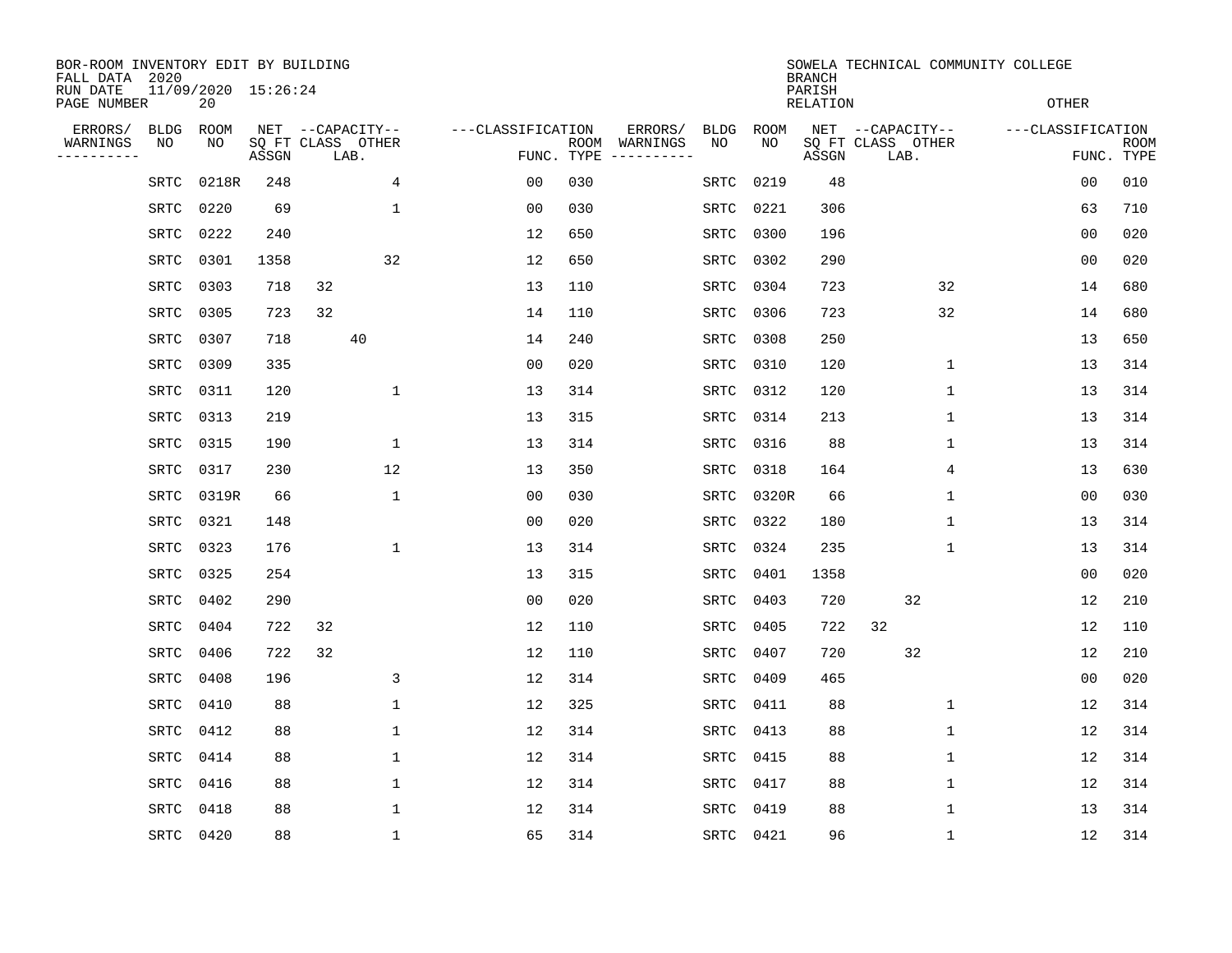| BOR-ROOM INVENTORY EDIT BY BUILDING<br>FALL DATA 2020 |             |             |                     |                           |                   |                    |                               |             | <b>BRANCH</b>             |                           | SOWELA TECHNICAL COMMUNITY COLLEGE |                           |
|-------------------------------------------------------|-------------|-------------|---------------------|---------------------------|-------------------|--------------------|-------------------------------|-------------|---------------------------|---------------------------|------------------------------------|---------------------------|
| RUN DATE<br>PAGE NUMBER                               |             | 20          | 11/09/2020 15:26:24 |                           |                   |                    |                               |             | PARISH<br><b>RELATION</b> |                           | <b>OTHER</b>                       |                           |
| ERRORS/                                               | <b>BLDG</b> | <b>ROOM</b> |                     | NET --CAPACITY--          | ---CLASSIFICATION |                    | ERRORS/<br><b>BLDG</b>        | <b>ROOM</b> |                           | NET --CAPACITY--          | ---CLASSIFICATION                  |                           |
| WARNINGS<br>.                                         | NO          | NO          | ASSGN               | SQ FT CLASS OTHER<br>LAB. |                   | ROOM<br>FUNC. TYPE | NO<br>WARNINGS<br>----------- | NO          | ASSGN                     | SQ FT CLASS OTHER<br>LAB. |                                    | <b>ROOM</b><br>FUNC. TYPE |
|                                                       | SRTC        | 0218R       | 248                 | 4                         | 0 <sub>0</sub>    | 030                | SRTC                          | 0219        | 48                        |                           | 00                                 | 010                       |
|                                                       | SRTC        | 0220        | 69                  | 1                         | 0 <sub>0</sub>    | 030                | SRTC                          | 0221        | 306                       |                           | 63                                 | 710                       |
|                                                       | SRTC        | 0222        | 240                 |                           | 12                | 650                | SRTC                          | 0300        | 196                       |                           | 0 <sub>0</sub>                     | 020                       |
|                                                       | <b>SRTC</b> | 0301        | 1358                | 32                        | 12                | 650                | SRTC                          | 0302        | 290                       |                           | 0 <sub>0</sub>                     | 020                       |
|                                                       | <b>SRTC</b> | 0303        | 718                 | 32                        | 13                | 110                | SRTC                          | 0304        | 723                       | 32                        | 14                                 | 680                       |
|                                                       | <b>SRTC</b> | 0305        | 723                 | 32                        | 14                | 110                | SRTC                          | 0306        | 723                       | 32                        | 14                                 | 680                       |
|                                                       | <b>SRTC</b> | 0307        | 718                 | 40                        | 14                | 240                | SRTC                          | 0308        | 250                       |                           | 13                                 | 650                       |
|                                                       | <b>SRTC</b> | 0309        | 335                 |                           | 0 <sub>0</sub>    | 020                | SRTC                          | 0310        | 120                       | 1                         | 13                                 | 314                       |
|                                                       | <b>SRTC</b> | 0311        | 120                 | 1                         | 13                | 314                | SRTC                          | 0312        | 120                       | 1                         | 13                                 | 314                       |
|                                                       | <b>SRTC</b> | 0313        | 219                 |                           | 13                | 315                | SRTC                          | 0314        | 213                       | $\mathbf 1$               | 13                                 | 314                       |
|                                                       | <b>SRTC</b> | 0315        | 190                 | $\mathbf{1}$              | 13                | 314                | SRTC                          | 0316        | 88                        | $\mathbf 1$               | 13                                 | 314                       |
|                                                       | <b>SRTC</b> | 0317        | 230                 | 12                        | 13                | 350                | SRTC                          | 0318        | 164                       | 4                         | 13                                 | 630                       |
|                                                       | SRTC        | 0319R       | 66                  | 1                         | 0 <sub>0</sub>    | 030                | SRTC                          | 0320R       | 66                        | 1                         | 0 <sub>0</sub>                     | 030                       |
|                                                       | SRTC        | 0321        | 148                 |                           | 00                | 020                | SRTC                          | 0322        | 180                       | 1                         | 13                                 | 314                       |
|                                                       | SRTC        | 0323        | 176                 | 1                         | 13                | 314                | SRTC                          | 0324        | 235                       | 1                         | 13                                 | 314                       |
|                                                       | SRTC        | 0325        | 254                 |                           | 13                | 315                | SRTC                          | 0401        | 1358                      |                           | 0 <sub>0</sub>                     | 020                       |
|                                                       | SRTC        | 0402        | 290                 |                           | 0 <sub>0</sub>    | 020                | SRTC                          | 0403        | 720                       | 32                        | 12                                 | 210                       |
|                                                       | SRTC        | 0404        | 722                 | 32                        | 12                | 110                | SRTC                          | 0405        | 722                       | 32                        | 12                                 | 110                       |
|                                                       | <b>SRTC</b> | 0406        | 722                 | 32                        | 12                | 110                | SRTC                          | 0407        | 720                       | 32                        | 12                                 | 210                       |
|                                                       | <b>SRTC</b> | 0408        | 196                 | 3                         | 12                | 314                | SRTC                          | 0409        | 465                       |                           | 0 <sub>0</sub>                     | 020                       |
|                                                       | <b>SRTC</b> | 0410        | 88                  | 1                         | 12                | 325                | SRTC                          | 0411        | 88                        | 1                         | 12                                 | 314                       |
|                                                       | <b>SRTC</b> | 0412        | 88                  | 1                         | 12                | 314                | SRTC                          | 0413        | 88                        | 1                         | 12                                 | 314                       |
|                                                       | <b>SRTC</b> | 0414        | 88                  | 1                         | 12                | 314                | SRTC                          | 0415        | 88                        | 1                         | 12                                 | 314                       |
|                                                       | <b>SRTC</b> | 0416        | 88                  | 1                         | 12                | 314                | SRTC                          | 0417        | 88                        | 1                         | 12                                 | 314                       |
|                                                       | <b>SRTC</b> | 0418        | 88                  | $\mathbf 1$               | 12                | 314                | <b>SRTC</b>                   | 0419        | 88                        | $\mathbf{1}$              | 13                                 | 314                       |
|                                                       | SRTC        | 0420        | 88                  | $\mathbf 1$               | 65                | 314                |                               | SRTC 0421   | 96                        | $\mathbf 1$               | 12                                 | 314                       |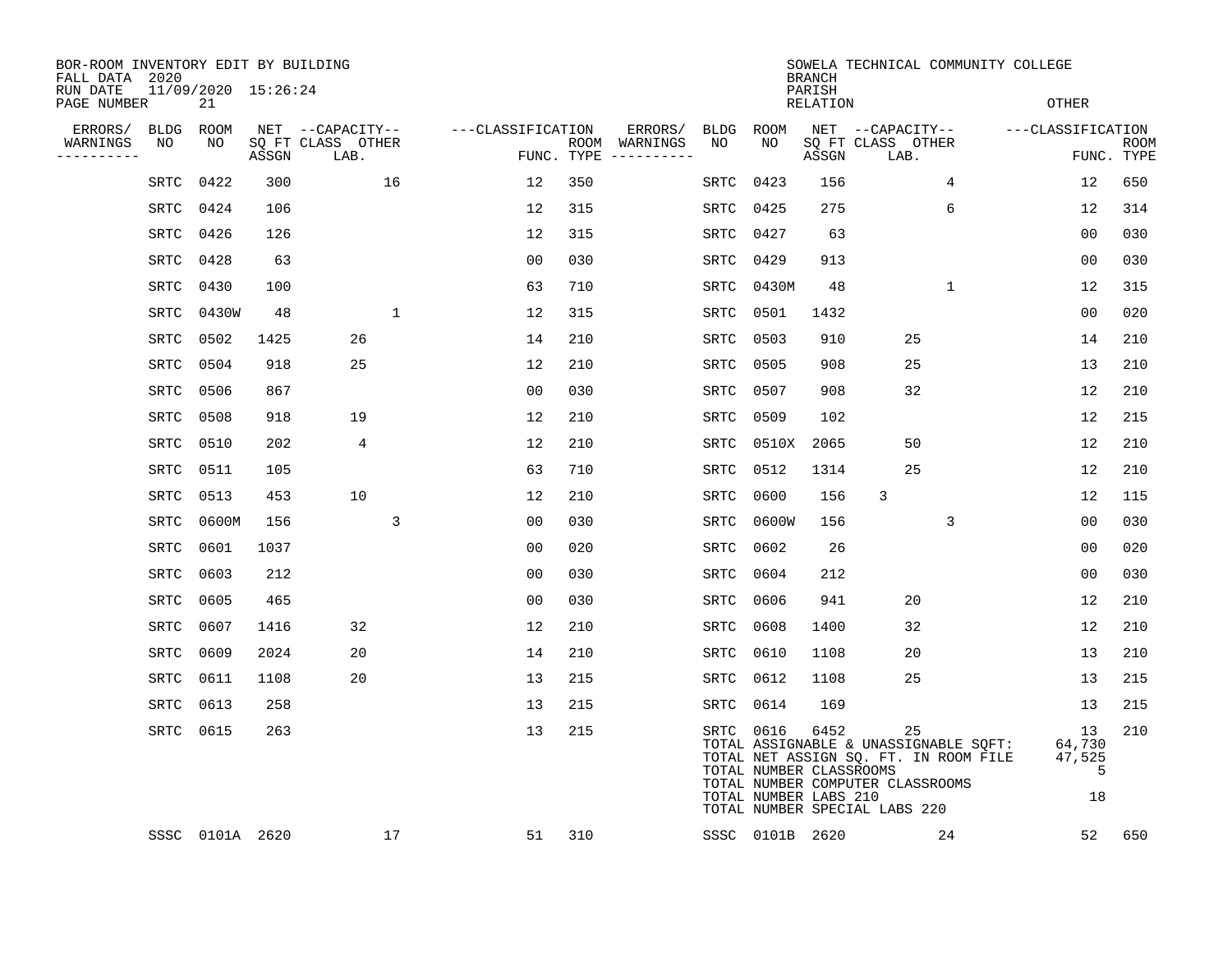| BOR-ROOM INVENTORY EDIT BY BUILDING<br>FALL DATA 2020 |           |                           |       |                           |              |                   |     |                                      |             |                                                               | <b>BRANCH</b>             | SOWELA TECHNICAL COMMUNITY COLLEGE                                                                                                                        |                                   |                           |
|-------------------------------------------------------|-----------|---------------------------|-------|---------------------------|--------------|-------------------|-----|--------------------------------------|-------------|---------------------------------------------------------------|---------------------------|-----------------------------------------------------------------------------------------------------------------------------------------------------------|-----------------------------------|---------------------------|
| RUN DATE<br>PAGE NUMBER                               |           | 11/09/2020 15:26:24<br>21 |       |                           |              |                   |     |                                      |             |                                                               | PARISH<br><b>RELATION</b> |                                                                                                                                                           | <b>OTHER</b>                      |                           |
| ERRORS/                                               | BLDG      | ROOM                      |       | NET --CAPACITY--          |              | ---CLASSIFICATION |     | ERRORS/                              | BLDG        | <b>ROOM</b>                                                   |                           | NET --CAPACITY--                                                                                                                                          | ---CLASSIFICATION                 |                           |
| WARNINGS<br>---------                                 | NO        | NO                        | ASSGN | SQ FT CLASS OTHER<br>LAB. |              |                   |     | ROOM WARNINGS<br>FUNC. TYPE $------$ | NO          | NO                                                            | ASSGN                     | SQ FT CLASS OTHER<br>LAB.                                                                                                                                 |                                   | <b>ROOM</b><br>FUNC. TYPE |
|                                                       | SRTC      | 0422                      | 300   |                           | 16           | 12                | 350 |                                      | <b>SRTC</b> | 0423                                                          | 156                       | $\overline{4}$                                                                                                                                            | 12                                | 650                       |
|                                                       | SRTC      | 0424                      | 106   |                           |              | 12                | 315 |                                      | SRTC        | 0425                                                          | 275                       | 6                                                                                                                                                         | 12                                | 314                       |
|                                                       | SRTC      | 0426                      | 126   |                           |              | 12                | 315 |                                      | <b>SRTC</b> | 0427                                                          | 63                        |                                                                                                                                                           | 00                                | 030                       |
|                                                       | SRTC      | 0428                      | 63    |                           |              | 0 <sub>0</sub>    | 030 |                                      | SRTC        | 0429                                                          | 913                       |                                                                                                                                                           | 00                                | 030                       |
|                                                       | SRTC      | 0430                      | 100   |                           |              | 63                | 710 |                                      | SRTC        | 0430M                                                         | 48                        | $\mathbf{1}$                                                                                                                                              | 12                                | 315                       |
|                                                       | SRTC      | 0430W                     | 48    |                           | $\mathbf{1}$ | 12                | 315 |                                      | SRTC        | 0501                                                          | 1432                      |                                                                                                                                                           | 00                                | 020                       |
|                                                       | SRTC      | 0502                      | 1425  | 26                        |              | 14                | 210 |                                      | SRTC        | 0503                                                          | 910                       | 25                                                                                                                                                        | 14                                | 210                       |
|                                                       | SRTC      | 0504                      | 918   | 25                        |              | 12                | 210 |                                      | SRTC        | 0505                                                          | 908                       | 25                                                                                                                                                        | 13                                | 210                       |
|                                                       | SRTC      | 0506                      | 867   |                           |              | 0 <sub>0</sub>    | 030 |                                      | SRTC        | 0507                                                          | 908                       | 32                                                                                                                                                        | 12                                | 210                       |
|                                                       | SRTC 0508 |                           | 918   | 19                        |              | 12                | 210 |                                      | SRTC        | 0509                                                          | 102                       |                                                                                                                                                           | 12                                | 215                       |
|                                                       | SRTC      | 0510                      | 202   | $\overline{4}$            |              | 12                | 210 |                                      | SRTC        | 0510X                                                         | 2065                      | 50                                                                                                                                                        | 12                                | 210                       |
|                                                       | SRTC      | 0511                      | 105   |                           |              | 63                | 710 |                                      | SRTC        | 0512                                                          | 1314                      | 25                                                                                                                                                        | 12                                | 210                       |
|                                                       | SRTC      | 0513                      | 453   | 10                        |              | 12                | 210 |                                      | SRTC        | 0600                                                          | 156                       | 3                                                                                                                                                         | 12                                | 115                       |
|                                                       | SRTC      | 0600M                     | 156   |                           | 3            | 0 <sub>0</sub>    | 030 |                                      | SRTC        | 0600W                                                         | 156                       | 3                                                                                                                                                         | 0 <sub>0</sub>                    | 030                       |
|                                                       | SRTC      | 0601                      | 1037  |                           |              | 0 <sub>0</sub>    | 020 |                                      | SRTC        | 0602                                                          | 26                        |                                                                                                                                                           | 0 <sub>0</sub>                    | 020                       |
|                                                       | SRTC      | 0603                      | 212   |                           |              | 0 <sub>0</sub>    | 030 |                                      | SRTC        | 0604                                                          | 212                       |                                                                                                                                                           | 0 <sub>0</sub>                    | 030                       |
|                                                       | SRTC      | 0605                      | 465   |                           |              | 0 <sub>0</sub>    | 030 |                                      | SRTC        | 0606                                                          | 941                       | 20                                                                                                                                                        | 12                                | 210                       |
|                                                       | SRTC      | 0607                      | 1416  | 32                        |              | 12                | 210 |                                      | SRTC        | 0608                                                          | 1400                      | 32                                                                                                                                                        | 12                                | 210                       |
|                                                       | SRTC      | 0609                      | 2024  | 20                        |              | 14                | 210 |                                      | SRTC        | 0610                                                          | 1108                      | 20                                                                                                                                                        | 13                                | 210                       |
|                                                       | SRTC      | 0611                      | 1108  | 20                        |              | 13                | 215 |                                      |             | SRTC 0612                                                     | 1108                      | 25                                                                                                                                                        | 13                                | 215                       |
|                                                       | SRTC      | 0613                      | 258   |                           |              | 13                | 215 |                                      | SRTC        | 0614                                                          | 169                       |                                                                                                                                                           | 13                                | 215                       |
|                                                       |           | SRTC 0615                 | 263   |                           |              | 13                | 215 |                                      |             | SRTC 0616<br>TOTAL NUMBER CLASSROOMS<br>TOTAL NUMBER LABS 210 | 6452                      | 25<br>TOTAL ASSIGNABLE & UNASSIGNABLE SQFT:<br>TOTAL NET ASSIGN SQ. FT. IN ROOM FILE<br>TOTAL NUMBER COMPUTER CLASSROOMS<br>TOTAL NUMBER SPECIAL LABS 220 | 13<br>64,730<br>47,525<br>5<br>18 | 210                       |
|                                                       |           | SSSC 0101A 2620           |       |                           | 17           | 51                | 310 |                                      |             | SSSC 0101B 2620                                               |                           | 24                                                                                                                                                        | 52                                | 650                       |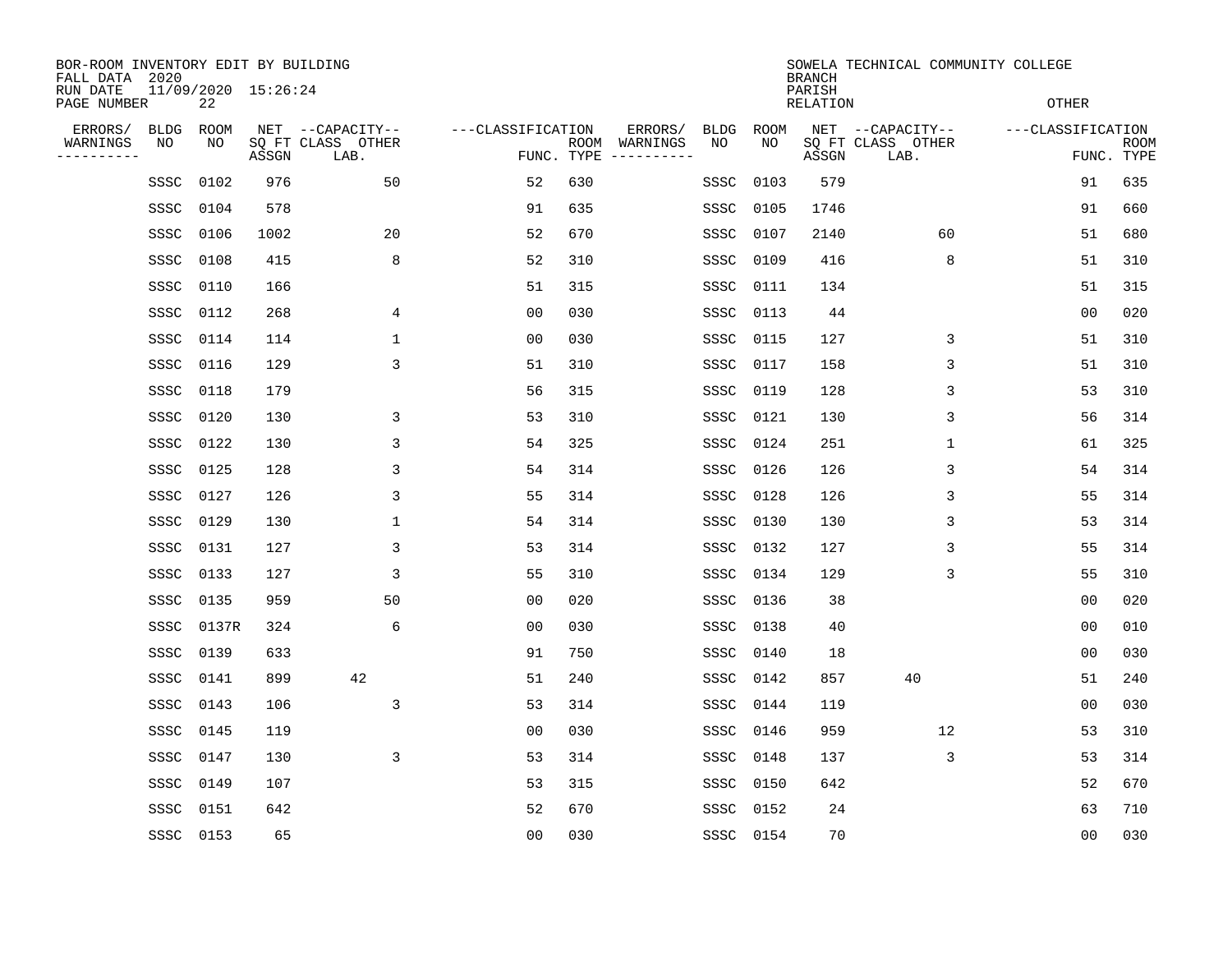| BOR-ROOM INVENTORY EDIT BY BUILDING<br>FALL DATA 2020 |             |       |                     |                           |                   |                    |                         |      |           | <b>BRANCH</b>             | SOWELA TECHNICAL COMMUNITY COLLEGE |                   |                           |
|-------------------------------------------------------|-------------|-------|---------------------|---------------------------|-------------------|--------------------|-------------------------|------|-----------|---------------------------|------------------------------------|-------------------|---------------------------|
| RUN DATE<br>PAGE NUMBER                               |             | 22    | 11/09/2020 15:26:24 |                           |                   |                    |                         |      |           | PARISH<br><b>RELATION</b> |                                    | <b>OTHER</b>      |                           |
| ERRORS/                                               | <b>BLDG</b> | ROOM  |                     | NET --CAPACITY--          | ---CLASSIFICATION |                    | ERRORS/                 | BLDG | ROOM      |                           | NET --CAPACITY--                   | ---CLASSIFICATION |                           |
| WARNINGS<br>-----------                               | NO          | ΝO    | ASSGN               | SQ FT CLASS OTHER<br>LAB. |                   | ROOM<br>FUNC. TYPE | WARNINGS<br>----------- | NO   | NO        | ASSGN                     | SQ FT CLASS OTHER<br>LAB.          |                   | <b>ROOM</b><br>FUNC. TYPE |
|                                                       | SSSC        | 0102  | 976                 | 50                        | 52                | 630                |                         | SSSC | 0103      | 579                       |                                    | 91                | 635                       |
|                                                       | SSSC        | 0104  | 578                 |                           | 91                | 635                |                         | SSSC | 0105      | 1746                      |                                    | 91                | 660                       |
|                                                       | SSSC        | 0106  | 1002                | 20                        | 52                | 670                |                         | SSSC | 0107      | 2140                      | 60                                 | 51                | 680                       |
|                                                       | SSSC        | 0108  | 415                 | 8                         | 52                | 310                |                         | SSSC | 0109      | 416                       | 8                                  | 51                | 310                       |
|                                                       | SSSC        | 0110  | 166                 |                           | 51                | 315                |                         | SSSC | 0111      | 134                       |                                    | 51                | 315                       |
|                                                       | SSSC        | 0112  | 268                 | 4                         | 0 <sub>0</sub>    | 030                |                         | SSSC | 0113      | 44                        |                                    | 00                | 020                       |
|                                                       | SSSC        | 0114  | 114                 | $\mathbf 1$               | 0 <sub>0</sub>    | 030                |                         | SSSC | 0115      | 127                       | 3                                  | 51                | 310                       |
|                                                       | SSSC        | 0116  | 129                 | 3                         | 51                | 310                |                         | SSSC | 0117      | 158                       | 3                                  | 51                | 310                       |
|                                                       | SSSC        | 0118  | 179                 |                           | 56                | 315                |                         | SSSC | 0119      | 128                       | 3                                  | 53                | 310                       |
|                                                       | SSSC        | 0120  | 130                 | 3                         | 53                | 310                |                         | SSSC | 0121      | 130                       | 3                                  | 56                | 314                       |
|                                                       | SSSC        | 0122  | 130                 | 3                         | 54                | 325                |                         | SSSC | 0124      | 251                       | 1                                  | 61                | 325                       |
|                                                       | SSSC        | 0125  | 128                 | 3                         | 54                | 314                |                         | SSSC | 0126      | 126                       | 3                                  | 54                | 314                       |
|                                                       | SSSC        | 0127  | 126                 | 3                         | 55                | 314                |                         | SSSC | 0128      | 126                       | 3                                  | 55                | 314                       |
|                                                       | SSSC        | 0129  | 130                 | 1                         | 54                | 314                |                         | SSSC | 0130      | 130                       | 3                                  | 53                | 314                       |
|                                                       | SSSC        | 0131  | 127                 | 3                         | 53                | 314                |                         | SSSC | 0132      | 127                       | 3                                  | 55                | 314                       |
|                                                       | SSSC        | 0133  | 127                 | 3                         | 55                | 310                |                         | SSSC | 0134      | 129                       | 3                                  | 55                | 310                       |
|                                                       | SSSC        | 0135  | 959                 | 50                        | 0 <sub>0</sub>    | 020                |                         | SSSC | 0136      | 38                        |                                    | 0 <sub>0</sub>    | 020                       |
|                                                       | SSSC        | 0137R | 324                 | 6                         | 00                | 030                |                         | SSSC | 0138      | 40                        |                                    | 0 <sub>0</sub>    | 010                       |
|                                                       | SSSC        | 0139  | 633                 |                           | 91                | 750                |                         | SSSC | 0140      | 18                        |                                    | 0 <sub>0</sub>    | 030                       |
|                                                       | SSSC        | 0141  | 899                 | 42                        | 51                | 240                |                         | SSSC | 0142      | 857                       | 40                                 | 51                | 240                       |
|                                                       | SSSC        | 0143  | 106                 | 3                         | 53                | 314                |                         | SSSC | 0144      | 119                       |                                    | 0 <sub>0</sub>    | 030                       |
|                                                       | SSSC        | 0145  | 119                 |                           | 0 <sub>0</sub>    | 030                |                         | SSSC | 0146      | 959                       | 12                                 | 53                | 310                       |
|                                                       | SSSC        | 0147  | 130                 | 3                         | 53                | 314                |                         | SSSC | 0148      | 137                       | 3                                  | 53                | 314                       |
|                                                       | SSSC        | 0149  | 107                 |                           | 53                | 315                |                         | SSSC | 0150      | 642                       |                                    | 52                | 670                       |
|                                                       | SSSC        | 0151  | 642                 |                           | 52                | 670                |                         | SSSC | 0152      | 24                        |                                    | 63                | 710                       |
|                                                       | SSSC 0153   |       | 65                  |                           | 0 <sub>0</sub>    | 030                |                         |      | SSSC 0154 | 70                        |                                    | 0 <sub>0</sub>    | 030                       |